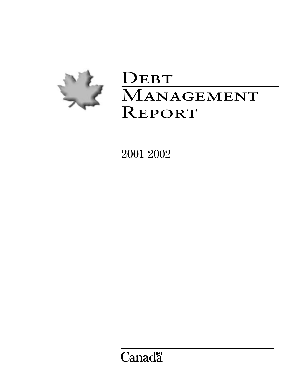

# DEBT MANAGEMENT **REPORT**

2001–2002

**Canadä**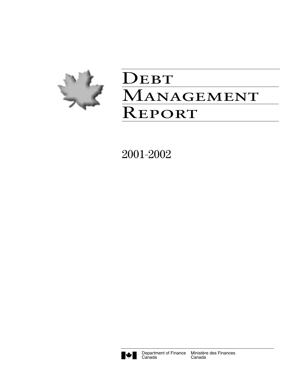

# DEBT MANAGEMENT **REPORT**

2001–2002

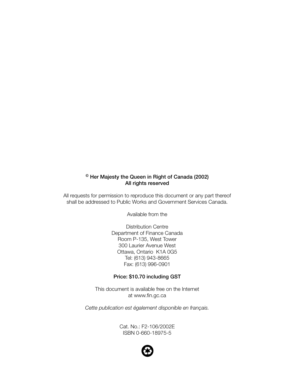# **© Her Majesty the Queen in Right of Canada (2002) All rights reserved**

All requests for permission to reproduce this document or any part thereof shall be addressed to Public Works and Government Services Canada.

Available from the

Distribution Centre Department of Finance Canada Room P-135, West Tower 300 Laurier Avenue West Ottawa, Ontario K1A 0G5 Tel: (613) 943-8665 Fax: (613) 996-0901

#### **Price: \$10.70 including GST**

This document is available free on the Internet at www.fin.gc.ca

*Cette publication est également disponible en français.*

Cat. No.: F2-106/2002E ISBN 0-660-18975-5

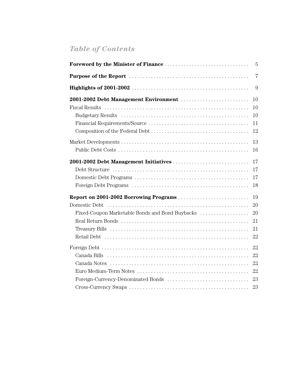# *Table of Contents*

|                                                 | $\overline{5}$ |
|-------------------------------------------------|----------------|
|                                                 | $\overline{7}$ |
|                                                 | 9              |
|                                                 | 10             |
|                                                 | 10             |
|                                                 | 10             |
|                                                 | 11             |
|                                                 | 12             |
|                                                 | 13             |
|                                                 | 16             |
|                                                 | 17             |
|                                                 | 17             |
|                                                 | 17             |
|                                                 | 18             |
|                                                 | 19             |
|                                                 | 20             |
| Fixed-Coupon Marketable Bonds and Bond Buybacks | 20             |
|                                                 | 21             |
|                                                 | 21             |
|                                                 | 22             |
|                                                 | 22             |
|                                                 | 22             |
|                                                 |                |
|                                                 |                |
| Foreign-Currency-Denominated Bonds              | 23             |
|                                                 | 23             |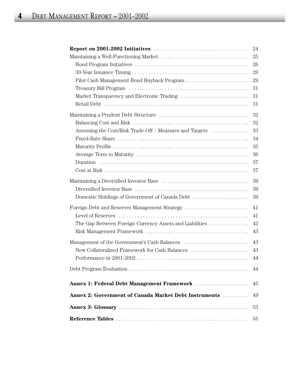|                                                                                                                       | 24 |
|-----------------------------------------------------------------------------------------------------------------------|----|
|                                                                                                                       | 25 |
|                                                                                                                       | 26 |
|                                                                                                                       | 29 |
| Pilot Cash Management Bond Buyback Program                                                                            | 29 |
|                                                                                                                       | 31 |
|                                                                                                                       | 31 |
|                                                                                                                       | 31 |
|                                                                                                                       | 32 |
|                                                                                                                       | 32 |
| Assessing the Cost/Risk Trade-Off - Measures and Targets                                                              | 33 |
|                                                                                                                       | 34 |
|                                                                                                                       | 35 |
|                                                                                                                       | 36 |
|                                                                                                                       | 37 |
|                                                                                                                       | 37 |
|                                                                                                                       | 39 |
|                                                                                                                       | 39 |
| Domestic Holdings of Government of Canada Debt                                                                        | 39 |
| Foreign Debt and Reserves Management Strategy                                                                         | 41 |
|                                                                                                                       | 41 |
| The Gap Between Foreign Currency Assets and Liabilities                                                               | 42 |
|                                                                                                                       | 43 |
|                                                                                                                       | 43 |
| New Collateralized Framework for Cash Balances                                                                        | 43 |
| Performance in 2001-2002 $\ldots \ldots \ldots \ldots \ldots \ldots \ldots \ldots \ldots \ldots \ldots \ldots \ldots$ | 44 |
|                                                                                                                       | 44 |
|                                                                                                                       |    |
| Annex 1: Federal Debt Management Framework                                                                            | 45 |
| <b>Annex 2: Government of Canada Market Debt Instruments </b>                                                         | 49 |
|                                                                                                                       | 53 |
|                                                                                                                       | 55 |
|                                                                                                                       |    |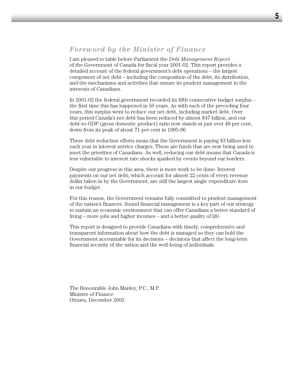# *Foreword by the Minister of Finance*

I am pleased to table before Parliament the *Debt Management Report* of the Government of Canada for fiscal year 2001-02. This report provides a detailed account of the federal government's debt operations – the largest component of net debt – including the composition of the debt, its distribution, and the mechanisms and activities that ensure its prudent management in the interests of Canadians.

In 2001-02 the federal government recorded its fifth consecutive budget surplus – the first time this has happened in 50 years. As with each of the preceding four years, this surplus went to reduce our net debt, including market debt. Over this period Canada's net debt has been reduced by almost \$47 billion, and our debt-to-GDP (gross domestic product) ratio now stands at just over 49 per cent, down from its peak of about 71 per cent in 1995-96.

These debt reduction efforts mean that the Government is paying \$3 billion less each year in interest service charges. These are funds that are now being used to meet the priorities of Canadians. As well, reducing our debt means that Canada is less vulnerable to interest rate shocks sparked by events beyond our borders.

Despite our progress in this area, there is more work to be done. Interest payments on our net debt, which account for almost 22 cents of every revenue dollar taken in by the Government, are still the largest single expenditure item in our budget.

For this reason, the Government remains fully committed to prudent management of the nation's finances. Sound financial management is a key part of our strategy to sustain an economic environment that can offer Canadians a better standard of living – more jobs and higher incomes – and a better quality of life.

This report is designed to provide Canadians with timely, comprehensive and transparent information about how the debt is managed so they can hold the Government accountable for its decisions – decisions that affect the long-term financial security of the nation and the well-being of individuals.

The Honourable John Manley, P.C., M.P. Minister of Finance Ottawa, December 2002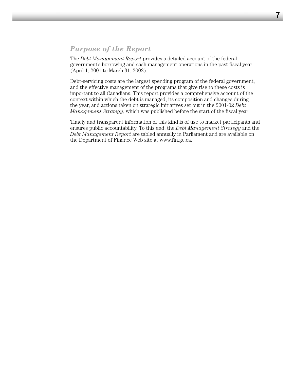# *Purpose of the Report*

The *Debt Management Report* provides a detailed account of the federal government's borrowing and cash management operations in the past fiscal year (April 1, 2001 to March 31, 2002).

Debt-servicing costs are the largest spending program of the federal government, and the effective management of the programs that give rise to these costs is important to all Canadians. This report provides a comprehensive account of the context within which the debt is managed, its composition and changes during the year, and actions taken on strategic initiatives set out in the 2001-02 *Debt Management Strategy*, which was published before the start of the fiscal year.

Timely and transparent information of this kind is of use to market participants and ensures public accountability. To this end, the *Debt Management Strategy* and the *Debt Management Report* are tabled annually in Parliament and are available on the Department of Finance Web site at www.fin.gc.ca.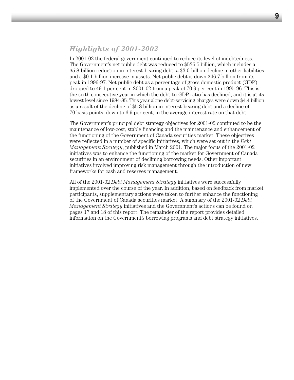In 2001-02 the federal government continued to reduce its level of indebtedness. The Government's net public debt was reduced to \$536.5 billion, which includes a \$5.8-billion reduction in interest-bearing debt, a \$3.0-billion decline in other liabilities and a \$0.1-billion increase in assets. Net public debt is down \$46.7 billion from its peak in 1996-97. Net public debt as a percentage of gross domestic product (GDP) dropped to 49.1 per cent in 2001-02 from a peak of 70.9 per cent in 1995-96. This is the sixth consecutive year in which the debt-to-GDP ratio has declined, and it is at its lowest level since 1984-85. This year alone debt-servicing charges were down \$4.4 billion as a result of the decline of \$5.8 billion in interest-bearing debt and a decline of 70 basis points, down to 6.9 per cent, in the average interest rate on that debt.

The Government's principal debt strategy objectives for 2001-02 continued to be the maintenance of low-cost, stable financing and the maintenance and enhancement of the functioning of the Government of Canada securities market. These objectives were reflected in a number of specific initiatives, which were set out in the *Debt Management Strategy*, published in March 2001. The major focus of the 2001-02 initiatives was to enhance the functioning of the market for Government of Canada securities in an environment of declining borrowing needs. Other important initiatives involved improving risk management through the introduction of new frameworks for cash and reserves management.

All of the 2001-02 *Debt Management Strategy* initiatives were successfully implemented over the course of the year. In addition, based on feedback from market participants, supplementary actions were taken to further enhance the functioning of the Government of Canada securities market. A summary of the 2001-02 *Debt Management Strategy* initiatives and the Government's actions can be found on pages 17 and 18 of this report. The remainder of the report provides detailed information on the Government's borrowing programs and debt strategy initiatives.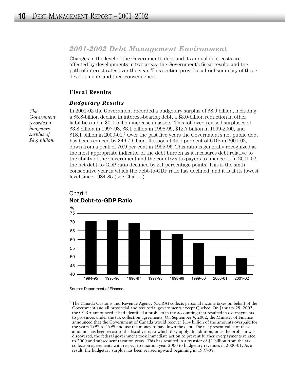# *2001-2002 Debt Management Environment*

Changes in the level of the Government's debt and its annual debt costs are affected by developments in two areas: the Government's fiscal results and the path of interest rates over the year. This section provides a brief summary of these developments and their consequences.

#### **Fiscal Results**

#### *Budgetary Results*

In 2001-02 the Government recorded a budgetary surplus of \$8.9 billion, including a \$5.8-billion decline in interest-bearing debt, a \$3.0-billion reduction in other liabilities and a \$0.1-billion increase in assets. This followed revised surpluses of \$3.8 billion in 1997-98, \$3.1 billion in 1998-99, \$12.7 billion in 1999-2000, and  $$18.1$  billion in 2000-01.<sup>1</sup> Over the past five years the Government's net public debt has been reduced by \$46.7 billion. It stood at 49.1 per cent of GDP in 2001-02, down from a peak of 70.9 per cent in 1995-96. This ratio is generally recognized as the most appropriate indicator of the debt burden as it measures debt relative to the ability of the Government and the country's taxpayers to finance it. In 2001-02 the net debt-to-GDP ratio declined by 2.1 percentage points. This is the sixth consecutive year in which the debt-to-GDP ratio has declined, and it is at its lowest level since 1984-85 (see Chart 1).



Chart 1 **Net Debt-to-GDP Ratio**

Source: Department of Finance.

*The Government recorded a budgetary surplus of \$8.9 billion.* 

<sup>&</sup>lt;sup>1</sup> The Canada Customs and Revenue Agency (CCRA) collects personal income taxes on behalf of the Government and all provincial and territorial governments except Quebec. On January 29, 2002, the CCRA announced it had identified a problem in tax accounting that resulted in overpayments to provinces under the tax collection agreements. On September 4, 2002, the Minister of Finance announced that the Government of Canada would recover \$1.4 billion of the amounts overpaid for the years 1997 to 1999 and use the money to pay down the debt. The net present value of these amounts has been recast to the fiscal years to which they apply. In addition, once the problem was discovered, the federal government took immediate action to prevent further overpayments related to 2000 and subsequent taxation years. This has resulted in a transfer of \$1 billion from the tax collection agreements with respect to taxation year 2000 to budgetary revenues in 2000-01. As a result, the budgetary surplus has been revised upward beginning in 1997-98.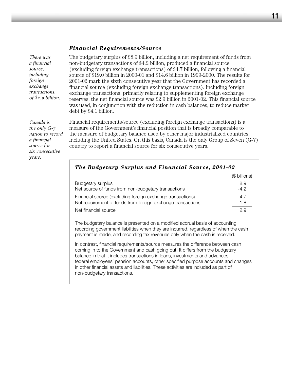#### *Financial Requirements/Source*

*There was a financial source, including foreign exchange transactions, of \$2.9 billion.* 

*Canada is the only G-7 nation to record a financial source for six consecutive years.* 

The budgetary surplus of \$8.9 billion, including a net requirement of funds from non-budgetary transactions of \$4.2 billion, produced a financial source (excluding foreign exchange transactions) of \$4.7 billion, following a financial source of \$19.0 billion in 2000-01 and \$14.6 billion in 1999-2000. The results for 2001-02 mark the sixth consecutive year that the Government has recorded a financial source (excluding foreign exchange transactions). Including foreign exchange transactions, primarily relating to supplementing foreign exchange reserves, the net financial source was \$2.9 billion in 2001-02. This financial source was used, in conjunction with the reduction in cash balances, to reduce market debt by \$4.1 billion.

Financial requirements/source (excluding foreign exchange transactions) is a measure of the Government's financial position that is broadly comparable to the measure of budgetary balance used by other major industrialized countries, including the United States. On this basis, Canada is the only Group of Seven (G-7) country to report a financial source for six consecutive years.

|                                                             | (\$ billions) |
|-------------------------------------------------------------|---------------|
| Budgetary surplus                                           | 8.9           |
| Net source of funds from non-budgetary transactions         | $-4.2$        |
| Financial source (excluding foreign exchange transactions)  | 4.7           |
| Net requirement of funds from foreign exchange transactions | $-1.8$        |
| Net financial source                                        | 29            |

The budgetary balance is presented on a modified accrual basis of accounting, recording government liabilities when they are incurred, regardless of when the cash payment is made, and recording tax revenues only when the cash is received.

In contrast, financial requirements/source measures the difference between cash coming in to the Government and cash going out. It differs from the budgetary balance in that it includes transactions in loans, investments and advances, federal employees' pension accounts, other specified purpose accounts and changes in other financial assets and liabilities. These activities are included as part of non-budgetary transactions.

# *The Budgetary Surplus and Financial Source, 2001-02*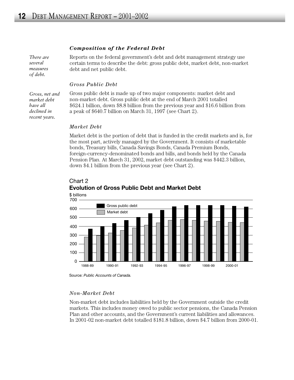#### *Composition of the Federal Debt*

*There are several measures of debt.* 

Reports on the federal government's debt and debt management strategy use certain terms to describe the debt: gross public debt, market debt, non-market debt and net public debt.

#### *Gross Public Debt*

*Gross, net and market debt have all declined in recent years.* 

Gross public debt is made up of two major components: market debt and non-market debt. Gross public debt at the end of March 2001 totalled \$624.1 billion, down \$8.8 billion from the previous year and \$16.6 billion from a peak of \$640.7 billion on March 31, 1997 (see Chart 2).

#### *Market Debt*

Market debt is the portion of debt that is funded in the credit markets and is, for the most part, actively managed by the Government. It consists of marketable bonds, Treasury bills, Canada Savings Bonds, Canada Premium Bonds, foreign-currency-denominated bonds and bills, and bonds held by the Canada Pension Plan. At March 31, 2002, market debt outstanding was \$442.3 billion, down \$4.1 billion from the previous year (see Chart 2).



# Chart 2 **Evolution of Gross Public Debt and Market Debt**

Source: *Public Accounts of Canada.*

#### *Non-Market Debt*

Non-market debt includes liabilities held by the Government outside the credit markets. This includes money owed to public sector pensions, the Canada Pension Plan and other accounts, and the Government's current liabilities and allowances. In 2001-02 non-market debt totalled \$181.8 billion, down \$4.7 billion from 2000-01.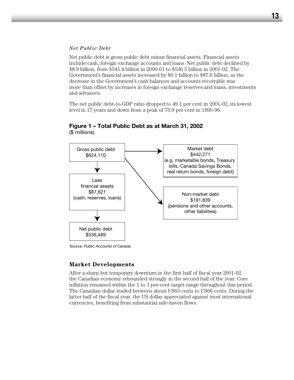#### *Net Public Debt*

Net public debt is gross public debt minus financial assets. Financial assets include cash, foreign exchange accounts and loans. Net public debt declined by \$8.9 billion, from \$545.4 billion in 2000-01 to \$536.5 billion in 2001-02. The Government's financial assets increased by \$0.1 billion to \$87.6 billion, as the decrease in the Government's cash balances and accounts receivable was more than offset by increases in foreign exchange reserves and loans, investments and advances.

The net public debt-to-GDP ratio dropped to 49.1 per cent in 2001-02, its lowest level in 17 years and down from a peak of 70.9 per cent in 1995-96.



#### **Figure 1 – Total Public Debt as at March 31, 2002**  (\$ millions)

Source: *Public Accounts of Canada.*

#### **Market Developments**

After a sharp but temporary downturn in the first half of fiscal year 2001-02, the Canadian economy rebounded strongly in the second half of the year. Core inflation remained within the 1 to 3 per cent target range throughout this period. The Canadian dollar traded between about US63 cents to US66 cents. During the latter half of the fiscal year, the US dollar appreciated against most international currencies, benefiting from substantial safe-haven flows.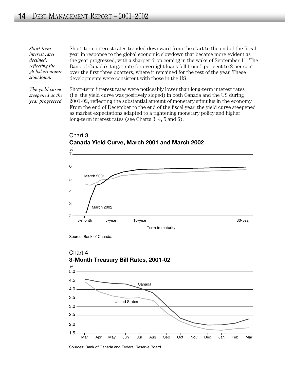*Short-term interest rates declined, reflecting the global economic slowdown.*

*The yield curve steepened as the year progressed.* 

Short-term interest rates trended downward from the start to the end of the fiscal year in response to the global economic slowdown that became more evident as the year progressed, with a sharper drop coming in the wake of September 11. The Bank of Canada's target rate for overnight loans fell from 5 per cent to 2 per cent over the first three quarters, where it remained for the rest of the year. These developments were consistent with those in the US.

Short-term interest rates were noticeably lower than long-term interest rates (i.e. the yield curve was positively sloped) in both Canada and the US during 2001-02, reflecting the substantial amount of monetary stimulus in the economy. From the end of December to the end of the fiscal year, the yield curve steepened as market expectations adapted to a tightening monetary policy and higher long-term interest rates (see Charts 3, 4, 5 and 6).



Chart 3 **Canada Yield Curve, March 2001 and March 2002**

Source: Bank of Canada.



Sources: Bank of Canada and Federal Reserve Board.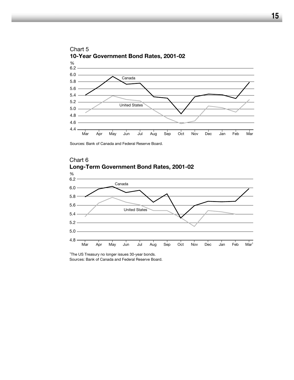

Sources: Bank of Canada and Federal Reserve Board.



### Chart 6 **Long-Term Government Bond Rates, 2001-02**

<sup>1</sup>The US Treasury no longer issues 30-year bonds.

Sources: Bank of Canada and Federal Reserve Board.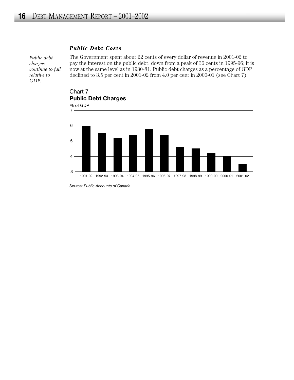#### *Public Debt Costs*

*Public debt charges continue to fall relative to GDP.*

The Government spent about 22 cents of every dollar of revenue in 2001-02 to pay the interest on the public debt, down from a peak of 36 cents in 1995-96; it is now at the same level as in 1980-81. Public debt charges as a percentage of GDP declined to 3.5 per cent in 2001-02 from 4.0 per cent in 2000-01 (see Chart 7).



Chart 7

Source: *Public Accounts of Canada*.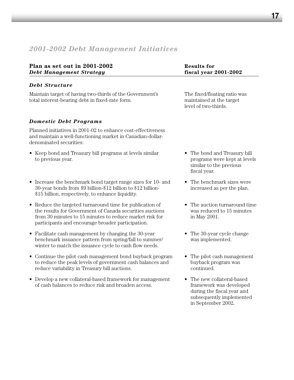# *2001-2002 Debt Management Initiatives*

| Plan as set out in 2001-2002<br><b>Debt Management Strategy</b>                                                                                                                                                                                 | <b>Results for</b><br>fiscal year 2001-2002                                                                                         |  |  |
|-------------------------------------------------------------------------------------------------------------------------------------------------------------------------------------------------------------------------------------------------|-------------------------------------------------------------------------------------------------------------------------------------|--|--|
| <b>Debt Structure</b>                                                                                                                                                                                                                           |                                                                                                                                     |  |  |
| Maintain target of having two-thirds of the Government's<br>total interest-bearing debt in fixed-rate form.                                                                                                                                     | The fixed/floating ratio was<br>maintained at the target<br>level of two-thirds.                                                    |  |  |
| <b>Domestic Debt Programs</b>                                                                                                                                                                                                                   |                                                                                                                                     |  |  |
| Planned initiatives in 2001-02 to enhance cost-effectiveness<br>and maintain a well-functioning market in Canadian-dollar-<br>denominated securities:                                                                                           |                                                                                                                                     |  |  |
| • Keep bond and Treasury bill programs at levels similar<br>to previous year.                                                                                                                                                                   | The bond and Treasury bill<br>programs were kept at levels<br>similar to the previous<br>fiscal year.                               |  |  |
| Increase the benchmark bond target range sizes for 10- and<br>30-year bonds from \$9 billion-\$12 billion to \$12 billion-<br>\$15 billion, respectively, to enhance liquidity.                                                                 | The benchmark sizes were<br>increased as per the plan.                                                                              |  |  |
| Reduce the targeted turnaround time for publication of<br>$\bullet$<br>the results for Government of Canada securities auctions<br>from 30 minutes to 15 minutes to reduce market risk for<br>participants and encourage broader participation. | The auction turnaround time<br>was reduced to 15 minutes<br>in May 2001.                                                            |  |  |
| Facilitate cash management by changing the 30-year<br>$\bullet$<br>benchmark issuance pattern from spring/fall to summer/<br>winter to match the issuance cycle to cash flow needs.                                                             | The 30-year cycle change<br>was implemented.                                                                                        |  |  |
| Continue the pilot cash management bond buyback program<br>to reduce the peak levels of government cash balances and<br>reduce variability in Treasury bill auctions.                                                                           | The pilot cash management<br>٠<br>buyback program was<br>continued.                                                                 |  |  |
| Develop a new collateral-based framework for management<br>of cash balances to reduce risk and broaden access.                                                                                                                                  | The new collateral-based<br>framework was developed<br>during the fiscal year and<br>subsequently implemented<br>in September 2002. |  |  |
|                                                                                                                                                                                                                                                 |                                                                                                                                     |  |  |
|                                                                                                                                                                                                                                                 |                                                                                                                                     |  |  |
|                                                                                                                                                                                                                                                 |                                                                                                                                     |  |  |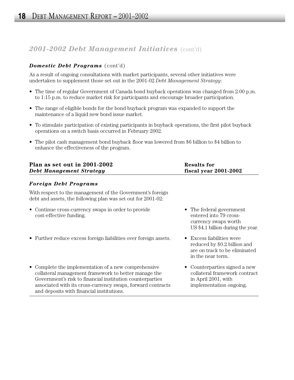# *2001-2002 Debt Management Initiatives* (cont'd)

# *Domestic Debt Programs* (cont'd)

As a result of ongoing consultations with market participants, several other initiatives were undertaken to supplement those set out in the 2001-02 *Debt Management Strategy*:

- The time of regular Government of Canada bond buyback operations was changed from 2:00 p.m. to 1:15 p.m. to reduce market risk for participants and encourage broader participation.
- The range of eligible bonds for the bond buyback program was expanded to support the maintenance of a liquid new bond issue market.
- To stimulate participation of existing participants in buyback operations, the first pilot buyback operations on a switch basis occurred in February 2002.
- The pilot cash management bond buyback floor was lowered from \$6 billion to \$4 billion to enhance the effectiveness of the program.

| Plan as set out in 2001-2002    | Results for           |
|---------------------------------|-----------------------|
| <b>Debt Management Strategy</b> | fiscal year 2001-2002 |

### *Foreign Debt Programs*

With respect to the management of the Government's foreign debt and assets, the following plan was set out for 2001-02:

- Continue cross-currency swaps in order to provide The federal government cost-effective funding. entered into 79 cross-
- Further reduce excess foreign liabilities over foreign assets. Excess liabilities were
- Complete the implementation of a new comprehensive Counterparties signed a new collateral management framework to better manage the collateral framework contract Government's risk to financial institution counterparties in April 2001, with associated with its cross-currency swaps, forward contracts implementation ongoing. and deposits with financial institutions.
- currency swaps worth US \$4.1 billion during the year.
- reduced by \$0.2 billion and are on track to be eliminated in the near term.
	-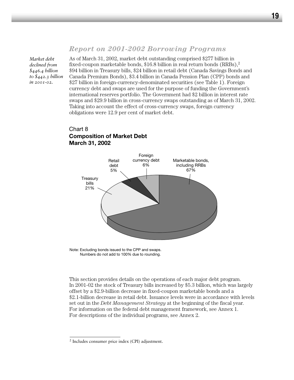# *Report on 2001-2002 Borrowing Programs*

*Market debt declined from \$446.4 billion to \$442.3 billion in 2001-02.*

As of March 31, 2002, market debt outstanding comprised \$277 billion in fixed-coupon marketable bonds, \$16.8 billion in real return bonds  $(RRBs)$ ,<sup>2</sup> \$94 billion in Treasury bills, \$24 billion in retail debt (Canada Savings Bonds and Canada Premium Bonds), \$3.4 billion in Canada Pension Plan (CPP) bonds and \$27 billion in foreign-currency-denominated securities (see Table 1). Foreign currency debt and swaps are used for the purpose of funding the Government's international reserves portfolio. The Government had \$2 billion in interest rate swaps and \$29.9 billion in cross-currency swaps outstanding as of March 31, 2002. Taking into account the effect of cross-currency swaps, foreign currency obligations were 12.9 per cent of market debt.

# Chart 8 **Composition of Market Debt March 31, 2002**



Note: Excluding bonds issued to the CPP and swaps. Numbers do not add to 100% due to rounding.

This section provides details on the operations of each major debt program. In 2001-02 the stock of Treasury bills increased by \$5.3 billion, which was largely offset by a \$2.9-billion decrease in fixed-coupon marketable bonds and a \$2.1-billion decrease in retail debt. Issuance levels were in accordance with levels set out in the *Debt Management Strategy* at the beginning of the fiscal year. For information on the federal debt management framework, see Annex 1. For descriptions of the individual programs, see Annex 2.

<sup>2</sup> Includes consumer price index (CPI) adjustment.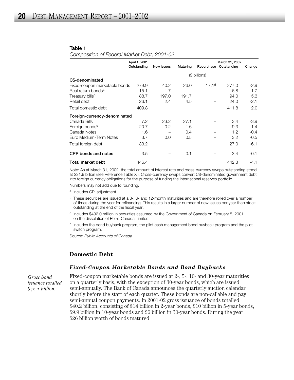#### **Table 1**

*Composition of Federal Market Debt, 2001-02*

|                                | April 1, 2001                |            |          |                   | March 31, 2002 |        |
|--------------------------------|------------------------------|------------|----------|-------------------|----------------|--------|
|                                | Outstanding                  | New issues | Maturing | Repurchase        | Outstanding    | Change |
|                                |                              |            |          | (\$ billions)     |                |        |
| C\$-denominated                |                              |            |          |                   |                |        |
| Fixed-coupon marketable bonds  | 279.9                        | 40.2       | 26.0     | 17.1 <sup>d</sup> | 277.0          | $-2.9$ |
| Real return bonds <sup>a</sup> | 15.1                         | 1.7        |          |                   | 16.8           | 1.7    |
| Treasury bills <sup>b</sup>    | 88.7                         | 197.0      | 191.7    |                   | 94.0           | 5.3    |
| Retail debt                    | 26.1                         | 2.4        | 4.5      |                   | 24.0           | $-2.1$ |
| Total domestic debt            | 409.8                        |            |          |                   | 411.8          | 2.0    |
|                                | Foreign-currency-denominated |            |          |                   |                |        |
| Canada Bills                   | 7.2                          | 23.2       | 27.1     |                   | 3.4            | $-3.9$ |
| Foreign bonds <sup>c</sup>     | 20.7                         | 0.2        | 1.6      |                   | 19.3           | $-1.4$ |
| Canada Notes                   | 1.6                          |            | 0.4      |                   | 1.2            | $-0.4$ |
| Euro Medium-Term Notes         | 3.7                          | 0.0        | 0.5      |                   | 3.2            | $-0.5$ |
| Total foreign debt             | 33.2                         |            |          |                   | 27.0           | $-6.1$ |
| CPP bonds and notes            | 3.5                          |            | 0.1      |                   | 3.4            | $-0.1$ |
| Total market debt              | 446.4                        |            |          |                   | 442.3          | $-4.1$ |

Note: As at March 31, 2002, the total amount of interest rate and cross-currency swaps outstanding stood at \$31.9 billion (see Reference Table XI). Cross-currency swaps convert C\$-denominated government debt into foreign currency obligations for the purpose of funding the international reserves portfolio.

Numbers may not add due to rounding.

- <sup>a</sup> Includes CPI adjustment.
- $<sup>b</sup>$  These securities are issued at a 3-, 6- and 12-month maturities and are therefore rolled over a number</sup> of times during the year for refinancing. This results in a larger number of new issues per year than stock outstanding at the end of the fiscal year.
- <sup>c</sup> Includes \$492.0 million in securities assumed by the Government of Canada on February 5, 2001, on the dissolution of Petro-Canada Limited.
- $d$  Includes the bond buyback program, the pilot cash management bond buyback program and the pilot switch program.

Source: *Public Accounts of Canada.*

#### **Domestic Debt**

#### *Fixed-Coupon Marketable Bonds and Bond Buybacks*

*Gross bond issuance totalled \$40.2 billion.*

Fixed-coupon marketable bonds are issued at 2-, 5-, 10- and 30-year maturities on a quarterly basis, with the exception of 30-year bonds, which are issued semi-annually. The Bank of Canada announces the quarterly auction calendar shortly before the start of each quarter. These bonds are non-callable and pay semi-annual coupon payments. In 2001-02 gross issuance of bonds totalled \$40.2 billion, consisting of \$14 billion in 2-year bonds, \$10 billion in 5-year bonds, \$9.9 billion in 10-year bonds and \$6 billion in 30-year bonds. During the year \$26 billion worth of bonds matured.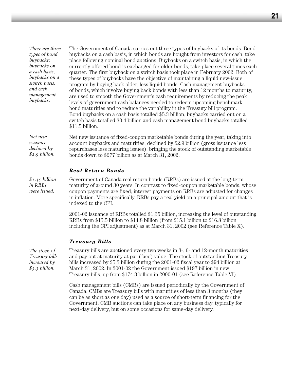*There are three types of bond buybacks: buybacks on a cash basis, buybacks on a switch basis, and cash management buybacks.* 

The Government of Canada carries out three types of buybacks of its bonds. Bond buybacks on a cash basis, in which bonds are bought from investors for cash, take place following nominal bond auctions. Buybacks on a switch basis, in which the currently offered bond is exchanged for older bonds, take place several times each quarter. The first buyback on a switch basis took place in February 2002. Both of these types of buybacks have the objective of maintaining a liquid new-issue program by buying back older, less liquid bonds. Cash management buybacks of bonds, which involve buying back bonds with less than 12 months to maturity, are used to smooth the Government's cash requirements by reducing the peak levels of government cash balances needed to redeem upcoming benchmark bond maturities and to reduce the variability in the Treasury bill program. Bond buybacks on a cash basis totalled \$5.3 billion, buybacks carried out on a switch basis totalled \$0.4 billion and cash management bond buybacks totalled \$11.5 billion.

*Net new issuance declined by \$2.9 billion.* Net new issuance of fixed-coupon marketable bonds during the year, taking into account buybacks and maturities, declined by \$2.9 billion (gross issuance less repurchases less maturing issues), bringing the stock of outstanding marketable bonds down to \$277 billion as at March 31, 2002.

#### *Real Return Bonds*

Government of Canada real return bonds (RRBs) are issued at the long-term maturity of around 30 years. In contrast to fixed-coupon marketable bonds, whose coupon payments are fixed, interest payments on RRBs are adjusted for changes in inflation. More specifically, RRBs pay a real yield on a principal amount that is indexed to the CPI. *\$1.35 billion in RRBs were issued.*

> 2001-02 issuance of RRBs totalled \$1.35 billion, increasing the level of outstanding RRBs from \$13.5 billion to \$14.8 billion (from \$15.1 billion to \$16.8 billion including the CPI adjustment) as at March 31, 2002 (see Reference Table X).

#### *Treasury Bills*

*The stock of Treasury bills increased by \$5.3 billion.*

Treasury bills are auctioned every two weeks in 3-, 6- and 12-month maturities and pay out at maturity at par (face) value. The stock of outstanding Treasury bills increased by \$5.3 billion during the 2001-02 fiscal year to \$94 billion at March 31, 2002. In 2001-02 the Government issued \$197 billion in new Treasury bills, up from \$174.3 billion in 2000-01 (see Reference Table VI).

Cash management bills (CMBs) are issued periodically by the Government of Canada. CMBs are Treasury bills with maturities of less than 3 months (they can be as short as one day) used as a source of short-term financing for the Government. CMB auctions can take place on any business day, typically for next-day delivery, but on some occasions for same-day delivery.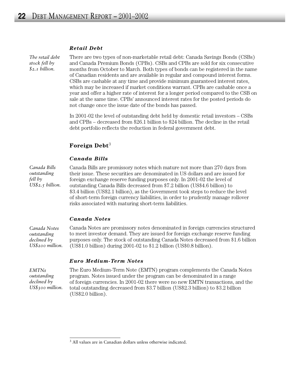#### *Retail Debt*

*The retail debt stock fell by \$2.1 billion.* 

There are two types of non-marketable retail debt: Canada Savings Bonds (CSBs) and Canada Premium Bonds (CPBs). CSBs and CPBs are sold for six consecutive months from October to March. Both types of bonds can be registered in the name of Canadian residents and are available in regular and compound interest forms. CSBs are cashable at any time and provide minimum guaranteed interest rates, which may be increased if market conditions warrant. CPBs are cashable once a year and offer a higher rate of interest for a longer period compared to the CSB on sale at the same time. CPBs' announced interest rates for the posted periods do not change once the issue date of the bonds has passed.

In 2001-02 the level of outstanding debt held by domestic retail investors – CSBs and CPBs – decreased from \$26.1 billion to \$24 billion. The decline in the retail debt portfolio reflects the reduction in federal government debt.

### **Foreign Debt**<sup>3</sup>

#### *Canada Bills*

*Canada Bills outstanding fell by US\$2.5 billion.* Canada Bills are promissory notes which mature not more than 270 days from their issue. These securities are denominated in US dollars and are issued for foreign exchange reserve funding purposes only. In 2001-02 the level of outstanding Canada Bills decreased from \$7.2 billion (US\$4.6 billion) to \$3.4 billion (US\$2.1 billion), as the Government took steps to reduce the level of short-term foreign currency liabilities, in order to prudently manage rollover risks associated with maturing short-term liabilities.

#### *Canada Notes*

Canada Notes are promissory notes denominated in foreign currencies structured to meet investor demand. They are issued for foreign exchange reserve funding purposes only. The stock of outstanding Canada Notes decreased from \$1.6 billion (US\$1.0 billion) during 2001-02 to \$1.2 billion (US\$0.8 billion). *Canada Notes outstanding declined by US\$200 million.*

#### *Euro Medium-Term Notes*

*EMTNs outstanding declined by US\$300 million.* The Euro Medium-Term Note (EMTN) program complements the Canada Notes program. Notes issued under the program can be denominated in a range of foreign currencies. In 2001-02 there were no new EMTN transactions, and the total outstanding decreased from \$3.7 billion (US\$2.3 billion) to \$3.2 billion (US\$2.0 billion).

<sup>3</sup> All values are in Canadian dollars unless otherwise indicated.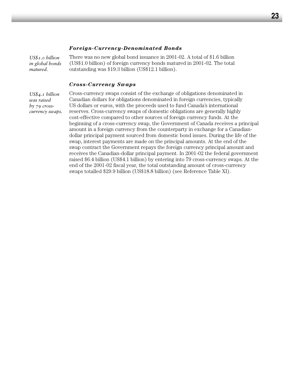#### *Foreign-Currency-Denominated Bonds*

*US\$1.0 billion in global bonds matured.*

There was no new global bond issuance in 2001-02. A total of \$1.6 billion (US\$1.0 billion) of foreign currency bonds matured in 2001-02. The total outstanding was \$19.3 billion (US\$12.1 billion).

#### *Cross-Currency Swaps*

*US\$4.1 billion was raised by 79 crosscurrency swaps.*

Cross-currency swaps consist of the exchange of obligations denominated in Canadian dollars for obligations denominated in foreign currencies, typically US dollars or euros, with the proceeds used to fund Canada's international reserves. Cross-currency swaps of domestic obligations are generally highly cost-effective compared to other sources of foreign currency funds. At the beginning of a cross-currency swap, the Government of Canada receives a principal amount in a foreign currency from the counterparty in exchange for a Canadiandollar principal payment sourced from domestic bond issues. During the life of the swap, interest payments are made on the principal amounts. At the end of the swap contract the Government repays the foreign currency principal amount and receives the Canadian-dollar principal payment. In 2001-02 the federal government raised \$6.4 billion (US\$4.1 billion) by entering into 79 cross-currency swaps. At the end of the 2001-02 fiscal year, the total outstanding amount of cross-currency swaps totalled \$29.9 billion (US\$18.8 billion) (see Reference Table XI).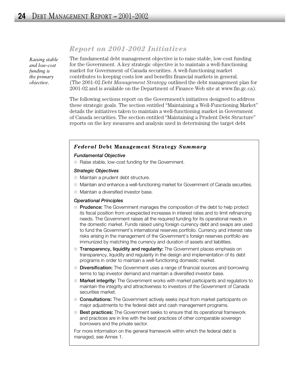*Raising stable and low-cost funding is the primary objective.* 

# *Report on 2001-2002 Initiatives*

The fundamental debt management objective is to raise stable, low-cost funding for the Government. A key strategic objective is to maintain a well-functioning market for Government of Canada securities. A well-functioning market contributes to keeping costs low and benefits financial markets in general. (The 2001-02 *Debt Management Strategy* outlined the debt management plan for 2001-02 and is available on the Department of Finance Web site at www.fin.gc.ca).

The following sections report on the Government's initiatives designed to address these strategic goals. The section entitled "Maintaining a Well-Functioning Market" details the initiatives taken to maintain a well-functioning market in Government of Canada securities. The section entitled "Maintaining a Prudent Debt Structure" reports on the key measures and analysis used in determining the target debt

#### *Federal* **Debt Management Strategy** *Summary*

#### *Fundamental Objective*

■ Raise stable, low-cost funding for the Government.

#### *Strategic Objectives*

- Maintain a prudent debt structure.
- Maintain and enhance a well-functioning market for Government of Canada securities.
- Maintain a diversified investor base.

#### *Operational Principles*

- **Prudence:** The Government manages the composition of the debt to help protect its fiscal position from unexpected increases in interest rates and to limit refinancing needs. The Government raises all the required funding for its operational needs in the domestic market. Funds raised using foreign currency debt and swaps are used to fund the Government's international reserves portfolio. Currency and interest rate risks arising in the management of the Government's foreign reserves portfolio are immunized by matching the currency and duration of assets and liabilities.
- **Transparency, liquidity and regularity:** The Government places emphasis on transparency, liquidity and regularity in the design and implementation of its debt programs in order to maintain a well-functioning domestic market.
- **Diversification:** The Government uses a range of financial sources and borrowing terms to tap investor demand and maintain a diversified investor base.
- **Market integrity:** The Government works with market participants and regulators to maintain the integrity and attractiveness to investors of the Government of Canada securities market.
- **Consultations:** The Government actively seeks input from market participants on major adjustments to the federal debt and cash management programs.
- **Best practices:** The Government seeks to ensure that its operational framework and practices are in line with the best practices of other comparable sovereign borrowers and the private sector.

For more information on the general framework within which the federal debt is managed, see Annex 1.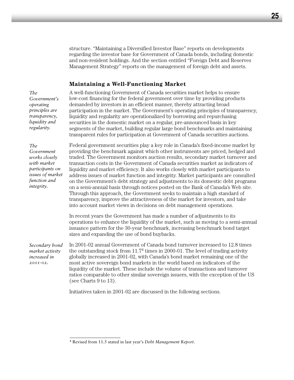structure. "Maintaining a Diversified Investor Base" reports on developments regarding the investor base for Government of Canada bonds, including domestic and non-resident holdings. And the section entitled "Foreign Debt and Reserves Management Strategy" reports on the management of foreign debt and assets.

#### **Maintaining a Well-Functioning Market**

*The Government's operating principles are transparency, liquidity and regularity.*

A well-functioning Government of Canada securities market helps to ensure low-cost financing for the federal government over time by providing products demanded by investors in an efficient manner, thereby attracting broad participation in the market. The Government's operating principles of transparency, liquidity and regularity are operationalized by borrowing and repurchasing securities in the domestic market on a regular, pre-announced basis in key segments of the market, building regular large bond benchmarks and maintaining transparent rules for participation at Government of Canada securities auctions.

*The Government works closely with market participants on issues of market function and integrity.*

Federal government securities play a key role in Canada's fixed-income market by providing the benchmark against which other instruments are priced, hedged and traded. The Government monitors auction results, secondary market turnover and transaction costs in the Government of Canada securities market as indicators of liquidity and market efficiency. It also works closely with market participants to address issues of market function and integrity. Market participants are consulted on the Government's debt strategy and adjustments to its domestic debt programs on a semi-annual basis through notices posted on the Bank of Canada's Web site. Through this approach, the Government seeks to maintain a high standard of transparency, improve the attractiveness of the market for investors, and take into account market views in decisions on debt management operations.

In recent years the Government has made a number of adjustments to its operations to enhance the liquidity of the market, such as moving to a semi-annual issuance pattern for the 30-year benchmark, increasing benchmark bond target sizes and expanding the use of bond buybacks.

In 2001-02 annual Government of Canada bond turnover increased to 12.8 times the outstanding stock from 11.74 times in 2000-01. The level of trading activity globally increased in 2001-02, with Canada's bond market remaining one of the most active sovereign bond markets in the world based on indicators of the liquidity of the market. These include the volume of transactions and turnover ratios comparable to other similar sovereign issuers, with the exception of the US (see Charts 9 to 13). *Secondary bond market activity increased in 2001-02.*

Initiatives taken in 2001-02 are discussed in the following sections.

<sup>4</sup> Revised from 11.5 stated in last year's *Debt Management Report*.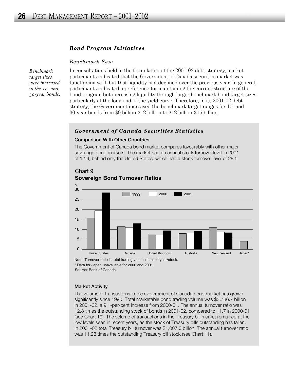#### *Bond Program Initiatives*

#### *Benchmark Size*

*Benchmark target sizes were increased in the 10- and 30-year bonds.* In consultations held in the formulation of the 2001-02 debt strategy, market participants indicated that the Government of Canada securities market was functioning well, but that liquidity had declined over the previous year. In general, participants indicated a preference for maintaining the current structure of the bond program but increasing liquidity through larger benchmark bond target sizes, particularly at the long end of the yield curve. Therefore, in its 2001-02 debt strategy, the Government increased the benchmark target ranges for 10- and 30-year bonds from \$9 billion-\$12 billion to \$12 billion-\$15 billion.

#### *Government of Canada Securities Statistics*

#### **Comparison With Other Countries**

The Government of Canada bond market compares favourably with other major sovereign bond markets. The market had an annual stock turnover level in 2001 of 12.9, behind only the United States, which had a stock turnover level of 28.5.



#### Chart 9 **Sovereign Bond Turnover Ratios**

Note: Turnover ratio is total trading volume in each year/stock.

\* Data for Japan unavailable for 2000 and 2001.

Source: Bank of Canada.

#### **Market Activity**

The volume of transactions in the Government of Canada bond market has grown significantly since 1990. Total marketable bond trading volume was \$3,736.7 billion in 2001-02, a 9.1-per-cent increase from 2000-01. The annual turnover ratio was 12.8 times the outstanding stock of bonds in 2001-02, compared to 11.7 in 2000-01 (see Chart 10). The volume of transactions in the Treasury bill market remained at the low levels seen in recent years, as the stock of Treasury bills outstanding has fallen. In 2001-02 total Treasury bill turnover was \$1,007.0 billion. The annual turnover ratio was 11.28 times the outstanding Treasury bill stock (see Chart 11).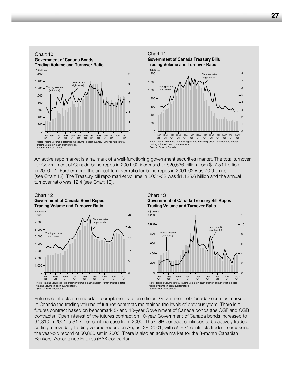

An active repo market is a hallmark of a well-functioning government securities market. The total turnover for Government of Canada bond repos in 2001-02 increased to \$20,536 billion from \$17,511 billion in 2000-01. Furthermore, the annual turnover ratio for bond repos in 2001-02 was 70.9 times (see Chart 12). The Treasury bill repo market volume in 2001-02 was \$1,125.6 billion and the annual turnover ratio was 12.4 (see Chart 13).

#### Chart 12 **Government of Canada Bond Repos**



#### Chart 13 **Government of Canada Treasury Bill Repos Trading Volume and Turnover Ratio**



Futures contracts are important complements to an efficient Government of Canada securities market. In Canada the trading volume of futures contracts maintained the levels of previous years. There is a futures contract based on benchmark 5- and 10-year Government of Canada bonds (the CGF and CGB contracts). Open interest of the futures contract on 10-year Government of Canada bonds increased to 64,310 in 2001, a 31.7-per-cent increase from 2000. The CGB contract continues to be actively traded, setting a new daily trading volume record on August 28, 2001, with 55,934 contracts traded, surpassing the year-old record of 50,880 set in 2000. There is also an active market for the 3-month Canadian Bankers' Acceptance Futures (BAX contracts).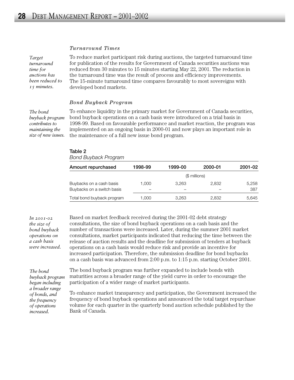#### *Turnaround Times*

*Target turnaround time for auctions has been reduced to 15 minutes.* 

To reduce market participant risk during auctions, the targeted turnaround time for publication of the results for Government of Canada securities auctions was reduced from 30 minutes to 15 minutes starting May 22, 2001. The reduction in the turnaround time was the result of process and efficiency improvements. The 15-minute turnaround time compares favourably to most sovereigns with developed bond markets.

#### *Bond Buyback Program*

*The bond buyback program contributes to maintaining the size of new issues.*  To enhance liquidity in the primary market for Government of Canada securities, bond buyback operations on a cash basis were introduced on a trial basis in 1998-99. Based on favourable performance and market reaction, the program was implemented on an ongoing basis in 2000-01 and now plays an important role in the maintenance of a full new issue bond program.

| Table |  |
|-------|--|
|-------|--|

| <b>Bond Buyback Program</b> |         |         |               |         |  |
|-----------------------------|---------|---------|---------------|---------|--|
| Amount repurchased          | 1998-99 | 1999-00 | 2000-01       | 2001-02 |  |
|                             |         |         | $$$ millions) |         |  |
| Buybacks on a cash basis    | 1.000   | 3.263   | 2.832         | 5,258   |  |
| Buybacks on a switch basis  |         |         |               | 387     |  |
| Total bond buyback program  | 1.000   | 3.263   | 2,832         | 5.645   |  |

*In 2001-02 the size of bond buyback operations on a cash basis were increased.* Based on market feedback received during the 2001-02 debt strategy consultations, the size of bond buyback operations on a cash basis and the number of transactions were increased. Later, during the summer 2001 market consultations, market participants indicated that reducing the time between the release of auction results and the deadline for submission of tenders at buyback operations on a cash basis would reduce risk and provide an incentive for increased participation. Therefore, the submission deadline for bond buybacks on a cash basis was advanced from 2:00 p.m. to 1:15 p.m. starting October 2001.

*The bond buyback program began including a broader range of bonds, and the frequency of operations increased.*

The bond buyback program was further expanded to include bonds with maturities across a broader range of the yield curve in order to encourage the participation of a wider range of market participants.

To enhance market transparency and participation, the Government increased the frequency of bond buyback operations and announced the total target repurchase volume for each quarter in the quarterly bond auction schedule published by the Bank of Canada.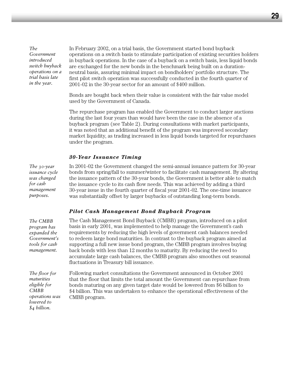*The Government introduced switch buyback operations on a trial basis late in the year.* 

In February 2002, on a trial basis, the Government started bond buyback operations on a switch basis to stimulate participation of existing securities holders in buyback operations. In the case of a buyback on a switch basis, less liquid bonds are exchanged for the new bonds in the benchmark being built on a durationneutral basis, assuring minimal impact on bondholders' portfolio structure. The first pilot switch operation was successfully conducted in the fourth quarter of 2001-02 in the 30-year sector for an amount of \$400 million.

Bonds are bought back when their value is consistent with the fair value model used by the Government of Canada.

The repurchase program has enabled the Government to conduct larger auctions during the last four years than would have been the case in the absence of a buyback program (see Table 2). During consultations with market participants, it was noted that an additional benefit of the program was improved secondary market liquidity, as trading increased in less liquid bonds targeted for repurchases under the program.

#### *30-Year Issuance Timing*

*The 30-year issuance cycle was changed for cash management purposes.*

*The CMBB program has expanded the Government's tools for cash management.* 

In 2001-02 the Government changed the semi-annual issuance pattern for 30-year bonds from spring/fall to summer/winter to facilitate cash management. By altering the issuance pattern of the 30-year bonds, the Government is better able to match the issuance cycle to its cash flow needs. This was achieved by adding a third 30-year issue in the fourth quarter of fiscal year 2001-02. The one-time issuance was substantially offset by larger buybacks of outstanding long-term bonds.

#### *Pilot Cash Management Bond Buyback Program*

The Cash Management Bond Buyback (CMBB) program, introduced on a pilot basis in early 2001, was implemented to help manage the Government's cash requirements by reducing the high levels of government cash balances needed to redeem large bond maturities. In contrast to the buyback program aimed at supporting a full new issue bond program, the CMBB program involves buying back bonds with less than 12 months to maturity. By reducing the need to accumulate large cash balances, the CMBB program also smoothes out seasonal fluctuations in Treasury bill issuance.

*The floor for maturities eligible for CMBB operations was lowered to \$4 billion.* 

Following market consultations the Government announced in October 2001 that the floor that limits the total amount the Government can repurchase from bonds maturing on any given target date would be lowered from \$6 billion to \$4 billion. This was undertaken to enhance the operational effectiveness of the CMBB program.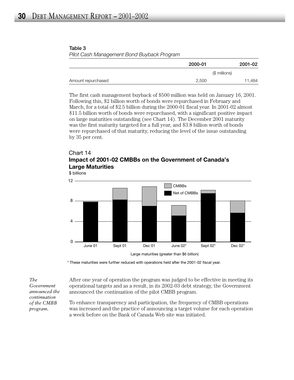#### **Table 3** *Pilot Cash Management Bond Buyback Program*

|                    | 2000-01       | 2001-02 |
|--------------------|---------------|---------|
|                    | (\$ millions) |         |
| Amount repurchased | 2,500         | 11,484  |

The first cash management buyback of \$500 million was held on January 16, 2001. Following this, \$2 billion worth of bonds were repurchased in February and March, for a total of \$2.5 billion during the 2000-01 fiscal year. In 2001-02 almost \$11.5 billion worth of bonds were repurchased, with a significant positive impact on large maturities outstanding (see Chart 14). The December 2001 maturity was the first maturity targeted for a full year, and \$3.8 billion worth of bonds were repurchased of that maturity, reducing the level of the issue outstanding by 35 per cent.

# Chart 14 **Impact of 2001-02 CMBBs on the Government of Canada's Large Maturities**



\* These maturities were further reduced with operations held after the 2001-02 fiscal year.

*The Government announced the continuation of the CMBB program.*

After one year of operation the program was judged to be effective in meeting its operational targets and as a result, in its 2002-03 debt strategy, the Government announced the continuation of the pilot CMBB program.

To enhance transparency and participation, the frequency of CMBB operations was increased and the practice of announcing a target volume for each operation a week before on the Bank of Canada Web site was initiated.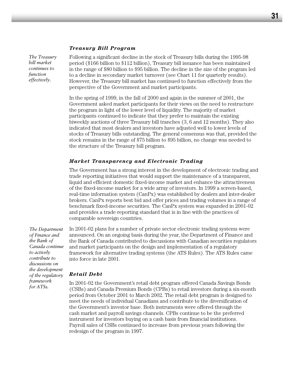#### *Treasury Bill Program*

*The Treasury bill market continues to function effectively.*

Following a significant decline in the stock of Treasury bills during the 1995-98 period (\$166 billion to \$112 billion), Treasury bill issuance has been maintained in the range of \$80 billion to \$95 billion. The decline in the size of the program led to a decline in secondary market turnover (see Chart 11 for quarterly results). However, the Treasury bill market has continued to function effectively from the perspective of the Government and market participants.

In the spring of 1999, in the fall of 2000 and again in the summer of 2001, the Government asked market participants for their views on the need to restructure the program in light of the lower level of liquidity. The majority of market participants continued to indicate that they prefer to maintain the existing biweekly auctions of three Treasury bill tranches (3, 6 and 12 months). They also indicated that most dealers and investors have adjusted well to lower levels of stocks of Treasury bills outstanding. The general consensus was that, provided the stock remains in the range of \$75 billion to \$95 billion, no change was needed to the structure of the Treasury bill program.

#### *Market Transparency and Electronic Trading*

The Government has a strong interest in the development of electronic trading and trade reporting initiatives that would support the maintenance of a transparent, liquid and efficient domestic fixed-income market and enhance the attractiveness of the fixed-income market for a wide array of investors. In 1999 a screen-based, real-time information system (CanPx) was established by dealers and inter-dealer brokers. CanPx reports best bid and offer prices and trading volumes in a range of benchmark fixed-income securities. The CanPx system was expanded in 2001-02 and provides a trade reporting standard that is in line with the practices of comparable sovereign countries.

*The Department of Finance and the Bank of Canada continue to actively contribute to discussions on the development of the regulatory framework for ATSs.*

In 2001-02 plans for a number of private sector electronic trading systems were announced. On an ongoing basis during the year, the Department of Finance and the Bank of Canada contributed to discussions with Canadian securities regulators and market participants on the design and implementation of a regulatory framework for alternative trading systems (the ATS Rules). The ATS Rules came into force in late 2001.

#### *Retail Debt*

In 2001-02 the Government's retail debt program offered Canada Savings Bonds (CSBs) and Canada Premium Bonds (CPBs) to retail investors during a six-month period from October 2001 to March 2002. The retail debt program is designed to meet the needs of individual Canadians and contribute to the diversification of the Government's investor base. Both instruments were offered through the cash market and payroll savings channels. CPBs continue to be the preferred instrument for investors buying on a cash basis from financial institutions. Payroll sales of CSBs continued to increase from previous years following the redesign of the program in 1997.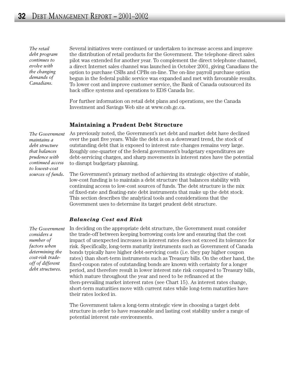*The retail debt program continues to evolve with the changing demands of Canadians.*

Several initiatives were continued or undertaken to increase access and improve the distribution of retail products for the Government. The telephone direct sales pilot was extended for another year. To complement the direct telephone channel, a direct Internet sales channel was launched in October 2001, giving Canadians the option to purchase CSBs and CPBs on-line. The on-line payroll purchase option begun in the federal public service was expanded and met with favourable results. To lower cost and improve customer service, the Bank of Canada outsourced its back office systems and operations to EDS Canada Inc.

For further information on retail debt plans and operations, see the Canada Investment and Savings Web site at www.csb.gc.ca.

#### **Maintaining a Prudent Debt Structure**

*The Government maintains a debt structure that balances prudence with continued access to lowest-cost sources of funds.*

As previously noted, the Government's net debt and market debt have declined over the past five years. While the debt is on a downward trend, the stock of outstanding debt that is exposed to interest rate changes remains very large. Roughly one-quarter of the federal government's budgetary expenditures are debt-servicing charges, and sharp movements in interest rates have the potential to disrupt budgetary planning.

The Government's primary method of achieving its strategic objective of stable, low-cost funding is to maintain a debt structure that balances stability with continuing access to low-cost sources of funds. The debt structure is the mix of fixed-rate and floating-rate debt instruments that make up the debt stock. This section describes the analytical tools and considerations that the Government uses to determine its target prudent debt structure.

#### *Balancing Cost and Risk*

*The Government considers a number of factors when determining the cost-risk tradeoff of different debt structures.*

In deciding on the appropriate debt structure, the Government must consider the trade-off between keeping borrowing costs low and ensuring that the cost impact of unexpected increases in interest rates does not exceed its tolerance for risk. Specifically, long-term maturity instruments such as Government of Canada bonds typically have higher debt-servicing costs (i.e. they pay higher coupon rates) than short-term instruments such as Treasury bills. On the other hand, the fixed-coupon rates of outstanding bonds are known with certainty for a longer period, and therefore result in lower interest rate risk compared to Treasury bills, which mature throughout the year and need to be refinanced at the then-prevailing market interest rates (see Chart 15). As interest rates change, short-term maturities move with current rates while long-term maturities have their rates locked in.

The Government takes a long-term strategic view in choosing a target debt structure in order to have reasonable and lasting cost stability under a range of potential interest rate environments.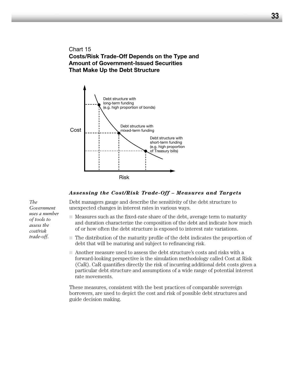Chart 15 **Costs/Risk Trade-Off Depends on the Type and Amount of Government-Issued Securities That Make Up the Debt Structure**



#### *Assessing the Cost/Risk Trade-Off – Measures and Targets*

Debt managers gauge and describe the sensitivity of the debt structure to unexpected changes in interest rates in various ways.

- Measures such as the fixed-rate share of the debt, average term to maturity and duration characterize the composition of the debt and indicate how much of or how often the debt structure is exposed to interest rate variations.
- The distribution of the maturity profile of the debt indicates the proportion of debt that will be maturing and subject to refinancing risk.
- Another measure used to assess the debt structure's costs and risks with a forward-looking perspective is the simulation methodology called Cost at Risk (CaR). CaR quantifies directly the risk of incurring additional debt costs given a particular debt structure and assumptions of a wide range of potential interest rate movements.

These measures, consistent with the best practices of comparable sovereign borrowers, are used to depict the cost and risk of possible debt structures and guide decision making.

*The Government uses a number of tools to assess the cost/risk trade-off.*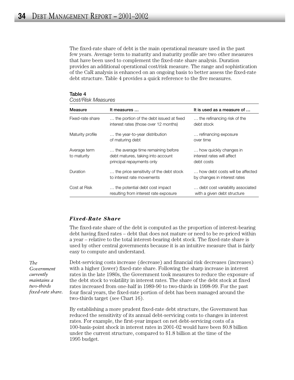The fixed-rate share of debt is the main operational measure used in the past few years. Average term to maturity and maturity profile are two other measures that have been used to complement the fixed-rate share analysis. Duration provides an additional operational cost/risk measure. The range and sophistication of the CaR analysis is enhanced on an ongoing basis to better assess the fixed-rate debt structure. Table 4 provides a quick reference to the five measures.

| ,,,,,,,,,,,,,,,,,,,,,       |                                                                                                     |                                                                    |  |  |
|-----------------------------|-----------------------------------------------------------------------------------------------------|--------------------------------------------------------------------|--|--|
| Measure                     | It measures                                                                                         | It is used as a measure of                                         |  |  |
| Fixed-rate share            | the portion of the debt issued at fixed<br>interest rates (those over 12 months)                    | the refinancing risk of the<br>debt stock                          |  |  |
| Maturity profile            | the year-to-year distribution<br>of maturing debt                                                   | refinancing exposure<br>over time                                  |  |  |
| Average term<br>to maturity | the average time remaining before<br>debt matures, taking into account<br>principal repayments only | how quickly changes in<br>interest rates will affect<br>debt costs |  |  |
| Duration                    | the price sensitivity of the debt stock<br>to interest rate movements                               | how debt costs will be affected<br>by changes in interest rates    |  |  |
| Cost at Risk                | the potential debt cost impact<br>resulting from interest rate exposure                             | debt cost variability associated<br>with a given debt structure    |  |  |

# **Table 4**

## *Cost/Risk Measures*

#### *Fixed-Rate Share*

The fixed-rate share of the debt is computed as the proportion of interest-bearing debt having fixed rates – debt that does not mature or need to be re-priced within a year – relative to the total interest-bearing debt stock. The fixed-rate share is used by other central governments because it is an intuitive measure that is fairly easy to compute and understand.

Debt-servicing costs increase (decrease) and financial risk decreases (increases) with a higher (lower) fixed-rate share. Following the sharp increase in interest rates in the late 1980s, the Government took measures to reduce the exposure of the debt stock to volatility in interest rates. The share of the debt stock at fixed rates increased from one-half in 1989-90 to two-thirds in 1998-99. For the past four fiscal years, the fixed-rate portion of debt has been managed around the two-thirds target (see Chart 16).

By establishing a more prudent fixed-rate debt structure, the Government has reduced the sensitivity of its annual debt-servicing costs to changes in interest rates. For example, the first-year impact on net debt-servicing costs of a 100-basis-point shock in interest rates in 2001-02 would have been \$0.8 billion under the current structure, compared to \$1.8 billion at the time of the 1995 budget.

*The Government currently maintains a two-thirds fixed-rate share.*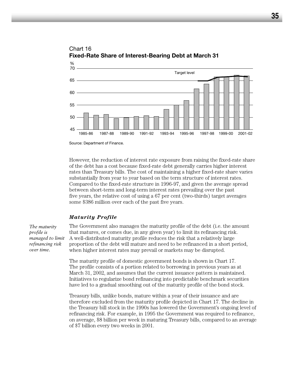

Chart 16 **Fixed-Rate Share of Interest-Bearing Debt at March 31**

However, the reduction of interest rate exposure from raising the fixed-rate share of the debt has a cost because fixed-rate debt generally carries higher interest rates than Treasury bills. The cost of maintaining a higher fixed-rate share varies substantially from year to year based on the term structure of interest rates. Compared to the fixed-rate structure in 1996-97, and given the average spread between short-term and long-term interest rates prevailing over the past five years, the relative cost of using a 67 per cent (two-thirds) target averages some \$386 million over each of the past five years.

#### *Maturity Profile*

*The maturity profile is managed to limit refinancing risk over time.* 

The Government also manages the maturity profile of the debt (i.e. the amount that matures, or comes due, in any given year) to limit its refinancing risk. A well-distributed maturity profile reduces the risk that a relatively large proportion of the debt will mature and need to be refinanced in a short period, when higher interest rates may prevail or markets may be disrupted.

The maturity profile of domestic government bonds is shown in Chart 17. The profile consists of a portion related to borrowing in previous years as at March 31, 2002, and assumes that the current issuance pattern is maintained. Initiatives to regularize bond refinancing into predictable benchmark securities have led to a gradual smoothing out of the maturity profile of the bond stock.

Treasury bills, unlike bonds, mature within a year of their issuance and are therefore excluded from the maturity profile depicted in Chart 17. The decline in the Treasury bill stock in the 1990s has lowered the Government's ongoing level of refinancing risk. For example, in 1995 the Government was required to refinance, on average, \$8 billion per week in maturing Treasury bills, compared to an average of \$7 billion every two weeks in 2001.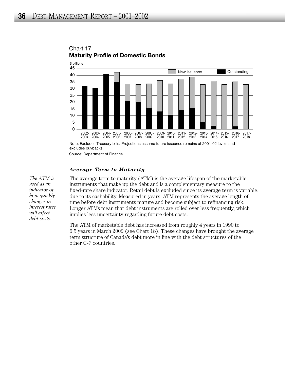

# Chart 17 **Maturity Profile of Domestic Bonds**

Note: Excludes Treasury bills. Projections assume future issuance remains at 2001-02 levels and excludes buybacks.

Source: Department of Finance.

#### *Average Term to Maturity*

*The ATM is used as an indicator of how quickly changes in interest rates will affect debt costs.* 

The average term to maturity (ATM) is the average lifespan of the marketable instruments that make up the debt and is a complementary measure to the fixed-rate share indicator. Retail debt is excluded since its average term is variable, due to its cashability. Measured in years, ATM represents the average length of time before debt instruments mature and become subject to refinancing risk. Longer ATMs mean that debt instruments are rolled over less frequently, which implies less uncertainty regarding future debt costs.

The ATM of marketable debt has increased from roughly 4 years in 1990 to 6.5 years in March 2002 (see Chart 18). These changes have brought the average term structure of Canada's debt more in line with the debt structures of the other G-7 countries.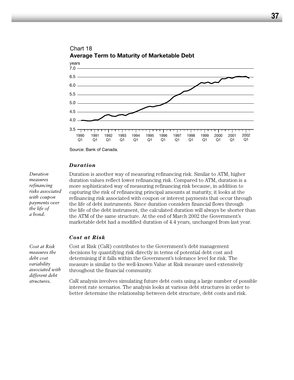

# Chart 18 **Average Term to Maturity of Marketable Debt**

*Duration*

*Duration measures refinancing risks associated with coupon payments over the life of a bond.* 

Duration is another way of measuring refinancing risk. Similar to ATM, higher duration values reflect lower refinancing risk. Compared to ATM, duration is a more sophisticated way of measuring refinancing risk because, in addition to capturing the risk of refinancing principal amounts at maturity, it looks at the refinancing risk associated with coupon or interest payments that occur through the life of debt instruments. Since duration considers financial flows through the life of the debt instrument, the calculated duration will always be shorter than the ATM of the same structure. At the end of March 2002 the Government's marketable debt had a modified duration of 4.4 years, unchanged from last year.

#### *Cost at Risk*

*Cost at Risk measures the debt cost variability associated with different debt structures.* 

Cost at Risk (CaR) contributes to the Government's debt management decisions by quantifying risk directly in terms of potential debt cost and determining if it falls within the Government's tolerance level for risk. The measure is similar to the well-known Value at Risk measure used extensively throughout the financial community.

CaR analysis involves simulating future debt costs using a large number of possible interest rate scenarios. The analysis looks at various debt structures in order to better determine the relationship between debt structure, debt costs and risk.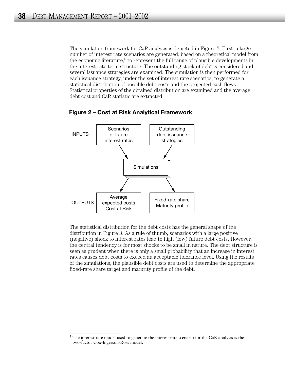The simulation framework for CaR analysis is depicted in Figure 2. First, a large number of interest rate scenarios are generated, based on a theoretical model from the economic literature,<sup>5</sup> to represent the full range of plausible developments in the interest rate term structure. The outstanding stock of debt is considered and several issuance strategies are examined. The simulation is then performed for each issuance strategy, under the set of interest rate scenarios, to generate a statistical distribution of possible debt costs and the projected cash flows. Statistical properties of the obtained distribution are examined and the average debt cost and CaR statistic are extracted.



**Figure 2 – Cost at Risk Analytical Framework** 

The statistical distribution for the debt costs has the general shape of the distribution in Figure 3. As a rule of thumb, scenarios with a large positive (negative) shock to interest rates lead to high (low) future debt costs. However, the central tendency is for most shocks to be small in nature. The debt structure is seen as prudent when there is only a small probability that an increase in interest rates causes debt costs to exceed an acceptable tolerance level. Using the results of the simulations, the plausible debt costs are used to determine the appropriate fixed-rate share target and maturity profile of the debt.

 $5$  The interest rate model used to generate the interest rate scenario for the CaR analysis is the two-factor Cox-Ingersoll-Ross model.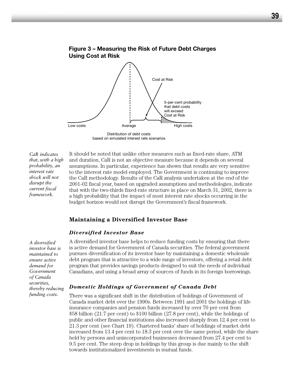

**Figure 3 – Measuring the Risk of Future Debt Charges** 

based on simulated interest rate scenarios

*CaR indicates that, with a high probability, an interest rate shock will not disrupt the current fiscal framework.* 

It should be noted that unlike other measures such as fixed-rate share, ATM and duration, CaR is not an objective measure because it depends on several assumptions. In particular, experience has shown that results are very sensitive to the interest rate model employed. The Government is continuing to improve the CaR methodology. Results of the CaR analysis undertaken at the end of the 2001-02 fiscal year, based on upgraded assumptions and methodologies, indicate that with the two-thirds fixed-rate structure in place on March 31, 2002, there is a high probability that the impact of most interest rate shocks occurring in the budget horizon would not disrupt the Government's fiscal framework.

#### **Maintaining a Diversified Investor Base**

#### *Diversified Investor Base*

*A diversified investor base is maintained to ensure active demand for Government of Canada securities, thereby reducing funding costs.*

A diversified investor base helps to reduce funding costs by ensuring that there is active demand for Government of Canada securities. The federal government pursues diversification of its investor base by maintaining a domestic wholesale debt program that is attractive to a wide range of investors, offering a retail debt program that provides savings products designed to suit the needs of individual Canadians, and using a broad array of sources of funds in its foreign borrowings.

#### *Domestic Holdings of Government of Canada Debt*

There was a significant shift in the distribution of holdings of Government of Canada market debt over the 1990s. Between 1991 and 2001 the holdings of life insurance companies and pension funds increased by over 70 per cent from \$58 billion (21.7 per cent) to \$100 billion (27.8 per cent), while the holdings of public and other financial institutions also increased sharply from 12.4 per cent to 21.3 per cent (see Chart 19). Chartered banks' share of holdings of market debt increased from 13.4 per cent to 18.3 per cent over the same period, while the share held by persons and unincorporated businesses decreased from 27.4 per cent to 9.5 per cent. The steep drop in holdings by this group is due mainly to the shift towards institutionalized investments in mutual funds.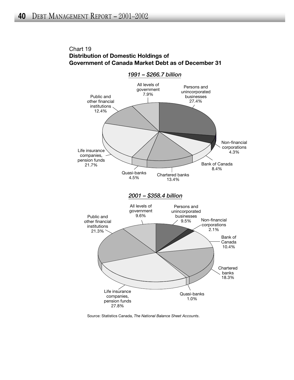# Chart 19 **Distribution of Domestic Holdings of Government of Canada Market Debt as of December 31**



Source: Statistics Canada, *The National Balance Sheet Accounts*.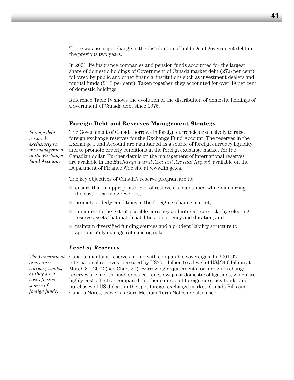There was no major change in the distribution of holdings of government debt in the previous two years.

In 2001 life insurance companies and pension funds accounted for the largest share of domestic holdings of Government of Canada market debt (27.8 per cent), followed by public and other financial institutions such as investment dealers and mutual funds (21.3 per cent). Taken together, they accounted for over 49 per cent of domestic holdings.

Reference Table IV shows the evolution of the distribution of domestic holdings of Government of Canada debt since 1976.

#### **Foreign Debt and Reserves Management Strategy**

*Foreign debt is raised exclusively for the management of the Exchange Fund Account.*

The Government of Canada borrows in foreign currencies exclusively to raise foreign exchange reserves for the Exchange Fund Account. The reserves in the Exchange Fund Account are maintained as a source of foreign currency liquidity and to promote orderly conditions in the foreign exchange market for the Canadian dollar. Further details on the management of international reserves are available in the *Exchange Fund Account Annual Report*, available on the Department of Finance Web site at www.fin.gc.ca.

The key objectives of Canada's reserve program are to:

- ensure that an appropriate level of reserves is maintained while minimizing the cost of carrying reserves;
- $\Box$  promote orderly conditions in the foreign exchange market;
- immunize to the extent possible currency and interest rate risks by selecting reserve assets that match liabilities in currency and duration; and
- maintain diversified funding sources and a prudent liability structure to appropriately manage refinancing risks.

#### *Level of Reserves*

*The Government uses crosscurrency swaps, as they are a cost-effective source of foreign funds.* 

Canada maintains reserves in line with comparable sovereigns. In 2001-02 international reserves increased by US\$0.5 billion to a level of US\$34.0 billion at March 31, 2002 (see Chart 20). Borrowing requirements for foreign exchange reserves are met through cross-currency swaps of domestic obligations, which are highly cost-effective compared to other sources of foreign currency funds, and purchases of US dollars in the spot foreign exchange market. Canada Bills and Canada Notes, as well as Euro Medium-Term Notes are also used.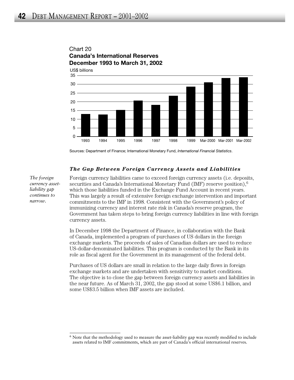





Sources: Department of Finance; International Monetary Fund, *International Financial Statistics*.

#### *The Gap Between Foreign Currency Assets and Liabilities*

*The foreign currency assetliability gap continues to narrow.* 

Foreign currency liabilities came to exceed foreign currency assets (i.e. deposits, securities and Canada's International Monetary Fund (IMF) reserve position), $6$ which those liabilities funded in the Exchange Fund Account in recent years. This was largely a result of extensive foreign exchange intervention and important commitments to the IMF in 1998. Consistent with the Government's policy of immunizing currency and interest rate risk in Canada's reserve program, the Government has taken steps to bring foreign currency liabilities in line with foreign currency assets.

In December 1998 the Department of Finance, in collaboration with the Bank of Canada, implemented a program of purchases of US dollars in the foreign exchange markets. The proceeds of sales of Canadian dollars are used to reduce US-dollar-denominated liabilities. This program is conducted by the Bank in its role as fiscal agent for the Government in its management of the federal debt.

Purchases of US dollars are small in relation to the large daily flows in foreign exchange markets and are undertaken with sensitivity to market conditions. The objective is to close the gap between foreign currency assets and liabilities in the near future. As of March 31, 2002, the gap stood at some US\$6.1 billion, and some US\$3.5 billion when IMF assets are included.

<sup>6</sup> Note that the methodology used to measure the asset-liability gap was recently modified to include assets related to IMF commitments, which are part of Canada's official international reserves.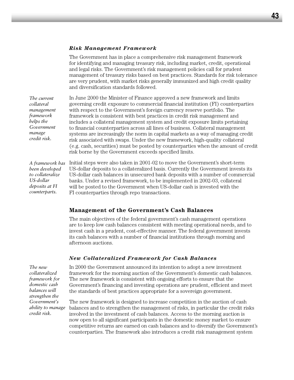#### *Risk Management Framework*

The Government has in place a comprehensive risk management framework for identifying and managing treasury risk, including market, credit, operational and legal risks. The Government's risk management policies call for prudent management of treasury risks based on best practices. Standards for risk tolerance are very prudent, with market risks generally immunized and high credit quality and diversification standards followed.

In June 2000 the Minister of Finance approved a new framework and limits governing credit exposure to commercial financial institution (FI) counterparties with respect to the Government's foreign currency reserve portfolio. The framework is consistent with best practices in credit risk management and includes a collateral management system and credit exposure limits pertaining to financial counterparties across all lines of business. Collateral management systems are increasingly the norm in capital markets as a way of managing credit risk associated with swaps. Under the new framework, high-quality collateral (e.g. cash, securities) must be posted by counterparties when the amount of credit risk borne by the Government exceeds specified limits.

Initial steps were also taken in 2001-02 to move the Government's short-term US-dollar deposits to a collateralized basis. Currently the Government invests its US-dollar cash balances in unsecured bank deposits with a number of commercial banks. Under a revised framework, to be implemented in 2002-03, collateral will be posted to the Government when US-dollar cash is invested with the FI counterparties through repo transactions. *A framework has been developed to collateralize US-dollar deposits at FI counterparts.*

# **Management of the Government's Cash Balances**

The main objectives of the federal government's cash management operations are to keep low cash balances consistent with meeting operational needs, and to invest cash in a prudent, cost-effective manner. The federal government invests its cash balances with a number of financial institutions through morning and afternoon auctions.

# *New Collateralized Framework for Cash Balances*

In 2000 the Government announced its intention to adopt a new investment framework for the morning auction of the Government's domestic cash balances. The new framework is consistent with ongoing efforts to ensure that the Government's financing and investing operations are prudent, efficient and meet the standards of best practices appropriate for a sovereign government.

The new framework is designed to increase competition in the auction of cash balances and to strengthen the management of risks, in particular the credit risks involved in the investment of cash balances. Access to the morning auction is now open to all significant participants in the domestic money market to ensure competitive returns are earned on cash balances and to diversify the Government's counterparties. The framework also introduces a credit risk management system

*The new collateralized framework for domestic cash balances will strengthen the Government's ability to manage credit risk.* 

*The current collateral management framework helps the Government manage credit risk.*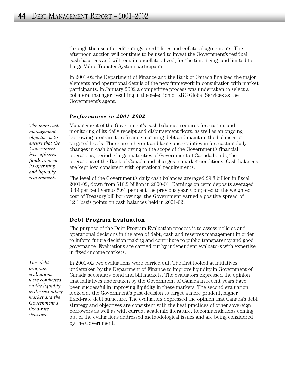through the use of credit ratings, credit lines and collateral agreements. The afternoon auction will continue to be used to invest the Government's residual cash balances and will remain uncollateralized, for the time being, and limited to Large Value Transfer System participants.

In 2001-02 the Department of Finance and the Bank of Canada finalized the major elements and operational details of the new framework in consultation with market participants. In January 2002 a competitive process was undertaken to select a collateral manager, resulting in the selection of RBC Global Services as the Government's agent.

#### *Performance in 2001-2002*

*The main cash management objective is to ensure that the Government has sufficient funds to meet its operating and liquidity requirements.* 

Management of the Government's cash balances requires forecasting and monitoring of its daily receipt and disbursement flows, as well as an ongoing borrowing program to refinance maturing debt and maintain the balances at targeted levels. There are inherent and large uncertainties in forecasting daily changes in cash balances owing to the scope of the Government's financial operations, periodic large maturities of Government of Canada bonds, the operations of the Bank of Canada and changes in market conditions. Cash balances are kept low, consistent with operational requirements.

The level of the Government's daily cash balances averaged \$9.8 billion in fiscal 2001-02, down from \$10.2 billion in 2000-01. Earnings on term deposits averaged 3.49 per cent versus 5.61 per cent the previous year. Compared to the weighted cost of Treasury bill borrowings, the Government earned a positive spread of 12.1 basis points on cash balances held in 2001-02.

# **Debt Program Evaluation**

The purpose of the Debt Program Evaluation process is to assess policies and operational decisions in the area of debt, cash and reserves management in order to inform future decision making and contribute to public transparency and good governance. Evaluations are carried out by independent evaluators with expertise in fixed-income markets.

*Two debt program evaluations were conducted on the liquidity in the secondary market and the Government's fixed-rate structure.* 

In 2001-02 two evaluations were carried out. The first looked at initiatives undertaken by the Department of Finance to improve liquidity in Government of Canada secondary bond and bill markets. The evaluators expressed the opinion that initiatives undertaken by the Government of Canada in recent years have been successful in improving liquidity in these markets. The second evaluation looked at the Government's past decision to target a more prudent, higher fixed-rate debt structure. The evaluators expressed the opinion that Canada's debt strategy and objectives are consistent with the best practices of other sovereign borrowers as well as with current academic literature. Recommendations coming out of the evaluations addressed methodological issues and are being considered by the Government.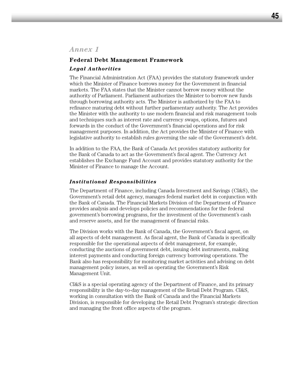## **Federal Debt Management Framework**

#### *Legal Authorities*

The Financial Administration Act (FAA) provides the statutory framework under which the Minister of Finance borrows money for the Government in financial markets. The FAA states that the Minister cannot borrow money without the authority of Parliament. Parliament authorizes the Minister to borrow new funds through borrowing authority acts. The Minister is authorized by the FAA to refinance maturing debt without further parliamentary authority. The Act provides the Minister with the authority to use modern financial and risk management tools and techniques such as interest rate and currency swaps, options, futures and forwards in the conduct of the Government's financial operations and for risk management purposes. In addition, the Act provides the Minister of Finance with legislative authority to establish rules governing the sale of the Government's debt.

In addition to the FAA, the Bank of Canada Act provides statutory authority for the Bank of Canada to act as the Government's fiscal agent. The Currency Act establishes the Exchange Fund Account and provides statutory authority for the Minister of Finance to manage the Account.

#### *Institutional Responsibilities*

The Department of Finance, including Canada Investment and Savings (CI&S), the Government's retail debt agency, manages federal market debt in conjunction with the Bank of Canada. The Financial Markets Division of the Department of Finance provides analysis and develops policies and recommendations for the federal government's borrowing programs, for the investment of the Government's cash and reserve assets, and for the management of financial risks.

The Division works with the Bank of Canada, the Government's fiscal agent, on all aspects of debt management. As fiscal agent, the Bank of Canada is specifically responsible for the operational aspects of debt management, for example, conducting the auctions of government debt, issuing debt instruments, making interest payments and conducting foreign currency borrowing operations. The Bank also has responsibility for monitoring market activities and advising on debt management policy issues, as well as operating the Government's Risk Management Unit.

CI&S is a special operating agency of the Department of Finance, and its primary responsibility is the day-to-day management of the Retail Debt Program. CI&S, working in consultation with the Bank of Canada and the Financial Markets Division, is responsible for developing the Retail Debt Program's strategic direction and managing the front office aspects of the program.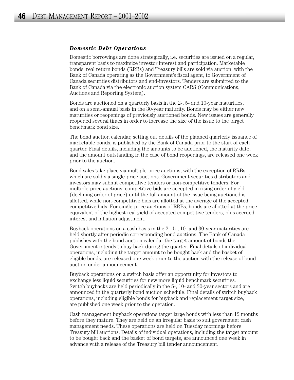#### *Domestic Debt Operations*

Domestic borrowings are done strategically, i.e. securities are issued on a regular, transparent basis to maximize investor interest and participation. Marketable bonds, real return bonds (RRBs) and Treasury bills are sold via auction, with the Bank of Canada operating as the Government's fiscal agent, to Government of Canada securities distributors and end-investors. Tenders are submitted to the Bank of Canada via the electronic auction system CARS (Communications, Auctions and Reporting System).

Bonds are auctioned on a quarterly basis in the 2-, 5- and 10-year maturities, and on a semi-annual basis in the 30-year maturity. Bonds may be either new maturities or reopenings of previously auctioned bonds. New issues are generally reopened several times in order to increase the size of the issue to the target benchmark bond size.

The bond auction calendar, setting out details of the planned quarterly issuance of marketable bonds, is published by the Bank of Canada prior to the start of each quarter. Final details, including the amounts to be auctioned, the maturity date, and the amount outstanding in the case of bond reopenings, are released one week prior to the auction.

Bond sales take place via multiple-price auctions, with the exception of RRBs, which are sold via single-price auctions. Government securities distributors and investors may submit competitive tenders or non-competitive tenders. For multiple-price auctions, competitive bids are accepted in rising order of yield (declining order of price) until the full amount of the issue being auctioned is allotted, while non-competitive bids are allotted at the average of the accepted competitive bids. For single-price auctions of RRBs, bonds are allotted at the price equivalent of the highest real yield of accepted competitive tenders, plus accrued interest and inflation adjustment.

Buyback operations on a cash basis in the 2-, 5-, 10- and 30-year maturities are held shortly after periodic corresponding bond auctions. The Bank of Canada publishes with the bond auction calendar the target amount of bonds the Government intends to buy back during the quarter. Final details of individual operations, including the target amount to be bought back and the basket of eligible bonds, are released one week prior to the auction with the release of bond auction under announcement.

Buyback operations on a switch basis offer an opportunity for investors to exchange less liquid securities for new more liquid benchmark securities. Switch buybacks are held periodically in the 5-, 10- and 30-year sectors and are announced in the quarterly bond auction schedule. Final details of switch buyback operations, including eligible bonds for buyback and replacement target size, are published one week prior to the operation.

Cash management buyback operations target large bonds with less than 12 months before they mature. They are held on an irregular basis to suit government cash management needs. These operations are held on Tuesday mornings before Treasury bill auctions. Details of individual operations, including the target amount to be bought back and the basket of bond targets, are announced one week in advance with a release of the Treasury bill tender announcement.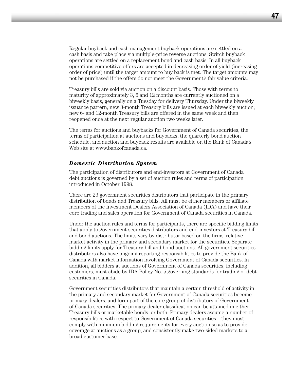Regular buyback and cash management buyback operations are settled on a cash basis and take place via multiple-price reverse auctions. Switch buyback operations are settled on a replacement bond and cash basis. In all buyback operations competitive offers are accepted in decreasing order of yield (increasing order of price) until the target amount to buy back is met. The target amounts may not be purchased if the offers do not meet the Government's fair value criteria.

Treasury bills are sold via auction on a discount basis. Those with terms to maturity of approximately 3, 6 and 12 months are currently auctioned on a biweekly basis, generally on a Tuesday for delivery Thursday. Under the biweekly issuance pattern, new 3-month Treasury bills are issued at each biweekly auction; new 6- and 12-month Treasury bills are offered in the same week and then reopened once at the next regular auction two weeks later.

The terms for auctions and buybacks for Government of Canada securities, the terms of participation at auctions and buybacks, the quarterly bond auction schedule, and auction and buyback results are available on the Bank of Canada's Web site at www.bankofcanada.ca.

#### *Domestic Distribution System*

The participation of distributors and end-investors at Government of Canada debt auctions is governed by a set of auction rules and terms of participation introduced in October 1998.

There are 23 government securities distributors that participate in the primary distribution of bonds and Treasury bills. All must be either members or affiliate members of the Investment Dealers Association of Canada (IDA) and have their core trading and sales operation for Government of Canada securities in Canada.

Under the auction rules and terms for participants, there are specific bidding limits that apply to government securities distributors and end-investors at Treasury bill and bond auctions. The limits vary by distributor based on the firms' relative market activity in the primary and secondary market for the securities. Separate bidding limits apply for Treasury bill and bond auctions. All government securities distributors also have ongoing reporting responsibilities to provide the Bank of Canada with market information involving Government of Canada securities. In addition, all bidders at auctions of Government of Canada securities, including customers, must abide by IDA Policy No. 5 governing standards for trading of debt securities in Canada.

Government securities distributors that maintain a certain threshold of activity in the primary and secondary market for Government of Canada securities become primary dealers, and form part of the core group of distributors of Government of Canada securities. The primary dealer classification can be attained in either Treasury bills or marketable bonds, or both. Primary dealers assume a number of responsibilities with respect to Government of Canada securities – they must comply with minimum bidding requirements for every auction so as to provide coverage at auctions as a group, and consistently make two-sided markets to a broad customer base.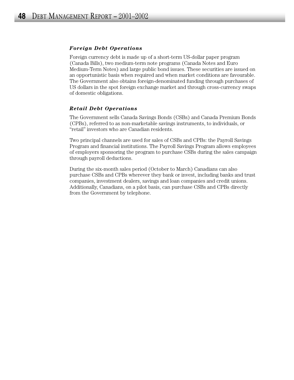#### *Foreign Debt Operations*

Foreign currency debt is made up of a short-term US-dollar paper program (Canada Bills), two medium-term note programs (Canada Notes and Euro Medium-Term Notes) and large public bond issues. These securities are issued on an opportunistic basis when required and when market conditions are favourable. The Government also obtains foreign-denominated funding through purchases of US dollars in the spot foreign exchange market and through cross-currency swaps of domestic obligations.

#### *Retail Debt Operations*

The Government sells Canada Savings Bonds (CSBs) and Canada Premium Bonds (CPBs), referred to as non-marketable savings instruments, to individuals, or "retail" investors who are Canadian residents.

Two principal channels are used for sales of CSBs and CPBs: the Payroll Savings Program and financial institutions. The Payroll Savings Program allows employees of employers sponsoring the program to purchase CSBs during the sales campaign through payroll deductions.

During the six-month sales period (October to March) Canadians can also purchase CSBs and CPBs wherever they bank or invest, including banks and trust companies, investment dealers, savings and loan companies and credit unions. Additionally, Canadians, on a pilot basis, can purchase CSBs and CPBs directly from the Government by telephone.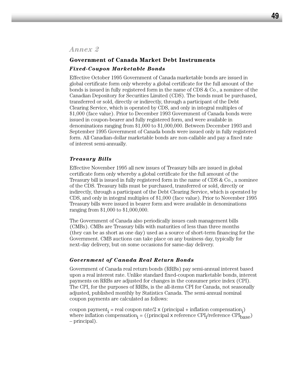# **Government of Canada Market Debt Instruments** *Fixed-Coupon Marketable Bonds*

Effective October 1995 Government of Canada marketable bonds are issued in global certificate form only whereby a global certificate for the full amount of the bonds is issued in fully registered form in the name of CDS & Co., a nominee of the Canadian Depository for Securities Limited (CDS). The bonds must be purchased, transferred or sold, directly or indirectly, through a participant of the Debt Clearing Service, which is operated by CDS, and only in integral multiples of \$1,000 (face value). Prior to December 1993 Government of Canada bonds were issued in coupon-bearer and fully registered form, and were available in denominations ranging from \$1,000 to \$1,000,000. Between December 1993 and September 1995 Government of Canada bonds were issued only in fully registered form. All Canadian-dollar marketable bonds are non-callable and pay a fixed rate of interest semi-annually.

## *Treasury Bills*

Effective November 1995 all new issues of Treasury bills are issued in global certificate form only whereby a global certificate for the full amount of the Treasury bill is issued in fully registered form in the name of CDS & Co., a nominee of the CDS. Treasury bills must be purchased, transferred or sold, directly or indirectly, through a participant of the Debt Clearing Service, which is operated by CDS, and only in integral multiples of \$1,000 (face value). Prior to November 1995 Treasury bills were issued in bearer form and were available in denominations ranging from \$1,000 to \$1,000,000.

The Government of Canada also periodically issues cash management bills (CMBs). CMBs are Treasury bills with maturities of less than three months (they can be as short as one day) used as a source of short-term financing for the Government. CMB auctions can take place on any business day, typically for next-day delivery, but on some occasions for same-day delivery.

# *Government of Canada Real Return Bonds*

Government of Canada real return bonds (RRBs) pay semi-annual interest based upon a real interest rate. Unlike standard fixed-coupon marketable bonds, interest payments on RRBs are adjusted for changes in the consumer price index (CPI). The CPI, for the purposes of RRBs, is the all-items CPI for Canada, not seasonally adjusted, published monthly by Statistics Canada. The semi-annual nominal coupon payments are calculated as follows:

coupon payment<sub>i</sub> = real coupon rate/2 x (principal + inflation compensation<sub>i</sub>) where inflation compensation<sub>i</sub> = ((principal x reference  $\text{CPI}_{\text{i}}\text{/reference } \text{CPI}_{\text{base}}$ ) – principal).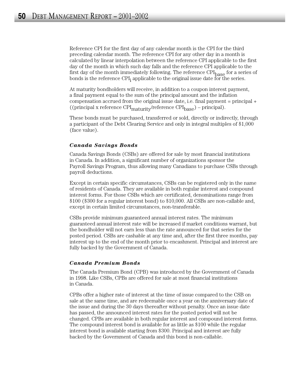Reference CPI for the first day of any calendar month is the CPI for the third preceding calendar month. The reference CPI for any other day in a month is calculated by linear interpolation between the reference CPI applicable to the first day of the month in which such day falls and the reference CPI applicable to the first day of the month immediately following. The reference  $\text{CPI}_{\text{base}}$  for a series of bonds is the reference  $\text{CPI}_i$  applicable to the original issue date for the series.

At maturity bondholders will receive, in addition to a coupon interest payment, a final payment equal to the sum of the principal amount and the inflation compensation accrued from the original issue date, i.e. final payment = principal + ((principal x reference  $\text{CPI}_{\text{matrix}}/\text{reference } \text{CPI}_{\text{base}}$ ) – principal).

These bonds must be purchased, transferred or sold, directly or indirectly, through a participant of the Debt Clearing Service and only in integral multiples of \$1,000 (face value).

#### *Canada Savings Bonds*

Canada Savings Bonds (CSBs) are offered for sale by most financial institutions in Canada. In addition, a significant number of organizations sponsor the Payroll Savings Program, thus allowing many Canadians to purchase CSBs through payroll deductions.

Except in certain specific circumstances, CSBs can be registered only in the name of residents of Canada. They are available in both regular interest and compound interest forms. For those CSBs which are certificated, denominations range from \$100 (\$300 for a regular interest bond) to \$10,000. All CSBs are non-callable and, except in certain limited circumstances, non-transferable.

CSBs provide minimum guaranteed annual interest rates. The minimum guaranteed annual interest rate will be increased if market conditions warrant, but the bondholder will not earn less than the rate announced for that series for the posted period. CSBs are cashable at any time and, after the first three months, pay interest up to the end of the month prior to encashment. Principal and interest are fully backed by the Government of Canada.

#### *Canada Premium Bonds*

The Canada Premium Bond (CPB) was introduced by the Government of Canada in 1998. Like CSBs, CPBs are offered for sale at most financial institutions in Canada.

CPBs offer a higher rate of interest at the time of issue compared to the CSB on sale at the same time, and are redeemable once a year on the anniversary date of the issue and during the 30 days thereafter without penalty. Once an issue date has passed, the announced interest rates for the posted period will not be changed. CPBs are available in both regular interest and compound interest forms. The compound interest bond is available for as little as \$100 while the regular interest bond is available starting from \$300. Principal and interest are fully backed by the Government of Canada and this bond is non-callable.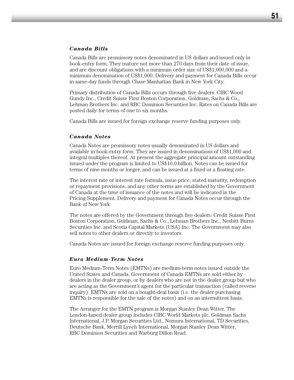#### *Canada Bills*

Canada Bills are promissory notes denominated in US dollars and issued only in book-entry form. They mature not more than 270 days from their date of issue, and are discount obligations with a minimum order size of US\$1,000,000 and a minimum denomination of US\$1,000. Delivery and payment for Canada Bills occur in same-day funds through Chase Manhattan Bank in New York City.

Primary distribution of Canada Bills occurs through five dealers: CIBC Wood Gundy Inc., Credit Suisse First Boston Corporation, Goldman, Sachs & Co., Lehman Brothers Inc. and RBC Dominion Securities Inc. Rates on Canada Bills are posted daily for terms of one to six months.

Canada Bills are issued for foreign exchange reserve funding purposes only.

#### *Canada Notes*

Canada Notes are promissory notes usually denominated in US dollars and available in book-entry form. They are issued in denominations of US\$1,000 and integral multiples thereof. At present the aggregate principal amount outstanding issued under the program is limited to US\$10.0 billion. Notes can be issued for terms of nine months or longer, and can be issued at a fixed or a floating rate.

The interest rate or interest rate formula, issue price, stated maturity, redemption or repayment provisions, and any other terms are established by the Government of Canada at the time of issuance of the notes and will be indicated in the Pricing Supplement. Delivery and payment for Canada Notes occur through the Bank of New York.

The notes are offered by the Government through five dealers: Credit Suisse First Boston Corporation, Goldman, Sachs & Co., Lehman Brothers Inc., Nesbitt Burns Securities Inc. and Scotia Capital Markets (USA) Inc. The Government may also sell notes to other dealers or directly to investors.

Canada Notes are issued for foreign exchange reserve funding purposes only.

#### *Euro Medium-Term Notes*

Euro Medium-Term Notes (EMTNs) are medium-term notes issued outside the United States and Canada. Government of Canada EMTNs are sold either by dealers in the dealer group, or by dealers who are not in the dealer group but who are acting as the Government's agent for the particular transaction (called reverse inquiry). EMTNs are sold on a bought-deal basis (i.e. the dealer purchasing EMTNs is responsible for the sale of the notes) and on an intermittent basis.

The Arranger for the EMTN program is Morgan Stanley Dean Witter. The London-based dealer group includes CIBC World Markets plc, Goldman Sachs International, J.P. Morgan Securities Ltd., Nomura International, TD Securities, Deutsche Bank, Merrill Lynch International, Morgan Stanley Dean Witter, RBC Dominion Securities and Warburg Dillon Read.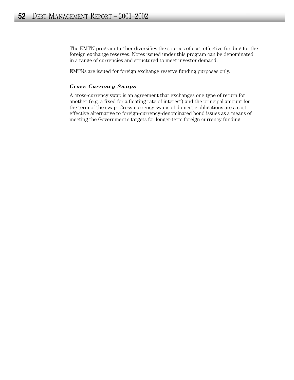The EMTN program further diversifies the sources of cost-effective funding for the foreign exchange reserves. Notes issued under this program can be denominated in a range of currencies and structured to meet investor demand.

EMTNs are issued for foreign exchange reserve funding purposes only.

## *Cross-Currency Swaps*

A cross-currency swap is an agreement that exchanges one type of return for another (e.g. a fixed for a floating rate of interest) and the principal amount for the term of the swap. Cross-currency swaps of domestic obligations are a costeffective alternative to foreign-currency-denominated bond issues as a means of meeting the Government's targets for longer-term foreign currency funding.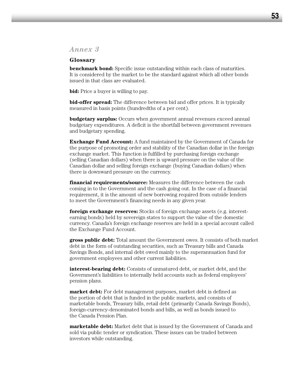# *Annex 3*

#### **Glossary**

**benchmark bond:** Specific issue outstanding within each class of maturities. It is considered by the market to be the standard against which all other bonds issued in that class are evaluated.

**bid:** Price a buyer is willing to pay.

**bid-offer spread:** The difference between bid and offer prices. It is typically measured in basis points (hundredths of a per cent).

**budgetary surplus:** Occurs when government annual revenues exceed annual budgetary expenditures. A deficit is the shortfall between government revenues and budgetary spending.

**Exchange Fund Account:** A fund maintained by the Government of Canada for the purpose of promoting order and stability of the Canadian dollar in the foreign exchange market. This function is fulfilled by purchasing foreign exchange (selling Canadian dollars) when there is upward pressure on the value of the Canadian dollar and selling foreign exchange (buying Canadian dollars) when there is downward pressure on the currency.

**financial requirements/source:** Measures the difference between the cash coming in to the Government and the cash going out. In the case of a financial requirement, it is the amount of new borrowing required from outside lenders to meet the Government's financing needs in any given year.

**foreign exchange reserves:** Stocks of foreign exchange assets (e.g. interestearning bonds) held by sovereign states to support the value of the domestic currency. Canada's foreign exchange reserves are held in a special account called the Exchange Fund Account.

**gross public debt:** Total amount the Government owes. It consists of both market debt in the form of outstanding securities, such as Treasury bills and Canada Savings Bonds, and internal debt owed mainly to the superannuation fund for government employees and other current liabilities.

**interest-bearing debt:** Consists of unmatured debt, or market debt, and the Government's liabilities to internally held accounts such as federal employees' pension plans.

**market debt:** For debt management purposes, market debt is defined as the portion of debt that is funded in the public markets, and consists of marketable bonds, Treasury bills, retail debt (primarily Canada Savings Bonds), foreign-currency-denominated bonds and bills, as well as bonds issued to the Canada Pension Plan.

**marketable debt:** Market debt that is issued by the Government of Canada and sold via public tender or syndication. These issues can be traded between investors while outstanding.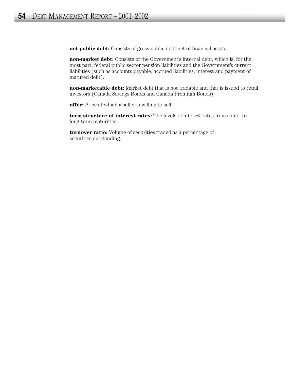**net public debt:** Consists of gross public debt net of financial assets.

**non-market debt:** Consists of the Government's internal debt, which is, for the most part, federal public sector pension liabilities and the Government's current liabilities (such as accounts payable, accrued liabilities, interest and payment of matured debt).

**non-marketable debt:** Market debt that is not tradable and that is issued to retail investors (Canada Savings Bonds and Canada Premium Bonds).

**offer:** Price at which a seller is willing to sell.

**term structure of interest rates:** The levels of interest rates from short- to long-term maturities.

**turnover ratio:** Volume of securities traded as a percentage of securities outstanding.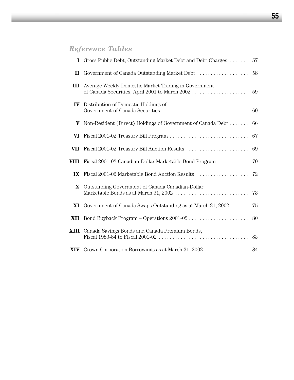# *Reference Tables*

| Gross Public Debt, Outstanding Market Debt and Debt Charges  57        |    |
|------------------------------------------------------------------------|----|
|                                                                        |    |
| Average Weekly Domestic Market Trading in Government<br>III            |    |
| Distribution of Domestic Holdings of<br>$\mathbf{IV}$                  |    |
| Non-Resident (Direct) Holdings of Government of Canada Debt            | 66 |
|                                                                        | 67 |
|                                                                        | 69 |
| Fiscal 2001-02 Canadian-Dollar Marketable Bond Program<br>VIII         | 70 |
|                                                                        |    |
| Outstanding Government of Canada Canadian-Dollar                       | 73 |
| <b>XI</b> Government of Canada Swaps Outstanding as at March $31,2002$ | 75 |
|                                                                        |    |
| XIII Canada Savings Bonds and Canada Premium Bonds,                    |    |
|                                                                        |    |
|                                                                        |    |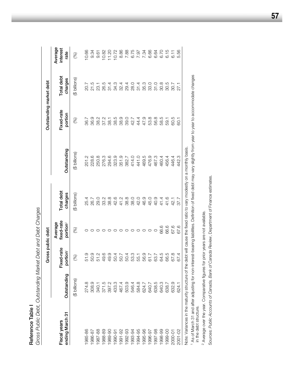|                                          |               | Gross public debt                  |                                               |                       |                         | Outstanding market debt              |                       |                             |
|------------------------------------------|---------------|------------------------------------|-----------------------------------------------|-----------------------|-------------------------|--------------------------------------|-----------------------|-----------------------------|
| ending March 31<br>Fiscal years          | Outstanding   | Fixed-rate<br>portion <sup>1</sup> | fixed-rate<br>Average<br>portion <sup>2</sup> | Total debt<br>charges | Outstanding             | Fixed-rate<br>portion                | Total debt<br>charges | Average<br>interest<br>rate |
|                                          | (\$ billions) | (%)                                | 86)                                           | (\$ billions)         | (\$ billions)           | (%)                                  | (\$ billions)         | (%)                         |
| 985-86                                   |               |                                    |                                               |                       | 201.2                   | 36.7                                 |                       | 10.66                       |
| 1986-87                                  |               |                                    |                                               | 25.4<br>26.7          | 228.6                   | 36.9                                 | 20.7<br>21.5          | 9.34                        |
| 987-88                                   |               |                                    |                                               | 29.0                  | 250.8                   |                                      | 23.1                  | 9.61                        |
| 988-89                                   |               |                                    |                                               | 33.2                  | 276.3                   | 38.2<br>37.2                         | 26.5                  | 10.82                       |
| 1989-90                                  |               |                                    |                                               | 38.8                  | 294.6                   | 38.1                                 | 31.4                  | 11.20                       |
|                                          |               |                                    |                                               | 42.6                  | 323.9                   | 38.5                                 | 34.3                  | 10.72                       |
| 1990-91<br>1991-92                       |               |                                    |                                               | 41.2                  | 351.9                   |                                      | 32.4                  |                             |
| 1992-93<br>1993-94<br>1994-95            |               |                                    |                                               | 38.8                  |                         | 9<br>9<br>9<br>9<br>9<br>9<br>2<br>4 |                       |                             |
|                                          |               |                                    |                                               | 38.0                  | 382.7<br>414.0<br>441.0 |                                      |                       |                             |
|                                          |               |                                    |                                               | 42.0                  |                         | 44.4                                 |                       |                             |
|                                          |               |                                    |                                               | 46.9                  | 469.5                   | 47.9                                 |                       |                             |
|                                          |               |                                    |                                               | 45.0                  | 476.9                   | 53.8                                 | 33.0                  |                             |
| 1995-96<br>1996-97<br>1997-98<br>1998-99 |               |                                    |                                               | 40.9                  | 467.3                   | 56.8                                 | 31.0                  |                             |
|                                          |               | 64.5                               | 66.6                                          |                       | 460.4                   | 58.5                                 | 30.8                  |                             |
| 1999-00<br>2000-01<br>2001-02            |               | 66.5                               | 66.6                                          | 41.6<br>41.6          | 456.4                   | 59.1                                 | 30.5                  |                             |
|                                          |               | 67.8                               | 67.6                                          | 42.1                  | 446.4                   | 60.5                                 | 30.7                  |                             |
|                                          | 624.1         | 67.4                               | 67.6                                          | 37.7                  | 442.3                   | -<br>80                              | 27.1                  | 5.56                        |
| Martin Albert                            |               | $\frac{1}{2}$                      |                                               |                       | $\frac{1}{2}$           |                                      |                       |                             |

Gross Public Debt, Outstanding Market Debt and Debt Charges *Gross Public Debt, Outstanding Market Debt and Debt Charges* Reference Table I **Reference Table I** 

Note: Variances in the maturity structure of the debt will cause the fixed ratio to vary modestly on a monthly basis. Note: Variances in the maturity structure of the debt will cause the fixed ratio to vary modestly on a monthly basis.

1 As of March 31 and after adjusting for non-interest-bearing liabilities. Definition of fixed debt may vary slightly from year to year to accommodate changes<br>in the debt structure. As of March 31 and after adjusting for non-interest-bearing liabilities. Definition of fixed debt may vary slightly from year to year to accommodate changes in the debt structure.

<sup>2</sup> Average over the year. Comparative figures for prior years are not available. Average over the year. Comparative figures for prior years are not available.

Sources: Public Accounts of Canada, Bank of Canada Review, Department of Finance estimates. Sources: *Public Accounts of Canada, Bank of Canada Review*, Department of Finance estimates.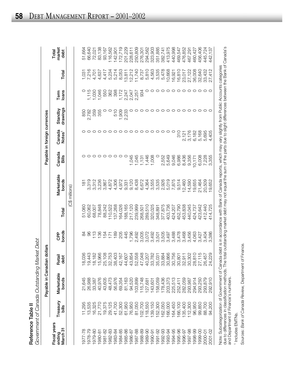|   | ֖֓׆<br>$\overline{\phantom{a}}$<br>آ<br>آ<br>, 101001011<br>J<br>שניטו ועשט שטוש<br>こくていい |
|---|-------------------------------------------------------------------------------------------|
|   | <b>יהורחיחת היד ה+</b>                                                                    |
| Ξ |                                                                                           |

|                                    |                   | Payable in Canadian dollars |                                                                                                  |                    |         |                     |                 | Payable in foreign currencies |                     |               |        |                         |
|------------------------------------|-------------------|-----------------------------|--------------------------------------------------------------------------------------------------|--------------------|---------|---------------------|-----------------|-------------------------------|---------------------|---------------|--------|-------------------------|
| Fiscal years<br>March 31<br>ending | Treasury<br>bills | Marketable<br>bonds         | Retail<br>debt                                                                                   | bonds<br><b>BP</b> | Total   | Marketable<br>bonds | Canada<br>Bills | Canada<br>Notes <sup>1</sup>  | drawings<br>Standby | loans<br>Term | Total  | market<br>Total<br>debt |
|                                    |                   |                             |                                                                                                  |                    |         | (C\$ millions)      |                 |                               |                     |               |        |                         |
| 97-778                             | 11,295            | 21,645                      | 036<br>$\infty$                                                                                  |                    | 51,060  | $\frac{1}{18}$      |                 |                               | 850                 |               | 1,031  | 51,664                  |
| 978-79                             | 13,535            | 26,988                      | 443<br>$\overline{p}$ $\overline{q}$ $\overline{q}$ $\overline{p}$ $\overline{p}$ $\overline{q}$ | 8                  | 60,062  | 3,319               |                 |                               | 2,782               | 1,115         | 7,216  | 66,640                  |
| 1979-80                            | 16,325            | 33,387                      | 182                                                                                              | $\frac{3}{2}$      | 68,007  | 3,312               |                 |                               | 359                 | 1,030         | 4,701  | 72,021                  |
| 1980-81                            | 21,770            | 40,976                      | 966                                                                                              | 136                | 78,848  | 3,236               |                 |                               | 355                 | 1,046         | 4,637  | 83,138                  |
| 981-82                             | 19,375            | 43,605                      | .108                                                                                             | 154                | 88,242  | 3,867               |                 |                               |                     | 550           | 4,417  | 93,167                  |
| 982-83                             | 29,125            | 48,473                      | 753<br>32,                                                                                       | 171                | 110,522 | 4,872               |                 |                               |                     | 362           | 5,234  | 116,562                 |
| 1983-84                            | 41,700            | 56,976                      | 403<br>38                                                                                        | 189                | 137,268 | 4,306               |                 |                               | 510                 | 398           | 5,214  | 142,901                 |
| 1984-85                            | 52,300            | 69,354                      | 167                                                                                              | 205                | 164,026 | 4,972               |                 |                               |                     | 1,172         | 8,053  | 172,719                 |
| 1985-86                            | 61,950            | 81,163                      | 607                                                                                              | 445                | 188,165 | 9,331               |                 |                               | 1,909<br>2,233      | 2,247         | 13,811 | 201,229                 |
| 1986-87                            | 76,950            | 94,520                      | 854<br>้<br>4 4 4 4 4 4<br>4 4 4 4 4 4                                                           | 1,796              | 217,120 | 9,120               | 1,045           |                               |                     | 2,047         | 12,212 | 228,611                 |
| 1987-88                            | 81,050            | 103,899                     | 558                                                                                              | 2,492              | 239,999 | 8,438               | 1,045           |                               |                     | 2,257         | 11,740 | 250,809                 |
| 88-88                              | 02,700            | 15,748                      | 048                                                                                              | 3,005              | 268,501 | 6,672               | 131             |                               |                     | 934           | 8,737  | 276,301                 |
| 06-686                             | 18,550            | 127,681                     | 207                                                                                              | 3,072              | 289,510 | 4,364               | 1,446           |                               |                     |               | 5,810  | 294,562                 |
| 1990-91                            | 139,150           | 143,601                     | 782<br>33,                                                                                       | 3,492              | 320,025 | 3,555               | 1,008           |                               |                     | O             | 4,563  | 323,903                 |
| 1991-92                            | 152,300           | 58,059                      | 031<br>85<br>88                                                                                  | 3,501              | 348,891 | 3,535               |                 |                               |                     | $\circ$       | 3,535  | 351,885                 |
| 1992-93                            | 162,050           | 178,436                     | 884                                                                                              | 3,505              | 377,875 | 2,926               | 2,552           |                               |                     |               | 5,478  | 382,741                 |
| 1993-94                            | 166,000           | 203,373                     | ,866<br>30,                                                                                      | 3,497              | 403,736 | 5,019               | 5,649           |                               |                     |               | 10,668 | 413,975                 |
| 1994-95                            | 164,450           | 225,513                     | 756<br>80,                                                                                       | 3,488              | 424,207 | 7,875               | 9,046           |                               |                     |               | 16,921 | 440,998                 |
| 1995-96                            | 166,100           | 252,411                     | $\overline{8}0$<br>SO,                                                                           | 3,478              | 452,790 | 9,514               | 6,986           | $\frac{0}{3}$                 |                     |               | 16,810 | 469,547                 |
| 996-97                             | 135,400           | 282,059                     | $\overline{0}$<br>32,                                                                            | 3,468              | 453,838 | 12,460              | 8,436           |                               |                     |               | 23,017 | 476,852                 |
| 1997-98                            | 112,300           | 293,987                     | 302<br>SO,                                                                                       | 3,456              | 440,045 | 14,590              | 9,356           | 2,121<br>3,176                |                     | O             | 27,122 | 467,291                 |
| 1998-99                            | 96,950            | 294,914                     | $\frac{0}{8}$<br>$^{28}$                                                                         | 4,063              | 424,737 | 19,655              | 10,171          | 6,182                         |                     | $\circ$       | 36,008 | 460,427                 |
| 999-00                             | 99,850            | 293,250                     | 115<br>72                                                                                        | 3,427              | 423,642 | 21,464              | 6,008           | 5,168                         |                     | $\circ$       | 32,640 | 456,406                 |
| 2000-01                            | 88,700            | 293,879                     | ,457<br>26                                                                                       | 3,404              | 412,440 | 20,509              | 7,228           | 5,695                         |                     |               | 33,432 | 445,724                 |
| 2001-02                            | 94,200            | 292,910                     | ,229<br>$\overline{2}$                                                                           | 3,386              | 414,725 | 19,652              | 3,355           | 4,405                         |                     | $\circ$       | 27,412 | 442,137                 |

Note: Subcategorization of Government of Canada debt is in accordance with Bank of Canada reports, which may vary slightly from Public Accounts categories<br>due to differences in classification methods. The total outstanding due to differences in classification methods. The total outstanding market debt may not equal the sum of the parts due to slight differences between the Bank of Canada's Note: Subcategorization of Government of Canada debt is in accordance with Bank of Canada reports, which may vary slightly from Public Accounts categories and Department of Finance's numbers.

<sup>1</sup> Includes EMTNs. <sup>1</sup> Includes EMTNs.

Sources: Bank of Canada Review, Department of Finance. Sources: *Bank of Canada Review,* Department of Finance.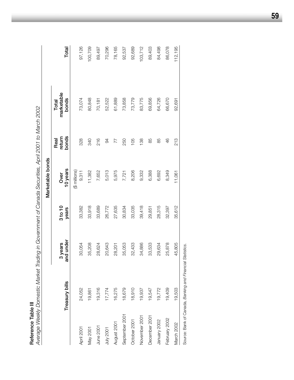**Reference Table III**<br>Average Weekly Domestic Market Trading in Government of Canada Securities, April 2001 to March 2002 *Average Weekly Domestic Market Trading in Government of Canada Securities, April 2001 to March 2002*

|                |                                                           |                      |                  | Marketable bonds       |                         |                              |         |
|----------------|-----------------------------------------------------------|----------------------|------------------|------------------------|-------------------------|------------------------------|---------|
|                | Treasury bills                                            | and under<br>3 years | 3 to 10<br>years | 10 years<br>Over       | bonds<br>return<br>Real | marketable<br>bonds<br>Total | Total   |
| April 2001     | 24,052                                                    | 30,054               | 33,382           | (\$ millions)<br>9,311 | 328                     | 73,074                       | 97,126  |
| May 2001       | 19,861                                                    | 35,208               | 33,918           | 11,382                 | <b>340</b>              | 80,848                       | 100,709 |
| June 2001      | 19,316                                                    | 28,624               | 33,689           | 7,652                  | 216                     | 70,181                       | 89,497  |
| July 2001      | 17,774                                                    | 20,643               | 26,772           | 5,013                  | 94                      | 52,522                       | 70,296  |
| August 2001    | 16,275                                                    | 28,201               | 27,635           | 5,975                  | 77                      | 61,889                       | 78,165  |
| September 2001 | 18,679                                                    | 35,053               | 30,834           | 7,721                  | 250                     | 73,858                       | 92,537  |
| October 2001   | 18,910                                                    | 32,433               | 33,035           | 8,206                  | 105                     | 73,779                       | 92,689  |
| November 2001  | 19,937                                                    | 34,886               | 39,418           | 9,332                  | 138                     | 83,775                       | 103,712 |
| December 2001  | 19,547                                                    | 33,533               | 29,851           | 6,388                  | 85                      | 69,856                       | 89,403  |
| January 2002   | 19,772                                                    | 29,634               | 28,315           | 6,692                  | 85                      | 64,726                       | 84,498  |
| February 2002  | 19,409                                                    | 25,878               | 32,397           | 8,349                  | 46                      | 66,670                       | 86,078  |
| March 2002     | 19,503                                                    | 45,805               | 35,612           | 11,061                 | 213                     | 92,691                       | 112,195 |
|                | Source: Bank of Canada, Banking and Financial Statistics. |                      |                  |                        |                         |                              |         |

**59**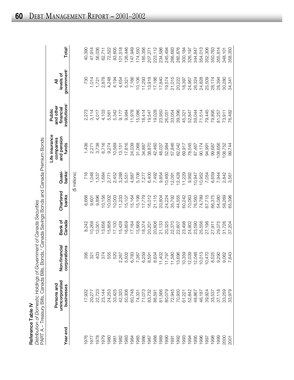| C |
|---|
|   |
|   |
|   |
| ę |
|   |
|   |
|   |

Ċ  $\frac{1}{2}$ **Reference Table IV**<br>Distribution of Domestic Holdings of Government of Canada Securities<br>PART A – Treasury Bills Canada Bills Bonds 1 Canada Savings Bonds **Reference Table IV**<br>*Distribution of Domestic Holdings of Government of Canada Securities<br>PART A – Treasurv Bills. Canada Bills. Bonds.<sup>1</sup> Canada Savings Bonds* 

|             | PART A – Treasury Bills, Canada Bills, Bonds, Tonada Savings Bonds and Canada Premium Bonds |                                                                    |                   |                    |                      |                                                     |                                                               |                                           |                    |
|-------------|---------------------------------------------------------------------------------------------|--------------------------------------------------------------------|-------------------|--------------------|----------------------|-----------------------------------------------------|---------------------------------------------------------------|-------------------------------------------|--------------------|
| Year end    | unincorporated<br>Persons and<br>businesses                                                 | Non-financial<br>corporations                                      | Bank of<br>Canada | Chartered<br>banks | bank $s^2$<br>Quasi- | Life insurance<br>and pension<br>companies<br>funds | institutions <sup>3</sup><br>and other<br>financial<br>Public | government <sup>4</sup><br>levels of<br>₹ | Total <sup>5</sup> |
|             |                                                                                             |                                                                    |                   |                    | (\$ millions)        |                                                     |                                                               |                                           |                    |
| 976         | 17,932                                                                                      | 395                                                                | 8,242             | 8,666              | 716                  | 1,436                                               | 2,273                                                         | 730                                       | 40,390             |
| 1977        | 20,277                                                                                      | 321                                                                | 10,268            | 9,601              | 1,048                | 2,271                                               | 3,114                                                         | 1,014                                     | 47,914             |
| 1978        | 22,723                                                                                      | 403                                                                | 2,001             | 9,896              | 1,537                | 3,738                                               | 4,017                                                         | 1,721                                     | 56,036             |
| 1979        | 23,144                                                                                      | 374                                                                | 3,656             | 10,156             | 1,684                | 6,716                                               | 4,103                                                         | 2,878                                     | 62,711             |
| 1980        | 24,253                                                                                      | 555                                                                | 5,858             | 10,002             | 2,771                | 9,274                                               | 5,561                                                         | 4,248                                     | 72,522             |
| 1981        | 33,425                                                                                      | 520                                                                | 17,100            | 10,003             | 2,452                | 10,569                                              | 5,342                                                         | 4,194                                     | 83,605             |
| 1982        | 42,320                                                                                      |                                                                    | 15,428            | 11,233             | 3,288                | 13,151                                              | 9,177                                                         | 4,654                                     | 101,518            |
| 1983        | 50,306                                                                                      | 2,267<br>5,502<br>5,783<br>7,387                                   | 6,859             | 15,107             | 5,551                | 17,816                                              | 9,984                                                         | 5,321                                     | 126,446            |
| 1984        | 60,748                                                                                      |                                                                    | 17,184            | 15,164             | 4,887                | 24,039                                              | 11,978                                                        | 7,166                                     | 147,949            |
| 1985        | 74,331                                                                                      |                                                                    | 15,668            | 15,198             | 5,706                | 31,068                                              | 15,086                                                        | 10,106                                    | 174,550            |
| 1986        | 71,073                                                                                      | 6,259                                                              | 18,374            | 17,779             | 7,277                | 34,887                                              | 18,414                                                        | 11,293                                    | 185,356            |
| 1987        | 83,732                                                                                      | 591<br>$\infty$ $\infty$                                           | 20,201            | 16,012             | 6,400                | 38,870                                              | 19,547                                                        | 13,918                                    | 207,271            |
| 1988        | 86,591<br>81,566                                                                            | ,634                                                               | 20,606            | 21,115             | 7,492                | 42,460                                              | 19,028                                                        | 17,186                                    | 223,112            |
| 1989        |                                                                                             |                                                                    | 21,133            | 20,804             | 9,854                | 48,037                                              | 23,950                                                        | 17,840                                    | 234,586            |
| 1990        | 80,079                                                                                      |                                                                    | 20,325            | 24,224             | 10,460               | 52,984                                              | 26,051                                                        | 19,574                                    | 245,494            |
| 1991        | 72,945<br>70,930                                                                            |                                                                    | 22,370            | 35,792             | 12,091               | 57,846                                              | 33,054                                                        | 21,015                                    | 266,693            |
| 1992        |                                                                                             | $7.758888888727788328$ $7.75888883342778332$ $7.75888833427724332$ | 22,607            | 44,555             | 12,428               | 62,042                                              | 39,396                                                        | 20,222                                    | 285,876            |
| 1993        | 61,221                                                                                      |                                                                    | 23,498            | 60,242             | 11,229               | 69,917                                              | 45,321                                                        | 18,397                                    | 300,184            |
| 1994        | 52,842                                                                                      |                                                                    | 24,902            | 70,063             | 9,992                | 78,545                                              | 52,847                                                        | 24,967                                    | 326,197            |
| 1995        | 48,867                                                                                      |                                                                    | 23,590            | 76,560             | 10,947               | 87,467                                              | 59,044                                                        | 26,324                                    | 344,847            |
| 1996        | 46,187                                                                                      |                                                                    | 25,556            | 74,789             | 10,952               | 90,174                                              | 71,514                                                        | 24,828                                    | 354,013            |
| 1997        | 39,924                                                                                      |                                                                    | 27,198            | 67,715             | 7,054                | 94,991                                              | 79,445                                                        | 25,509                                    | 352,306            |
| 1998        | 33,537                                                                                      |                                                                    | 27,911            | 66,375             | 6,659                | 99,687                                              | 79,895                                                        | 28,174                                    | 350,763            |
| 1999        | 37,118                                                                                      |                                                                    | 29,075            | 54,080             | 7,944                | 108,656                                             | 81,257                                                        | 28,394                                    | 355,814            |
| 2000        | 33,259                                                                                      | 062<br>$\overline{O}$ $\overline{C}$                               | 31,726            | 58,269             | 2,842                | 08,752                                              | 73,911                                                        | 30,280                                    | 348,101            |
| <b>2001</b> | 33,979                                                                                      | ,643                                                               | 37,204            | 65,396             | 3,561                | 99,744                                              | 76,482                                                        | 34,341                                    | 358,350            |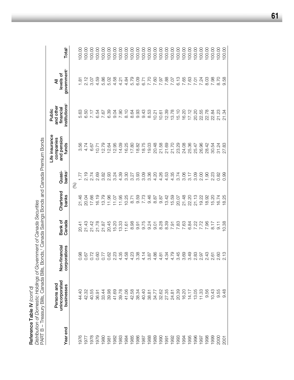**Reference Table IV** *(cont'd)*

**Reference Table IV** (cont'd)<br>Distribution of Domestic Holdings of Government of Canada Securities<br>PART B - Treasury Bills, Canada Bills, Bonds,<sup>1</sup> Canada Savings Bonds and Canada Premium Bonds PART B – Treasury Bills, Canada Bills, Bonds,1 Canada Savings Bonds and Canada Premium Bonds *Distribution of Domestic Holdings of Government of Canada Securities*

| Year end | unincorporated<br>Persons and<br>businesses | Non-financial<br>corporations | Canada<br>Bank of | Chartered<br>banks | banks <sup>2</sup><br>Quasi- | Life insurance<br>and pension<br>companies<br>funds | institutions <sup>3</sup><br>and other<br>financial<br>Public | government <sup>4</sup><br>levels of<br>₹ | Total <sup>5</sup> |
|----------|---------------------------------------------|-------------------------------|-------------------|--------------------|------------------------------|-----------------------------------------------------|---------------------------------------------------------------|-------------------------------------------|--------------------|
|          |                                             |                               |                   |                    | $\mathcal{E}$                |                                                     |                                                               |                                           |                    |
| 976      | 44.40                                       | 0.98                          | 20.41             | 21.46              |                              | 3.56                                                | 5.63                                                          | 1.81                                      | 100.00             |
| 1977     | 42.32                                       | 0.67                          | 21.43             | 20.04              | 2.19                         | 4.74                                                | 6.50                                                          |                                           | 100.00             |
| 1978     | 40.55                                       | 0.72                          | 21.42             | 17.66              | 2.74                         | 6.67                                                | 7.17                                                          | 3.07                                      | 100.00             |
| 1979     | 36.91                                       | 0.60                          | 21.78             | 16.19              | 2.69                         | 10.71                                               | 6.54                                                          | 4.59                                      | 100.00             |
| 080      | 33.44                                       | 0.77                          | 21.87             | 13.79              | 3.82                         | 2.79                                                | 7.67                                                          | 5.86                                      | 100.00             |
| 981      | 39.98                                       | 0.62                          | 20.45             | 11.96              | 2.93                         | 2.64                                                | 6.39                                                          | 5.02                                      | 100.00             |
| 1982     | 41.69                                       | 2.23                          | 15.20             | 11.07              | 3.24                         | 12.95                                               | 9.04                                                          | 4.58                                      | 100.00             |
| 1983     | 39.78                                       | 4.35                          | 13.33             | 11.95              | 4.39                         | 14.09                                               | 7.90                                                          | 4.21                                      | 100.00             |
| 1984     | 41.06                                       | 4.58                          | 11.61             | 10.25              | 3.30                         | 6.25                                                | 8.10                                                          | 4.84                                      | 100.00             |
| 1985     | 42.58                                       | 4.23                          | 8.98              | 8.71               | 3.27                         | 17.80                                               | 8.64                                                          | 5.79                                      | 100.00             |
| 1986     | 38.34                                       | 3.38                          | 9.91              | 9.59               | 3.93                         | 8.82                                                | 9.93                                                          | 6.09                                      | 100.00             |
| 1987     | 40.40                                       | 4.14                          | 9.75              | 7.73               | 3.09                         | 18.75                                               | 9.43                                                          | 6.71<br>7.70                              | 100.00             |
| 1988     | 38.81                                       | 3.87                          | 9.24              | 9.46               | 3.36                         | 19.03                                               | 8.53                                                          |                                           | 100.00             |
| 1989     | 34.77                                       | 4.86                          | 9.01              | 8.87               | 4.20                         | 20.48                                               | 10.21                                                         |                                           | 100.00             |
| 1990     | 32.62                                       | 4.81                          | 8.28              | 9.87               | 4.26                         | 21.58                                               | 10.61                                                         | 7.87                                      | 100.00             |
| 1991     | 27.35                                       | 4.34                          | 8.39              | 13.42              | 4.53                         | 21.69                                               | 12.39                                                         | 7.88                                      | 100.00             |
| 1992     | 24.81<br>20.39                              | 4.79                          | 7.91              | 15.59              | 4.35                         | 21.70                                               | 13.78                                                         |                                           | 100.00             |
| 1993     |                                             | 3.45                          | 7.83              | 20.07              | 3.74                         | 23.29                                               | 15.10                                                         | 7.07<br>6.13                              | 100.00             |
| 1994     | 16.20                                       | 3.69                          | 7.63              | 21.48              | 3.06                         | 24.08                                               | 16.20                                                         | 7.65                                      | 100.00             |
| 1995     | 14.17                                       | 3.49                          | 6.84              | 22.20              | 3.17                         | 25.36                                               | 17.12                                                         | 7.63                                      | 100.00             |
| 1996     | 13.05                                       | 2.83                          | 7.22              | 21.13              | 3.09                         | 25.47                                               | 20.20                                                         | <b>7.01</b>                               | 100.00             |
| 1997     | 11.33                                       | 2.97                          | 7.72              | 19.22              | 2.00                         | 26.96                                               | 22.55                                                         | 7.24                                      | 100.00             |
| 1998     | 9.56                                        | 2.43                          | 7.96              | 18.92              | 1.90                         | 28.42                                               | 22.78                                                         | 8.03                                      | 100.00             |
| 1999     | 10.43                                       | 2.61                          | 8.17              | 5.20               | 2.23                         | 30.54                                               | 22.84                                                         | 7.98                                      | 100.00             |
| 2000     | 9.55                                        | 2.60                          | $-110$            | 16.74              | 0.82                         | 31.24                                               | 21.23                                                         | 8.70                                      | 100.00             |
| 2001     | 9.48                                        | 2.13                          | 0.38              | 18.25              | 0.99                         | 33<br>27.                                           | 21.34                                                         | 9.58                                      | 100.00             |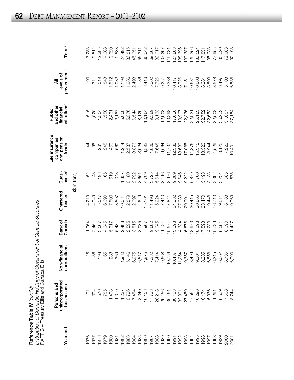| Reference Table IV (cont'd)                                          |
|----------------------------------------------------------------------|
| Distribution of Domestic Holdings of Government of Canada Securities |
| PART C - Treasury Bills and Canada Bills                             |

ties

Total<sup>5</sup> 9,512 1976 171 125 1,964 4,219 52 44 515 193 7,283 1977 394 136 2,461 4,949 143 98 1,020 311 9,512 1978 576 198 3,567 5,517 193 261 1,554 519 12,385 1979 785 165 4,345 6,690 65 245 1,550 843 14,688 19,620 1,493 1,512 1,512 288 946 5,317 5,317 5,318 948 588 946 5,317 5,431 1,512 1,512 1,512 1,512 1,512 1,512 1,512 1 1981 1,019 369 5,431 8,597 343 560 2,187 1,082 19,588 1,237 1,237 1,237 1,244 1,244 1,257 1,258 1,254 5,008 1,008 1,1952 244 5,008 1,1952 1,1952 1,1952 1, 36,815 1983 3,766 5,146 2,595 12,879 3,180 2,587 5,376 1,286 36,815 1984 7,454 6,275 3,515 12,997 2,792 3,876 6,544 2,498 45,951 1985 13,340 6,517 3,985 12,629 3,651 3,924 8,129 4,136 56,311 1986 16,158 4,875 7,967 15,161 4,709 3,592 10,164 3,416 66,042 1987 17,733 7,232 9,682 11,498 3,725 4,806 9,589 5,002 69,267 1988 20,213 7,414 9,945 15,224 5,614 7,648 9,133 7,726 82,917 1989 29,156 29,156 9,068 9,068 9,068 9,068 9,068 9,068 9,070 9,098 9,008 9,008 9,008 9,008 9,008 9,008 9,008 9 10,030 36,461 10,031 10,032 10,032 17,041 10,041 14,041 14,050 12,050 10,120 10,120 13,298 13,298 13,298 14,04 127,863 1991 30,423 10,437 13,093 24,382 9,089 12,386 17,636 10,417 127,863 138,696 1992 32,901 32,901 12,905 13,905,904 14,634 14,634 14,634 14,634 14,634 14,634 14,634 14,634 14,634 1 1993 1993 27,459 9,657 16,876 16,876 9,222 17,085 17,085 29,306 17,085 22,336 22,336 22,336 22,336 22,336 22, 129,356 1994 17,562 8,499 18,973 30,415 6,879 14,376 22,021 10,631 129,356 1995 16,296 9,204 18,298 30,865 7,760 15,315 25,183 10,603 133,524 1996 10,474 8,285 17,593 23,470 5,493 13,520 32,752 6,264 117,851 95,038 1997 5,966 6,858 14,233 19,448 3,133 8,944 32,653 3,803 95,038 77,955 1998 1,291 6,215 10,729 16,713 2,392 4,529 32,508 3,578 77,955 85,390 1999 8,539 6,662 8,584 9,814 3,234 8,128 36,932 3,497 85,390 2000 7,568 6,735 8,090 6,188 685 7,222 31,087 5,108 72,683 2001 8,744 6,744 6,744 6,744 6,744 6,744 6,744 6,744 6,744 6,744 92,098 **Year end businesses corporations Canada banks banks**2 **funds institutions**3 **government**4 **Total**5 7,283 12,385 14,688 19,588 24,492 56,311 66,042 69,267 82,917 107,297 139,687 133,524 117,851 72,683 92,198 45,951 119,031 government<sup>4</sup> levels of **unincorporated Non-financial Bank of Chartered Quasi- and pension financial levels of** 519 3,803 3,578 193  $311$ 843  $1,512$ <br> $1,082$ <br> $1,799$ <br> $1,286$ <br> $1,288$ <br> $2,498$ 4,136 3,416 5,002 7,726 9,251 9,388  $10,417$ 8,726 7,151 10,631 10,603 6,264 3,497 5,108 6,838 ₹ **Persons and companies and other All** institutions<sup>®</sup> and other<br>financial Public 515 5,376 9,589 12,908<br>13,298<br>17,636 22,336 32,508 **Life insurance Public** 1,020 1,554 1,550 2,187 5,008 6,544 8,129 10,164 9,133 19,907 22,021 25,183 32,752 32,653 36,932 31,087 2,431 37,154 Life insurance and pension companies 245 4,806 7,648 13,639 14,376 15,315 560  $1,244$ <br>  $2,587$ <br>  $3,876$ 3,592 9,664 11,737 12,386 17,085 13,520 4,529 8,128 funds  $480$ 261 460 3,924 8,944 7,222 10,401 Quasi-<br>banks<sup>2</sup> 52<br>143 193 619 343 4,709 5,614 8,116 8,976 9,089 9,646 9,222 6,879 685 675 65 ,357  $3,180$ 2,792 3,725 7,760 5,493 3,133 2,392 3,234 (\$ millions) 3,651 Chartered<br>banks 30,415 16,713 4,219 4,949 5,517 12,879 12,629 11,498  $17,410$ 27,989 30,865 23,470 19,448  $9,814$ 6,188 6,690 7,500 8,597 10,034 12,997 15,161 15,224 17,841 24,382 29,901 9,969 Bank of<br>Canada 4,345 2,595 3,515 3,985 9,945 11,124 16,876 18,973 18,298 17,593 14,233 10,729 ,964 2,461 3,567 5,317 5,431 2,483 7,967 9,682 10,574 13,093 14,634 8,584 8,090  $11,427$ Non-financial corporations 369 5,146 9,668 8,499 8,285 6,858 6,215 125<br>136 198 165 288 1,930 6,275 6,517 4,875 7,232 7,414 10,756 10,437<br>11,254 9,657 9,204 6,662 6,735 6,990 – Treasury Bills and Canada Bills unincorporated Persons and businesses 1,019 20,213  $10,474$ 576 1,493 3,766 7,454 13,340 16,158 17,733 29,156 36,461 30,423 32,901 27,459 17,562 16,296 5,966  $1,291$ 8,539 7,568 8.744  $171$ <br>394 785 Year end 1988 1978 1979 1983 1985 1986 1989 1990<br>1991 1992 1993 1995 1996 1998 1999 1976 1977 1980 1981 1982 1984 1987 1994 1997 2000 2001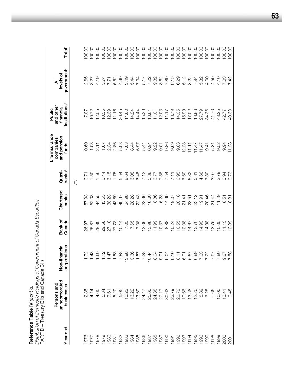Distribution of Domestic Holdings of Government of Canada Securities *Distribution of Domestic Holdings of Government of Canada Securities* Reference Table IV (cont'd) **Reference Table IV** *(cont'd)*

Total<sup>5</sup> 100.00 100.00 100.00 100.00 100.00 100.00 100.00 100.00 100.00 100.00 100.00 100.00 100.00 100.00 100.00 100.00 00.00  $00.00$ 100.00  $00.00$ 100.00 100.00 100.00 100.00 100.00 **Year end businesses corporations Canada banks banks**2 **funds institutions**3 **government**4 **Total**5 1976 2.35 2.35 2.35 1.72 26.97 57.12 2.67 0.60 0.60 10.71 2.65 100.00 1977 4.14 1.43 25.87 52.03 1.50 1.03 10.72 3.27 100.00 1978 4.65 1.60 28.80 44.55 1.56 2.11 12.55 4.19 100.00 1979 5.34 1.12 29.58 45.55 0.44 1.67 10.55 5.74 100.00 1980 12.31 1.47 27.47 27.10 38.23 3.4 1.47 1.47 2.34 12.39 3.4 12.15 1.51 12.15 1.47 2.34 2.34 12.14 1.71 1.71 1981 5.20 1.88 27.73 43.89 1.75 2.86 11.16 5.52 100.00 1982 5.05 7.88 10.14 40.97 5.54 5.08 20.45 4.90 100.00 1983 10.23 13.98 7.05 34.98 8.64 7.03 14.60 3.49 100.00 1984 16.22 13.66 7.65 28.28 6.08 8.44 14.24 5.44 100.00 1985 23.69 11.57 7.08 22.43 6.48 6.97 14.44 7.34 100.00 1986 24.47 7.38 12.06 22.96 7.13 5.44 15.39 5.17 100.00 1987 25.60 10.44 13.98 16.60 5.38 6.94 13.84 7.22 100.00 00.001 11.01 11.01 11.01 11.01 0.324 10.324 10.324 10.324 10.324 10.324 10.324 10.32 10.32 11.01 11.01 11.01 1 1989 1989 27.17 27.17 19.01 19.01 19.01 19.01 19.01 12.03 19.03 10.000 100.00 1990 30.63 9.04 8.88 14.99 7.54 9.86 11.17 7.89 100.00 00.001 8.15 8.16 8.16 8.16 8.16 8.16 8.16 8.16 8.17 8.29 8.15 8.15 8.15 8.15 8.15 9.29 8.15 8.15 9.15 8.15 9.2 1992 23.72 8.11 10.55 20.18 6.95 9.83 14.35 6.29 100.00 19.93 19.66 19.66 6.91 12.08 12.141 6.60 6.60 12.23 15.99 15.99 15.99 15.99 1994 13.58 6.57 14.67 23.51 5.32 11.11 17.02 8.22 100.00 1995 12.20 12.20 6.89 11.47 11.47 18.89 6.821 12.51 13.89 6.81 12.47 12.31 13.86 13.86 13.86 13.86 1 001001 19.03 19.03 19.03 19.03 19.03 19.03 19.03 19.03 19.03 19.03 19.00 19.00 19.00 19.00 19.00 19.00 19.00 1 001001 001 391.36 14.98 14.98 0.223 14.98 14.98 14.98 14.98 14.98 14.98 14.000 14.30 14.98 14.98 14. 000 1.69 1.67 1.81 1.81 1.81 1.92 1.92 1.92 1.92 1.93 1.93 1.94 1.44 21.14 1.97 1.97 1.98 1.98 1.98 1.98 1.98 1 00.00 10.00 10.00 10.00 10.00 10.00 10.00 10.00 10.00 10.00 10.00 10.00 10.00 10.00 10.00 10.00 10.00 10.00 10 2000 10.42.77 12.77 9.94 9.95 9.40.00 9.40.00 9.41 12.95 2.77 12.77 12.77 9.95 9.95 12.77 9.95 9.95 1 government<sup>4</sup> levels of **unincorporated Non-financial Bank of Chartered Quasi- and pension financial levels of** 4.19 5.74 5.52 4.90 3.49 5.44 7.34 5.17 7.22 9.32 8.62 7.89 8.15 6.29 5.12 8.22 7.94 5.32 4.00 4.59 4.10 2.65 7.71 7.03<br>7.42 3.27  $\bar{a}$ **Persons and companies and other All** institutions<sup>®</sup> and other financial Public **Life insurance Public** 7.07 10.72 12.55 10.55 12.39  $11.16$ 20.45 14.60 14.24 14.44 15.39 13.84  $11.01$ 12.03  $11.17$ 13.79 14.35 15.99 17.02 18.86 27.79 34.36 41.70 43.25 42.77 Life insurance and pension companies 0.60  $1.03$  $2.11$ 1.67 2.34 2.86 5.08 7.03 8.44 6.97 5.44 6.94 9.22  $9.01$ 9.86 9.69 9.83 12.23  $11.11$  $11.47$  $11.47$ 5.81 9.52 9.94  $9.41$ funds Quasi-<br>banks<sup>2</sup>  $3.15$ 1.75 5.54 6.08 6.48 7.13 5.38 6.77 7.56 7.54 6.95 6.60 5.32 4.66 3.30 1.56 0.44 8.64  $7.11$ 5.81 3.07 3.79 0.71  $1.50$ 0.94 (%) Chartered<br>banks 52.03 44.55 45.55 38.23 43.89 34.98 28.28 22.43 22.96 16.60 18.36 16.23 14.99 19.07 20.18 23.12 20.46 11.49 57.93 40.97  $21.41$ 23.51  $19.91$ 21.44  $8.51$ Bank of<br>Canada 26.97 25.87 28.80 29.58 27.10 27.73  $10.14$ 7.05 7.65 7.08 12.06 13.98  $11.99$ 10.37 8.88 10.24 10.55 12.08 14.67 13.70 14.93 14.98 13.76 10.05 11.13 Non-financial corporations 1.43  $1.12$  $1.47$ 1.88 7.88 13.98 13.66 7.38 10.44 8.94 9.04 8.16 6.57 6.89 7.03 7.22 7.97 7.80 1.72 1.60  $11.57$  $9.01$  $8.11$  $6.91$ 9.27<br>7.58 PART D - Treasury Bills and Canada Bills PART D – Treasury Bills and Canada Bills unincorporated Persons and businesses 30.63 19.66 2.35 4.14 4.65 5.34 7.61 5.20 5.05 10.23 16.22 23.69 24.47 25.60 24.38 27.17 23.79 23.72 13.58 12.20 8.89 6.28 1.66 10.00  $10.41$ Year end 1976 1977 1978 1979 0861 1982 1983 1984 1985 1986 1987 1988 1989 1990 1991 1992 1993 1994 1995 1996 1997 1998 1999 2000 1981

2001 9.48 12.48 12.88 12.89 12.89 12.89 12.89 12.89 12.89 12.89 12.89 12.89 12.89 12.89 12.89 12.89 12.89 12.8

 $10.81$ 

2.39

 $9.48$ 

2001

0.73

100.00

40.30

11.28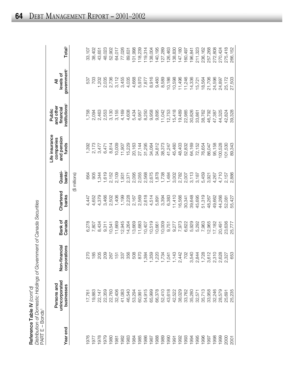| Reference Table IV $\langle \text{const'}\text{d} \rangle$                        |
|-----------------------------------------------------------------------------------|
| į<br>istribution of Domestic Holdings of Government of Canada Secul<br>1: + - : 1 |
| coco<br>PART E – Bu                                                               |

| PART E – Bonds <sup>1</sup> |                                             |                                      |                   |                    |                     |                                                     |                                                               |                                           |                    |
|-----------------------------|---------------------------------------------|--------------------------------------|-------------------|--------------------|---------------------|-----------------------------------------------------|---------------------------------------------------------------|-------------------------------------------|--------------------|
| Year end                    | unincorporated<br>Persons and<br>businesses | Non-financial<br>corporations        | Canada<br>Bank of | Chartered<br>banks | $banks^2$<br>Quasi- | Life insurance<br>and pension<br>companies<br>funds | institutions <sup>3</sup><br>and other<br>financial<br>Public | government <sup>4</sup><br>levels of<br>₹ | Total <sup>5</sup> |
|                             |                                             |                                      |                   |                    | (\$ millions)       |                                                     |                                                               |                                           |                    |
| 1976                        | 17,761                                      | 270                                  | 6,278             | 4,447              | 664                 | 1,392                                               | 1,758                                                         | 537                                       | 33,107             |
| 1977                        | 19,883                                      | 185                                  | 7,807             | 4,652              | 905                 | 2,173                                               | 2,094                                                         | 703                                       | 38,402             |
| 1978                        | 22,147                                      | 205                                  | 8,434             | 4,379              | 1,344               | 3,477                                               | 2,463                                                         | 1,202                                     | 43,651             |
| 1979                        | 22,359                                      | 209                                  | 9,311             | 3,466              | 1,619               | 6,471                                               | 2,553                                                         | 2,035                                     | 48,023             |
| 1980                        | 22,760<br>32,406<br>41,083<br>46,540        | 267                                  | 10,541            | 2,502              | 2,152               | 8,814                                               | 3,130                                                         | 2,736                                     | 52,902             |
| 1981                        |                                             | $\frac{15}{1}$                       | 11,669            | 1,406              | 2,109               | 10,009                                              | 3,155                                                         | 3,112                                     | 64,017             |
| 1982                        |                                             | 337                                  | 12,945            | 1,199              | 1,931               | 11,907                                              | 4,169                                                         | 3,455                                     | 77,026             |
| 1983                        |                                             | 356                                  | 14,264            | 2,228              | 2,371               | 15,229                                              | 4,608                                                         | 4,035                                     | 89,631             |
| 1984                        | 53,294                                      | 508                                  | 13,669            | 2,167              | 2,095               | 20,163                                              | 5,434                                                         | 4,668                                     | 101,998            |
| 1985                        | 60,991                                      | 870                                  | 11,683            | 2,569<br>2,618     | 2,055               | 27,144                                              | 6,957                                                         | 5,970                                     | 118,239            |
| 1986                        | 54,915<br>65,999                            | 384                                  | 10,407            |                    | 2,568               | 31,295                                              | 8,250                                                         | 7,877                                     | 119,314            |
| 1987                        |                                             | 359                                  | 10,519            | 4,514              | 2,675               | 34,064                                              | 9,958                                                         | 8,916                                     | 138,004            |
| 1988                        | 66,378                                      | ,220                                 | 10,661            | 5,891              | 1,878               | 34,812                                              | 9,895                                                         | 9,460                                     | 140,195            |
| 1989                        | 52,410                                      | .734                                 | 10,009            | 3,394              | 1,738               | 38,373                                              | 11,042                                                        | 8,589                                     | 127,289            |
| 1990                        | 43,618                                      | .041                                 | 9,751             | 6,383              | 1,484               | 41,247                                              | 12,753                                                        | 10,186                                    | 126,463            |
| 1991                        |                                             | ,143                                 | 9,277             | 11,410             | 3,002               | 45,460                                              | 15,418                                                        | 10,598                                    | 138,830            |
| 1992                        | 42,522<br>38,029                            | ,442<br>$\mathbf{\Omega}$            | 7,973             | 16,566             | 2,782               | 48,403                                              | 19,489                                                        | 11,496                                    | 147,180            |
| 1993                        | 33,762                                      | 702                                  | 6,622             | 30,341             | 2,007               | 52,832                                              | 22,985                                                        | 11,246                                    | 160,497            |
| 1994                        | 35,280                                      | 540<br>ო                             | 5,929             | 39,648             | 3,113               | 64,169                                              | 30,826                                                        | 14,336                                    | 196,841            |
| 1995                        |                                             | 844<br>$\overline{N}$ $\overline{r}$ | 5,292             | 45,695             | 3,187               | 72,152                                              | 33,861                                                        | 15,721                                    | 211,323            |
| 1996                        | 32,571<br>35,713                            | ,728                                 | 7,963             | 51,319             | 5,459               | 76,654                                              | 38,762                                                        | 18,564                                    | 236,162            |
| 1997                        | 33,958                                      | ,612<br>က                            | 12,965            | 48,267             | 3,921               | 86,047                                              | 46,792                                                        | 21,706                                    | 257,268            |
| 1998                        | 32,246                                      | ,310<br>$\sim$                       | 17,182            | 49,662             | 4,267               | 95,158                                              | 47,387                                                        | 24,596                                    | 272,808            |
| 1999                        | 28,579                                      | 628<br>$\sim$ $\sim$                 | 20,491            | 44,266             | 4,710               | 100,528                                             | 44,325                                                        | 24,897                                    | 270,424            |
| 2000                        | 25,691                                      | .327                                 | 23,636            | 52,081             | 2,157               | 101,530                                             | 42,824                                                        | 25,172                                    | 275,418            |
| 2001                        | 25,235                                      | 653                                  | 25,777            | 55,427             | 2,886               | 89,343                                              | 39,328                                                        | 27,503                                    | 266,152            |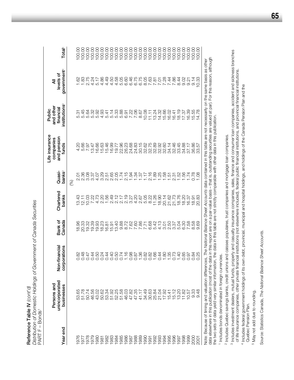Distribution of Domestic Holdings of Government of Canada Securities *Distribution of Domestic Holdings of Government of Canada Securities* Reference Table IV (cont'd) **Reference Table IV** *(cont'd)* PART F - Bonds<sup>1</sup> PART F – Bonds1

88888<br>88888 Total<sup>5</sup> 00.00 **Year end businesses corporations Canada banks banks**2 **funds institutions**3 **government**4 **Total**5 1976 53.65 0.82 18.96 13.43 2.01 4.20 5.31 1.62 100.00 1977 51.78 0.48 20.33 12.11 2.36 5.66 5.45 1.83 100.00 1978 50.74 1978 50.84 1978 50.84 1978 50.00 3.08 3.08 3.08 3.08 1978 1979 50.00 1979 46.56 46.56 19.37 19.37 19.37 19.37 19.37 19.47 5.47 19.47 5.32 5.68 4.24 19.47 1980 43.02 5.02 5.02 5.02 5.02 5.02 5.03 5.03 5.04 4.73 19.00 5.00 5.00 5.00 5.02 5.17 1981 50.62 0.24 18.23 2.20 3.29 15.63 4.93 4.86 100.00 1982 53.34 0.44 16.81 1.56 2.51 15.46 5.41 4.49 100.00 1983 51.92 0.40 15.91 2.49 2.65 16.99 5.14 4.50 100.00 1984 52.25 0.50 13.40 2.12 2.05 19.77 5.33 4.58 100.00 1985 51.58 0.74 9.88 2.17 1.74 22.96 5.88 5.05 100.00 1986 46.03 1.16 8.72 2.19 2.15 26.23 6.91 6.60 100.00 1987 47.82 32.32 1.94 1.94 7.95 0.98 3.27 1.94 24.68 1.22 6.46 1.22 6.46 1.22 1988 47.35 0.87 7.60 4.20 1.34 24.83 7.06 6.75 100.00 1989 41.17 1.36 7.86 2.67 1.37 30.15 8.67 6.75 100.00 1990 34.49 0.82 7.71 5.05 1.17 32.62 10.08 8.05 100.00 1991 30.63 0.82 0.88 8.68 8.22 16 2.16 32.75 11.11 11.63 100.00 1992 25.84 1.66 5.42 11.26 1.89 32.89 13.24 7.81 100.00 1993 21.04 21.04 0.44 4.13 1.25 1.25 1.25 1.4.32 14.32 14.32 14.32 100.00 1994 17.92 1.80 3.01 20.14 1.58 32.60 15.66 7.28 100.00 1995 15.41 1.35 2.50 21.62 1.51 34.14 16.02 7.44 100.00 government<sup>4</sup> levels of **unified and analyzing and analyzing and <b>Bank of Bank of Bank of Bank of Bank of Bank of Charter of Bank** of ₹ **Persons and companies and other All** institutions and other Public financial  $0.08$ 13.24 14.32 15.66 16.02 16.41 **Life insurance Public**  $11.11$ tfe insurance and pension companies funds Quasi-マイターのウムさんせいていると思いにとるでいいのからのストルシントのというこうから!!!!!!!!  $2.01$ <br> $2.36$ 3.08 banks (%) Chartered banks 1310<br>1103<br>1107 Bank of Canada covacoso<br>Covacoso<br>Covacoso Non-financial corporations 000000<br>8444694<br>844404 0.44  $\frac{88824}{100}$ 0.44 unincorporated Persons and businesses 53.74<br>55.74<br>55.56<br>46.55 43.02<br>50.62<br>53.34 51.92 525<br>5360325<br>545555<br>545555 34.49 30.63<br>25.84<br>21.04 17.92 1512002<br>1512002<br>151101<br>171101 Year end 

data elsewhere in this publication (most of the data in this report are on a par-value basis - that is, outstanding securities are valued at par). For this reason, although data elsewhere in this publication (most of the data in this report are on a par-value basis – that is, outstanding securities are valued at par). For this reason, although Note: Because of timing and valuation differences, The National Balance Sheet Accounts data contained in this table are not necessarily on the same basis as other Note: Because of timing and valuation differences, *The National Balance Sheet Accounts* data contained in this table are not necessarily on the same basis as other the two sets of data yield very similar information, the data in this table are not strictly comparable with other data in this publication the two sets of data yield very similar information, the data in this table are not strictly comparable with other data in this publication.

 15.12 0.73 3.37 21.73 2.31 32.46 16.41 7.86 100.00 13.20 1.40 5.04 18.76 1.52 33.45 18.19 8.44 100.00 11.82 0.85 6.30 18.20 1.56 34.88 17.37 9.02 100.00 1999 10.57 12.57 12.57 12.57 1.74 1.74 17.4 17.17 17.4 19.90 10.91 10.57 17.4 17.17 17.4 17.17 17.17 17.17 17. 9.33 0.84 8.58 18.91 0.78 36.86 15.55 9.14 100.00 9.48 0.25 9.69 20.83 1.08 33.57 14.78 10.33 100.00

 $18.79$ <br>  $7.8988$ <br>  $7.8988$ <br>  $7.78$ <br>  $7.78$ <br>  $7.78$ 

36.86<br>33.57

 $0.78$ 

 $\overline{7}$ 

0.85 0.97 0.84<br>0.25

 $3340$ <br>0.348

2000 2001 1 Includes bonds denominated in foreign currencies. <sup>1</sup> Includes bonds denominated in foreign currencies.

<sup>2</sup> Includes Quebec savings banks, credit unions and caisses populaires, trust companies and mortgage loan companies. Includes Quebec savings banks, credit unions and caisses populaires, trust companies and mortgage loan companies.

<sup>3</sup> Includes investment dealers, mutual funds, property and casualty insurance companies, sales, finance and consumer loan companies, accident and sickness branches Includes investment dealers, mutual funds, property and casualty insurance companies, sales, finance and consumer loan companies, accident and sickness branches of life insurance companies, other private financial institutions (not elsewhere included), federal public financial institutions, and provincial financial institutions. of life insurance companies, other private financial institutions (not elsewhere included), federal public financial institutions, and provincial financial institutions.

Includes federal government holdings of its own debt, provincial, municipal and hospital holdings, and holdings of the Canada Pension Plan and the Includes federal government holdings of its own debt, provincial, municipal and hospital holdings, and holdings of the Canada Pension Plan and the Quebec Pension Plan. Quebec Pension Plan. 4

<sup>5</sup> May not add due to rounding. May not add due to rounding. Source: Statistics Canada, The National Balance Sheet Accounts. Source: Statistics Canada, *The National Balance Sheet Accounts.*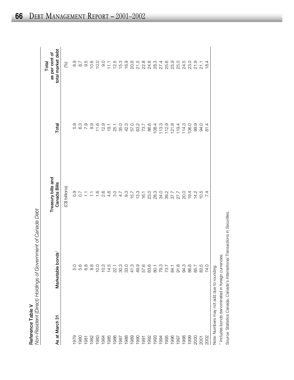| (Direct) Holdings of Government of Canada D<br>)<br>-<br>-<br>יאר            |                              | i<br>l UI Val laua Peu<br>$\mathbf{r}$ |
|------------------------------------------------------------------------------|------------------------------|----------------------------------------|
| $\overline{\phantom{a}}$<br>֪֖֧֧֚֚֚֚֚֚֚֚֚֚֚֚֚֚֚֚֚֚֚֚֚֚֚֚֚֝֝֝֝֝֝֝֟֓֟֓֟֓֝<br>l | -ance Table<br>$\frac{1}{2}$ | i                                      |

| As at March 31                             | Marketable bonds     | Treasury bills and<br>Canada Bills | Total        | total market debt<br>as per cent of<br>Total |
|--------------------------------------------|----------------------|------------------------------------|--------------|----------------------------------------------|
|                                            |                      | (C\$ billions)                     |              | $\circledS$                                  |
| 1979                                       | 5.0                  | 0.9                                | 5.9          | 8.9                                          |
| 1980                                       | 5.6                  | 0.7                                |              | 5.8                                          |
| 1981                                       | 6.8                  | 들                                  | $0.3$<br>7.9 | 9.5                                          |
| 1982                                       | 8.8                  | 들                                  | 9.9          | 10.6                                         |
| 1983                                       | 10.0                 | $\frac{6}{1}$                      | 11.6         | 10.0                                         |
| 1984                                       | 10.3                 | 2.6                                | 12.9         | 0.6                                          |
|                                            | 14.5                 | 4.6                                | 19.1         | 11.1                                         |
| 1985<br>1986                               | 22.1                 | 3.0                                | 25.1         | 12.5                                         |
| 1987                                       | 30.3                 | 4.7                                | 35.0         | 15.3                                         |
| 1988                                       | 33.0                 | $9.\overline{3}$                   | 42.3         | 16.9                                         |
|                                            | 41.3                 | 15.7                               | 57.0         |                                              |
|                                            | 49.9                 | 13.3                               | 63.2         |                                              |
|                                            |                      | 16.1                               | 73.7         |                                              |
|                                            | 57.6<br>63.6         | <b>23.0</b>                        | 86.6         |                                              |
|                                            |                      | 28.3                               | 108.4        |                                              |
|                                            |                      | 34.0                               | 113.3        |                                              |
|                                            | 80.1<br>79.3<br>73.7 | 39.2                               | 112.9        |                                              |
| 1996                                       | 84.1                 | 37.7                               | 121.8        |                                              |
| 1997                                       | 91.8                 | 27.7                               | 119.4        |                                              |
| 1998                                       | 94.3                 | <b>20.0</b>                        | 114.3        | 24.5                                         |
| 1999                                       | 86.6                 | 19.4                               | 106.0        | 23.0                                         |
|                                            | 85.7                 | 14.2                               | 99.9         | 21.9                                         |
| 2001<br>2007<br>2002                       | 83.5                 | 10.5                               | 94.0         | 21.1                                         |
|                                            | 74.0                 | $\overline{4}$<br>$\sim$           | 81.4         | 18.4                                         |
| Note: Numbers may not add due to rounding. |                      |                                    |              |                                              |

1 Includes bonds denominated in foreign currencies. <sup>1</sup> Includes bonds denominated in foreign currencies.

Source: Statistics Canada, *Canada's International Transactions in Securities.*

Source: Statistics Canada, Canada's International Transactions in Securities.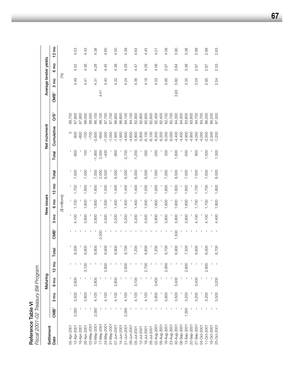| Fiscal 2001-02 Treasury Bill Program |                  |        |                 |                 |       |                  |                 |                 |                 |       |                  |               |                 |                  |                 |                       |                 |
|--------------------------------------|------------------|--------|-----------------|-----------------|-------|------------------|-----------------|-----------------|-----------------|-------|------------------|---------------|-----------------|------------------|-----------------|-----------------------|-----------------|
| Settlement                           |                  |        | Maturing        |                 |       |                  |                 | New issues      |                 |       |                  | Net increment |                 |                  |                 | Average tender yields |                 |
| Date                                 | CMB <sup>1</sup> | g<br>က | 6 <sub>mo</sub> | $12 \text{ mo}$ | Total | CMB <sup>1</sup> | 3 <sub>mo</sub> | 6 <sub>mo</sub> | $12 \text{ mo}$ | Total | Total            | Cumulative    | OS <sup>2</sup> | CMB <sup>1</sup> | 3 <sub>mo</sub> | 6 <sub>mo</sub>       | $12 \text{ mo}$ |
|                                      |                  |        |                 |                 |       |                  |                 | (\$ millions)   |                 |       |                  |               |                 |                  | (%)             |                       |                 |
| 05-Apr-200                           |                  |        |                 |                 |       |                  | I               |                 |                 |       |                  | $\circ$       | 88,700          |                  |                 |                       |                 |
| 12-Apr-2001                          | 2,000            | 3,500  | 2,800           |                 | 8,300 |                  | 4,100           | 1,700           | 1,700           | 7,500 | $-800$           | -800          | 87,900          |                  | 4.49            | 4.52                  | 4.53            |
| 9-Apr-200                            |                  |        |                 |                 |       |                  |                 |                 |                 |       |                  | $-800$        | 87,900          |                  |                 |                       |                 |
| 26-Apr-2001                          |                  | 3,800  |                 |                 | 6,900 |                  | 3,800           | 1,600           | 1,600           | 7,000 | $\overline{100}$ | $-700$        | 88,000          |                  | 4.41            | 4.36                  | 4.43            |
| 03-May-200                           |                  |        |                 |                 |       |                  |                 |                 |                 |       |                  | $-700$        | 88,000          |                  |                 |                       |                 |
| 10-May-200                           | 2,000            | 4,100  | 2,800           |                 | 8,900 | ı                | 3,800           | 1,600           | 1,600           | 7,000 | $-1,900$         | $-2,600$      | 86,100          |                  | 4.31            | 4.28                  | 4.38            |
| 17-May-200 <sup>+</sup>              |                  |        |                 |                 |       | 2,000            |                 |                 |                 | 2,000 | 2,000            | $-600$        | 88,100          | 4.41             |                 |                       |                 |
| 24-May-200                           |                  | 4,100  |                 |                 | 6,900 |                  | 3,500           | 1,500           | 1,500           | 6,500 | $-400$           | $-1,000$      | 87,700          |                  | 4.40            | 4.45                  | 4.60            |
| 31-May-200                           |                  |        |                 |                 |       |                  |                 |                 |                 |       |                  | $-1,000$      | 87,700          |                  |                 |                       |                 |
| 07-Jun-2001                          |                  | 4,100  | 2,800           |                 | 6,900 |                  | 3,200           | 1,400           | 1,400           | 6,000 | $-900$           | $-1,900$      | 86,800          |                  | 4.32            | 4.38                  | 4.50            |
| 14-Jun-2001                          |                  |        |                 |                 |       |                  |                 |                 |                 |       |                  | $-1,900$      | 86,800          |                  |                 |                       |                 |
| 21-Jun-200                           | 2,000            | 4,100  |                 | 2,600           | 8,700 |                  | 3,200           | 1,400           | 1,400           | 6,000 | $-2,700$         | $-4,600$      | 84,100          |                  | 4.24            | 4.29                  | 4.39            |
| 28-Jun-2001                          |                  |        |                 |                 |       |                  |                 |                 |                 |       |                  | $-4,600$      | 84,100          |                  |                 |                       |                 |
| 05-Jul-2001                          |                  | 4,100  | 3,100           |                 | 7,200 |                  | 3,200           | 1,400           | 1,400           | 6,000 | $-1,200$         | $-5,800$      | 82,900          |                  | 4.36            | 4.47                  | 4.63            |
| 12-Jul-2001                          |                  |        |                 |                 |       |                  |                 |                 |                 |       |                  | $-5,800$      | 82,900          |                  |                 |                       |                 |
| 19-Jul-2001                          |                  | 4,100  |                 | 2,700           | 6,800 |                  | 3,500           | 1,500           | 1,500           | 6,500 | $-300$           | $-6,100$      | 82,600          |                  | 4.16            | 4.26                  | 4.45            |
| 26-Jul-2001                          |                  |        |                 |                 |       |                  |                 |                 |                 |       |                  | $-6,100$      | 82,600          |                  |                 |                       |                 |
| 02-Aug-200                           |                  | 3,800  | 3,400           |                 | 7,200 |                  | 3,800           | 1,600           | 1,600           | 7,000 | $-200$           | $-6,300$      | 82,400          |                  | 4.03            | 4.06                  | 4.21            |
| 09-Aug-200                           |                  |        |                 |                 |       |                  |                 |                 |                 |       |                  | $-6,300$      | 82,400          |                  |                 |                       |                 |
| 16-Aug-200                           |                  | 3,800  |                 | 2,900           | 6,700 |                  | 3,800           | 1,600           | 1,600           | 7,000 | 300              | $-6,000$      | 82,700          |                  | 3.95            | <b>8.97</b>           | 4.09            |
| 23-Aug-200                           |                  |        |                 |                 |       | J.               |                 |                 |                 |       |                  | $-6,000$      | 82,700          |                  |                 |                       |                 |
| 30-Aug-200                           |                  | 3,500  | 3,400           |                 | 6,900 | 1,500            | 3,800           | 1,600           | 1,600           | 8,500 | 1,600            | $-4,400$      | 84,300          | 3.93             | 3.80            | 3.84                  | 3.90            |
| 06-Sep-200                           |                  |        |                 |                 |       |                  |                 |                 |                 |       |                  | $-4,400$      | 84,300          |                  |                 |                       |                 |
| 13-Sep-200                           | 1,500            | 3,200  |                 | 2,800           | 7,500 |                  | 3,800           | 1,600           | 1,600           | 7,000 | -500             | $-4,900$      | 83,800          |                  | 3.35            | 3.38                  | 3.38            |
| 20-Sep-200                           |                  |        |                 |                 |       |                  |                 |                 |                 |       |                  | $-4,900$      | 83,800          |                  |                 |                       |                 |
| 27-Sep-200                           |                  | 3,200  | 3,400           |                 | 6,600 |                  | 4,100           | 1,700           | 1,700           | 7,500 | 900              | $-4,000$      | 84,700          |                  | 3.04            | 2.97                  | 2.99            |
| 04-0ct-2001                          |                  |        |                 |                 |       |                  |                 |                 |                 |       |                  | $-4,000$      | 84,700          |                  |                 |                       |                 |
| $11 - Oct - 2001$                    |                  | 3,200  |                 | 2,800           | 6,000 |                  | 4,100           | 1,700           | 1,700           | 7,500 | 1,500            | $-2,500$      | 86,200          |                  | 2.95            | 2.87                  | 2.89            |
| 18-Oct-2001                          |                  |        |                 |                 |       |                  |                 |                 |                 |       |                  | $-2,500$      | 86,200          |                  |                 |                       |                 |
| 25-Oct-200-                          |                  | 3,500  | 3,200           |                 | 6,700 |                  | 4,400           | 1,800           | 1,800           | 8,000 | 1,300            | $-1,200$      | 87,500          |                  | 2.54            | 2.53                  | 2.63            |

Dill Dr. **Reference Table VI**<br>Elecci 2001, 20 Trocci **Reference Table VI**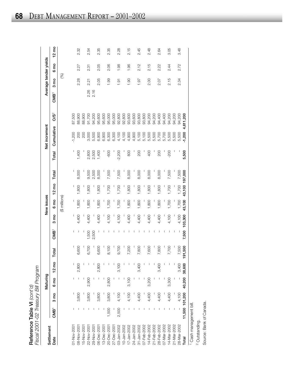| Fiscal 2001-02 Treasury Bill Program<br>Reference Table VI $\langle \text{cont'} d \rangle$ |                  |                |                 |                 |         |                  |                |                     |                 |       |          |               |                 |                  |              |                       |                 |
|---------------------------------------------------------------------------------------------|------------------|----------------|-----------------|-----------------|---------|------------------|----------------|---------------------|-----------------|-------|----------|---------------|-----------------|------------------|--------------|-----------------------|-----------------|
| Settlement                                                                                  |                  |                | Maturing        |                 |         |                  |                | New issues          |                 |       |          | Net increment |                 |                  |              | Average tender yields |                 |
| Date                                                                                        | CMB <sup>1</sup> | $3 \text{ mo}$ | 6 <sub>mo</sub> | $12 \text{ mo}$ | Total   | CMB <sup>1</sup> | $3 \text{ mo}$ | ξ<br>$\ddot{\circ}$ | $12 \text{ mo}$ | Total | Total    | Cumulative    | OS <sup>2</sup> | CMB <sup>1</sup> | no<br>E<br>ო | 6 <sub>mo</sub>       | $12 \text{ mo}$ |
|                                                                                             |                  |                |                 |                 |         |                  |                | (\$ millions)       |                 |       |          |               |                 |                  | (%)          |                       |                 |
| 01-Nov-2001                                                                                 |                  |                |                 |                 |         | I                |                |                     |                 |       |          | $-1,200$      | 87,500          |                  |              |                       |                 |
| 08-Nov-200                                                                                  |                  | 3,800          |                 | 2,800           | 6,600   |                  | 4,400          | 1,800               | 1,800           | 8,000 | 1,400    | 200           | 88,900          |                  | 2.28         | 2.27                  | 2.32            |
| 15-Nov-200                                                                                  |                  |                |                 |                 |         |                  |                |                     |                 |       |          | 200           | 88,900          |                  |              |                       |                 |
| 22-Nov-200                                                                                  |                  | 3,800          | 2,900           |                 | 6,700   | 1,500            | 4,400          | 1,800               | 1,800           | 9,500 | 2,800    | 3,000         | 91,700          | $2.26$<br>2.16   | 2.21         | 2.31                  | 2.54            |
| 29-Nov-200                                                                                  |                  |                |                 |                 |         | 2,500            |                |                     |                 | 2,500 | 2,500    | 5,500         | 94,200          |                  |              |                       |                 |
| 06-Dec-200                                                                                  |                  | 3,800          |                 | 2,800           | 6,600   |                  | 4,400          | 0081                | 1,800           | 8,000 | 1,400    | 6,900         | 95,600          |                  | 2.05         | 2.05                  | 2.35            |
| 13-Dec-200                                                                                  |                  |                |                 |                 |         |                  |                |                     |                 |       |          | 6,900         | 95,600          |                  |              |                       |                 |
| 20-Dec-2001                                                                                 | 1,500            | 3,800          | 2,800           |                 | 8,100   |                  | 4,100          | 1,700               | 1,700           | 7,500 | $-600$   | 6,300         | 95,000          |                  | 1.99         | 2.06                  | 2.35            |
| 27-Dec-2001                                                                                 |                  |                |                 |                 |         |                  |                |                     |                 |       |          | 6,300         | 95,000          |                  |              |                       |                 |
| 03-Jan-2002                                                                                 | 2,500            | 4,100          |                 | 3,100           | 9,700   |                  | 4,100          | 1,700               | 1,700           | 7,500 | $-2,200$ | 4,100         | 92,800          |                  | 1.91         | 1.98                  | 2.28            |
| 10-Jan-2002                                                                                 |                  |                |                 |                 |         |                  |                |                     |                 |       |          | 4,100         | 92,800          |                  |              |                       |                 |
| 17-Jan-2002                                                                                 |                  | 4,100          | 3,100           |                 | 7,200   |                  | 4,400          | 1,800               | 1,800           | 8,000 | 800      | 4,900         | 93,600          |                  | 1.90         | 1.96                  | 2.15            |
| 24-Jan-2002                                                                                 |                  |                |                 |                 |         |                  |                |                     |                 |       |          | 4,900         | 93,600          |                  |              |                       |                 |
| $31 - Jan-2002$                                                                             |                  | 4,400          |                 | 3,400           | 7,800   |                  | 4,400          | 1,800               | 1,800           | 8,000 | 200      | 5,100         | 93,800          |                  | 1.97         | 2.12                  | 2.45            |
| 07-Feb-2002                                                                                 |                  |                |                 |                 |         |                  |                |                     |                 |       |          | 5,100         | 93,800          |                  |              |                       |                 |
| 14-Feb-2002                                                                                 |                  | 4,400          | 3,200           |                 | 7,600   |                  | 4,400          | 1,800               | 1,800           | 8,000 | 400      | 5,500         | 94,200          |                  | 2.00         | 2.15                  | 2.48            |
| 21-Feb-2002                                                                                 |                  |                |                 |                 |         |                  |                |                     |                 |       |          | 5,500         | 94,200          |                  |              |                       |                 |
| 28-Feb-2002                                                                                 |                  | 4,400          |                 | 3,400           | 7,800   |                  | 4,400          | 1,800               | 1,800           | 8,000 | 200      | 5,700         | 94,400          |                  | 2.07         | 2.22                  | 2.64            |
| 07-Mar-2002                                                                                 |                  |                |                 |                 |         |                  |                |                     |                 |       |          | 5,700         | 94,400          |                  |              |                       |                 |
| 14-Mar-2002                                                                                 |                  | 4,400          | 3,300           |                 | 7,700   | I                | 4,100          | 1,700               | 1,700           | 7,500 | 200      | 5,500         | 94,200          |                  | 2.15         | 2.44                  | 3.05            |
| 21-Mar-2002                                                                                 |                  |                |                 |                 |         | I                |                |                     |                 |       | I        | 5,500         | 94,200          |                  |              |                       |                 |
| 28-Mar-2002                                                                                 |                  | 4,100          |                 | 3,400           | 7,500   |                  | 4,100          | 1,700               | 1,700           | 7,500 |          | 5,500         | 94,200          |                  | 2.34         | 2.72                  | 3.48            |
| Total                                                                                       |                  | 11,500 101,200 | 40,200 38,600   |                 | 191,500 | 7,500            | 103,300        | 43,100              | 43,100 197,000  |       | 5,500    | $-1,200$      | 4,611,200       |                  |              |                       |                 |

<sup>1</sup> Cash management bill. Cash management bill.

 $3.48$ 

<sup>2</sup> Outstanding. Outstanding.

Source: Bank of Canada. Source: Bank of Canada.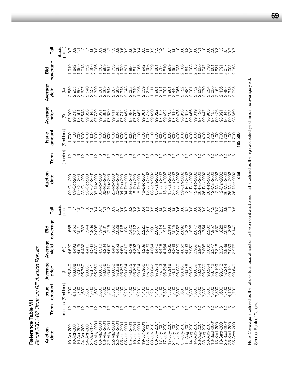**Reference Table VII**<br>Fiscal 2001-02 Treasury Bill Auction Results *Fiscal 2001-02 Treasury Bill Auction Results* **Reference Table VII**

| آڇا                    | points)<br>(basis      | $\overline{0.7}$                                                                               |            |             |                         |                  |               |             |                  |                            |                            |                            |                       |             |                                     |                            |                               | $\frac{5}{2}$ |                  |              |                  |                            |              |                       | OUNUVOOGQOQ<br>OLLLOOLOOOO |              |                            |                   |                            | $-0.0$                  |             |                  |                                           |             |                |             |                  |                      |
|------------------------|------------------------|------------------------------------------------------------------------------------------------|------------|-------------|-------------------------|------------------|---------------|-------------|------------------|----------------------------|----------------------------|----------------------------|-----------------------|-------------|-------------------------------------|----------------------------|-------------------------------|---------------|------------------|--------------|------------------|----------------------------|--------------|-----------------------|----------------------------|--------------|----------------------------|-------------------|----------------------------|-------------------------|-------------|------------------|-------------------------------------------|-------------|----------------|-------------|------------------|----------------------|
| coverage<br>Bid        |                        | 1.842                                                                                          | 1.969      | 2.013       | 1.852                   | 2.306            | 2.086         | 1.805       | 1.989            | 1.514<br>1.753             | 2.088                      | 1.929                      |                       | 1.896       | .814                                | 2.065                      | .942                          | .906          | .799             | .881         | .706             | .810                       | .989         | .955                  | .935                       | 2.006        | 842                        | 1.903             | 2.085                      | 1.650                   | 1.747       | 0621             | 1.601                                     | $-881$      | 1.791          | 2.077       | 2.005<br>2.058   | 058                  |
| Average<br>yield       | 8                      | 2.889<br>2.955                                                                                 | 2.866      | 2.627       | 2.540                   | 2.532            |               | 2.281       | 2.269            | 2.543                      | 2.207                      | 2.309<br>2.348             | 2.048                 | 2.052       | 2.349                               | 1,996                      |                               | 2.276         | 1.981            |              | 2.151            | 1.901                      | 1.961        | 2.446                 | 1.966                      | 2.122        | 2.484                      | 2.001             | 2.152<br>2.639             |                         | 2.070       | 2.224            | 3.050<br>2.152                            |             | 2.436          | 3.483       | 2.343<br>2.725   |                      |
| Average<br>price       | ⊕                      | 97.200<br>99.213                                                                               | 98.591     | 97.543      | 99.323                  | 98.848           | 97.739        | 99.391      | 98.881           | 97.620                     | 98.948<br>99.411           | 97.712                     | 99.453                | 98.987      | 97.797                              | 99.467<br>99.061           |                               | 97.775        | 99.490           | 99.022       | 97.973<br>89.492 |                            | 99.105       | 97.619                | 99.475<br>98.953           |              | 97.673                     | 99.466            | 99.019                     | 97.436                  | 99.447      | 98.903           | 97.158                                    | 99.426      | 98.891         | 96.643      | 99.375<br>98.659 |                      |
| amount<br><b>Issue</b> | (\$ millions)          | 1,700<br>4,100                                                                                 | 1,700      | 1,800       | 4,400                   | 1,800            | ,800          | 4,400       | 1,800            | ,800                       | 4,400<br>1,800             | 1,800                      | 4,400                 | 1,800       | 1,700                               |                            | 4,100<br>1,700                | 1,700         | 4,100<br>1,700   |              | 1,800            | 4,400                      | ,800         | 1,800                 | 4,400                      | ,800         | 1,800                      | 4,400             | ,800                       | ,800                    | 4,400       | 1,800            | ,700                                      | 4,100       | 002'           | ,700        | 4,100            | $1,700$<br>189,500   |
| Term                   | (months)               | $\frac{1}{2}$ က                                                                                |            |             |                         |                  |               |             |                  |                            |                            |                            |                       |             |                                     |                            |                               |               |                  |              |                  |                            |              |                       |                            |              |                            |                   |                            |                         |             |                  |                                           |             |                |             |                  |                      |
| Auction<br>date        |                        | Oct-200<br>09-Oct-200<br>$\overline{9}$                                                        | 09-Oct-200 | 23-Oct-200  | 23-Oct-200 <sup>-</sup> | 23-Oct-200       | 06-Nov-200    | 06-Nov-2001 | 06-Nov-2001      | 20-Nov-2001                | 20-Nov-2001<br>20-Nov-2001 | 04-Dec-2001                | 04-Dec-2001           | 04-Dec-2001 | 18-Dec-2001                         | 18-Dec-2001<br>18-Dec-2001 |                               | 03-Jan-2002   | 03-Jan-2002      | 03-Jan-2002  | 15-Jan-2002      | 15-Jan-2002                | 15-Jan-2002  | 29-Jan-2002           | 29-Jan-2002                | 29-Jan-2002  | 12-Feb-2002<br>12-Feb-2002 |                   | 12-Feb-2002<br>26-Feb-2002 |                         | 26-Feb-2002 | 26-Feb-2002      | 12-Mar-2002<br>12-Mar-2002<br>12-Mar-2002 |             |                | 26-Mar-2002 | 26-Mar-2002      | 26-Mar-2002<br>Total |
| Tail                   | points)<br>(basis      | π,                                                                                             |            |             |                         |                  | $\frac{4}{1}$ |             |                  |                            |                            |                            |                       |             | COCOCOCOCOCOCOCOCO                  |                            |                               |               |                  |              |                  |                            |              |                       |                            |              |                            | $\frac{8}{2}$     | $\frac{8}{2}$              | 0000                    |             |                  | nango<br>Tono                             |             |                |             |                  |                      |
| coverage<br>Bid        |                        | .565<br>.452                                                                                   | 2.021      | .733        | 1.544                   | 1.939            | 2.095         | .942        | 1.831            | 1.745                      | 1.862                      | 2.028                      | <b>1.851</b>          | .420        | .212                                | 2.221                      | 2.220                         | $-891$        | .909             | 2.067        | 1.714            | 1.910                      | 2.194        | 045<br>Νi             | 2.056                      | 2.092        | .822                       | 1.825             | 2.077<br>2.228             |                         | 1.754       | 2.288            | 1.957                                     | 1.657       | .828           | 2.092       | .802             | 2.149                |
| Average<br>yield       | $\mathcal{S}$          | 4.493<br>527                                                                                   | 4.525      | 4.432       | 4.410                   | 1.363            | 4.380         | 4.313       | 1.284            | 597                        | 4.401                      | 4.501<br>4.501             | 1.317                 | 1.378       | .392                                | .242                       | 289                           | 4.629         | 1.364            | 1.470        | 1.448            | 164                        | -265         | 1.209                 | -.029                      | 4.058        | 4.093                      | 3.950             |                            | 3.965<br>3.905<br>3.805 |             |                  | 3.8378<br>3.3778<br>3.348                 |             | 3.381<br>2.989 |             | 3.039            |                      |
| Average<br>price       | ⊕                      | 95.840<br>98.808                                                                               | 97.960     |             | 95.767<br>98.830        | 97.871<br>95.969 |               | 98.855      | 98.066<br>95.617 |                            | 98.832                     | 97.828<br>95.863           |                       |             | 98.854<br>98.025<br>95.804          | 98.874<br>97.906<br>95.750 |                               |               | 98.842<br>97.984 |              |                  | 95.753<br>98.894<br>97.918 |              | 96.121<br>98.930      |                            | 98.166       | 96.078                     | 98.951            | 98.059<br>96.394           |                         | 98.989      | 98.264<br>96.742 |                                           | 99.109      | 98.342         | 97.214      | 99.191<br>98.649 | 649                  |
| amount<br><b>Issue</b> | (months) (\$ millions) | $1,700$<br>4,100                                                                               |            | 7,000       | 3,800                   | 1,600            | 1,600         | 3,800       | 1,600            | 1,500                      | 3,500                      | 009'                       | $\frac{1,400}{3,200}$ |             | $1400$<br>$1400$<br>$1400$<br>$160$ |                            | 1189616<br>4404666<br>8604666 |               |                  |              |                  |                            | 1,500        | $\frac{1,600}{3,800}$ |                            | 1,600        | $\frac{1,600}{3,800}$      |                   | 1,600                      | 1,600                   | 3,800       | 1,600            | 1,600                                     | 3,800       | 7,700          |             | 4,100            | S                    |
| Term                   |                        | <u> ဌ်ာလက်မှာ တိုးလွတ်မှာ တိုးလွတ်မှာ တိုးလွတ်မှာ တိုးလွတ်မှာ တိုးလွတ်မှာ တို့လွတ်မှာ တို့</u> |            |             |                         |                  |               |             |                  |                            |                            |                            |                       |             |                                     |                            |                               |               |                  |              |                  |                            |              |                       |                            |              |                            |                   |                            |                         |             |                  |                                           |             |                |             |                  |                      |
| Auction<br>date        |                        | 10-Apr-200<br>0-Apr-200                                                                        | 10-Apr-200 | 24-Apr-2001 | 24-Apr-2001             | 24-Apr-2001      | 08-May-200    | 08-May-200  | 08-May-200       | 22-May-2001<br>22-May-2001 |                            | 22-May-2001<br>05-Jun-2001 | 05-Jun-2001           | 05-Jun-2001 | 19-Jun-2001                         | 19-Jun-2001                | 19-Jun-2001                   | 03-July-200   | 03-July-2001     | 03-July-2001 | 17-July-2001     | 17-July-2001               | 17-July-2001 | 31-July-2001          | 31-July-2001               | 31-July-2001 | 14-Aug-2001                | $14 - Aug - 2001$ | 14-Aug-2001                | 28-Aug-2001             | 28-Aug-2001 | 28-Aug-2001      | 13-Sept-200                               | 13-Sept-200 | 13-Sept-200    | 25-Sept-200 | 25-Sept-200      | 25-Sept-200          |

Note: Coverage is defined as the ratio of total bids at auction to the amount auctioned. Tail is defined as the high accepted yield minus the average yield. Note: Coverage is defined as the ratio of total bids at auction to the amount auctioned. Tail is defined as the high accepted yield minus the average yield.

Source: Bank of Canada. Source: Bank of Canada.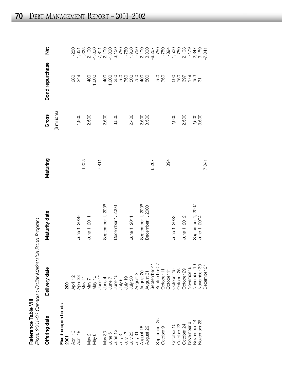| ۱ |
|---|
|   |
|   |
|   |
|   |
| ı |
|   |
|   |

| Reference Table VIII                  | Fiscal 2001-02 Canadian-Dollar Marketable Bond Program                                                                                                                                                                                                                                                                                                                                                                                                        |                   |          |                |                 |                                                                                                                                        |
|---------------------------------------|---------------------------------------------------------------------------------------------------------------------------------------------------------------------------------------------------------------------------------------------------------------------------------------------------------------------------------------------------------------------------------------------------------------------------------------------------------------|-------------------|----------|----------------|-----------------|----------------------------------------------------------------------------------------------------------------------------------------|
| Offering date                         | Delivery date                                                                                                                                                                                                                                                                                                                                                                                                                                                 | Maturity date     | Maturing | Gross          | Bond repurchase | <b>Jex</b>                                                                                                                             |
|                                       |                                                                                                                                                                                                                                                                                                                                                                                                                                                               |                   |          | (\$ millions)  |                 |                                                                                                                                        |
| Fixed-coupon bonds<br>2001            | 2001                                                                                                                                                                                                                                                                                                                                                                                                                                                          |                   |          |                |                 |                                                                                                                                        |
|                                       |                                                                                                                                                                                                                                                                                                                                                                                                                                                               |                   |          |                |                 | $-280$                                                                                                                                 |
| April 10<br>April 18                  | $\begin{array}{l} \mathcal{X} \ni \mathcal{Y} \ni \mathcal{Y} \ni \mathcal{Y} \ni \mathcal{Y} \ni \mathcal{Y} \ni \mathcal{Y} \ni \mathcal{Y} \ni \mathcal{Y} \ni \mathcal{Y} \ni \mathcal{Y} \ni \mathcal{Y} \ni \mathcal{Y} \ni \mathcal{Y} \ni \mathcal{Y} \ni \mathcal{Y} \ni \mathcal{Y} \ni \mathcal{Y} \ni \mathcal{Y} \ni \mathcal{Y} \ni \mathcal{Y} \ni \mathcal{Y} \ni \mathcal{Y} \ni \mathcal{Y} \ni \mathcal{Y} \ni \mathcal{Y} \ni \mathcal{Y$ | June 1, 2029      |          | 1,900          | 280<br>249      | $\begin{array}{c} 1,651 \\ 7,325 \\ 7,000 \\ 7,7,000 \\ 7,7,000 \\ 7,7,000 \\ 7,7,000 \\ 7,7,000 \\ 7,7,00 \\ 8,7,15 \\ 9 \end{array}$ |
|                                       |                                                                                                                                                                                                                                                                                                                                                                                                                                                               |                   | 1,325    |                |                 |                                                                                                                                        |
|                                       |                                                                                                                                                                                                                                                                                                                                                                                                                                                               | June 1, 2011      |          | 2,500          | 400             |                                                                                                                                        |
| May 2<br>May 8                        |                                                                                                                                                                                                                                                                                                                                                                                                                                                               |                   |          |                | 1,000           |                                                                                                                                        |
|                                       |                                                                                                                                                                                                                                                                                                                                                                                                                                                               |                   | 7,811    |                |                 |                                                                                                                                        |
|                                       |                                                                                                                                                                                                                                                                                                                                                                                                                                                               | September 1, 2006 |          | 2,500          | 400             |                                                                                                                                        |
| May 30<br>June 5<br>June 13           |                                                                                                                                                                                                                                                                                                                                                                                                                                                               |                   |          |                |                 |                                                                                                                                        |
|                                       |                                                                                                                                                                                                                                                                                                                                                                                                                                                               | December 1, 2003  |          | 3,500          |                 |                                                                                                                                        |
|                                       |                                                                                                                                                                                                                                                                                                                                                                                                                                                               |                   |          |                |                 | $-750$<br>$-750$                                                                                                                       |
|                                       |                                                                                                                                                                                                                                                                                                                                                                                                                                                               |                   |          |                |                 |                                                                                                                                        |
| July 3<br>1세 17<br>July 25<br>July 31 |                                                                                                                                                                                                                                                                                                                                                                                                                                                               | June 1, 2011      |          | 2,400          |                 | 1,900<br>-750                                                                                                                          |
|                                       |                                                                                                                                                                                                                                                                                                                                                                                                                                                               |                   |          |                |                 |                                                                                                                                        |
| August 15                             |                                                                                                                                                                                                                                                                                                                                                                                                                                                               | September 1, 2006 |          | 2,500          |                 |                                                                                                                                        |
| August 29                             | August 31                                                                                                                                                                                                                                                                                                                                                                                                                                                     | December 1, 2003  |          | 3,500          |                 | 2,100<br>3,000<br>8,267                                                                                                                |
|                                       | September 4*                                                                                                                                                                                                                                                                                                                                                                                                                                                  |                   | 8,267    |                |                 |                                                                                                                                        |
| September 25                          | 22<br>September                                                                                                                                                                                                                                                                                                                                                                                                                                               |                   |          |                |                 |                                                                                                                                        |
| October 9                             | October 11                                                                                                                                                                                                                                                                                                                                                                                                                                                    |                   |          |                | 750<br>750      | $-750$<br>$-750$                                                                                                                       |
|                                       | October <sub>1</sub>                                                                                                                                                                                                                                                                                                                                                                                                                                          |                   | 894      |                |                 | $-894$                                                                                                                                 |
| October 10                            | October 15                                                                                                                                                                                                                                                                                                                                                                                                                                                    | June 1, 2033      |          | 2,000          |                 |                                                                                                                                        |
| October 23                            | October 25                                                                                                                                                                                                                                                                                                                                                                                                                                                    |                   |          |                |                 |                                                                                                                                        |
| October 24                            | October 29                                                                                                                                                                                                                                                                                                                                                                                                                                                    | June 1, 2012      |          | 2,500          |                 |                                                                                                                                        |
| November 6                            | $\infty$<br>November                                                                                                                                                                                                                                                                                                                                                                                                                                          |                   |          |                |                 |                                                                                                                                        |
| November 14                           | November 19                                                                                                                                                                                                                                                                                                                                                                                                                                                   | September 1, 2007 |          | 2,500<br>3,500 |                 |                                                                                                                                        |
| November 28                           | November 30                                                                                                                                                                                                                                                                                                                                                                                                                                                   | June 1, 2004      |          |                |                 |                                                                                                                                        |
|                                       | December 3*                                                                                                                                                                                                                                                                                                                                                                                                                                                   |                   | 7,041    |                |                 |                                                                                                                                        |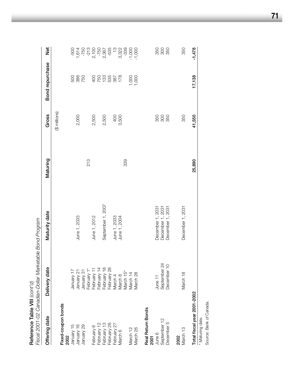| Reference Table VIII (cont'd) | Fiscal 2001-02 Canadian-Dollar Marketable Bond Program |                              |          |                |                 |                                                                                                                 |
|-------------------------------|--------------------------------------------------------|------------------------------|----------|----------------|-----------------|-----------------------------------------------------------------------------------------------------------------|
| Offering date                 | Delivery date                                          | Maturity date                | Maturing | Gross          | Bond repurchase | <b>b</b><br>Net                                                                                                 |
| Fixed-coupon bonds<br>2002    |                                                        |                              |          | (\$ millions)  |                 |                                                                                                                 |
| January 15                    | January 17                                             |                              |          |                | 58<br>88<br>75  | 500<br>1,510 000 000 000 000<br>1,510 000 000 000 000<br>1,500 000 000 000 000<br>1,500 000 000 000 000 000 000 |
| January 16                    | January 21                                             | June 1, 2033                 |          | 2,000          |                 |                                                                                                                 |
| January 29                    | January 31                                             |                              |          |                |                 |                                                                                                                 |
|                               | February 1*                                            |                              | 213      |                |                 |                                                                                                                 |
| February 6                    | February 11                                            | June 1, 2012                 |          | 2,500          |                 |                                                                                                                 |
| February 12                   | February 14                                            |                              |          |                |                 |                                                                                                                 |
| February 13                   | February 18                                            | September 1, 2007            |          | 2,500          |                 |                                                                                                                 |
| February 26                   | February 28                                            |                              |          |                |                 |                                                                                                                 |
| February 27                   | March 4                                                |                              |          |                |                 |                                                                                                                 |
| March 6                       | March 8                                                | June 1, 2033<br>June 1, 2004 |          | 400<br>3,500   |                 |                                                                                                                 |
|                               | March 15*                                              |                              | 339      |                |                 |                                                                                                                 |
| March 12                      | March 14                                               |                              |          |                | 1,000           | $-1,000$                                                                                                        |
| March 26                      | March 28                                               |                              |          |                |                 |                                                                                                                 |
| Real Return Bonds<br>2001     |                                                        |                              |          |                |                 |                                                                                                                 |
| June 6                        | June 11                                                | December 1, 2031             |          |                |                 |                                                                                                                 |
| September 12                  | September 24                                           | December 1, 2031             |          | 88<br>88<br>88 |                 | 350<br>360                                                                                                      |
| December 5                    | December 10                                            | December 1, 2031             |          |                |                 |                                                                                                                 |
| 2002                          |                                                        |                              |          |                |                 |                                                                                                                 |
| March 13                      | March 18                                               | December 1, 2031             |          | 350            |                 | 350                                                                                                             |
| Total fiscal year 2001-2002   |                                                        |                              | 25,890   | 41,550         | 17,138          | $-1,478$                                                                                                        |
| * Maturing date.              |                                                        |                              |          |                |                 |                                                                                                                 |
| Source: Bank of Canada.       |                                                        |                              |          |                |                 |                                                                                                                 |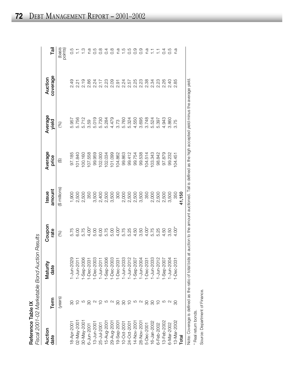| ֞֝֬֝֬֝֬֝֬֝֬֝֬֝֬֝֬֝֬֝֬֝֬֝֬֝֓ <b>֓</b><br>≘ | Ò<br>ſ<br>.<br>ء<br>י המרו<br>$\overline{\phantom{a}}$<br>l,<br>-<br>-<br>-<br>i<br>、てくく |
|-------------------------------------------|------------------------------------------------------------------------------------------|
| ı                                         |                                                                                          |

| Auction<br>date | Term                                                                   | Maturity<br>date                                                                                                                                                                                               | Coupon<br>rate | Issue<br>amount | Average<br>price                                                                                                                                                                                                                                                                                                        | Average<br>yield | Auction<br>coverage | Tail                           |
|-----------------|------------------------------------------------------------------------|----------------------------------------------------------------------------------------------------------------------------------------------------------------------------------------------------------------|----------------|-----------------|-------------------------------------------------------------------------------------------------------------------------------------------------------------------------------------------------------------------------------------------------------------------------------------------------------------------------|------------------|---------------------|--------------------------------|
|                 | (years)                                                                |                                                                                                                                                                                                                | Pol            | (\$ millions)   | ⊕                                                                                                                                                                                                                                                                                                                       | (%)              |                     | (basis<br>points)              |
| 18-Apr-2001     |                                                                        |                                                                                                                                                                                                                |                |                 |                                                                                                                                                                                                                                                                                                                         |                  |                     |                                |
| 02-May-2001     |                                                                        | 1-Jun-2029<br>1-Jun-2011<br>1-Sep-2003<br>1-Dec-2003<br>1-Dec-2003<br>1-Jun-2011<br>1-Dec-2003<br>1-Jun-2003<br>1-Sep-2003<br>1-Jun-2003<br>1-Jun-2003<br>1-Jun-2003<br>1-Jun-2003<br>1-Jun-2003<br>1-Jun-2003 |                |                 | $\begin{array}{l} 57.184 \\ 07.184 \\ 08.194 \\ 09.195 \\ 000 \\ 011 \\ 001 \\ 000 \\ 001 \\ 001 \\ 000 \\ 001 \\ 001 \\ 000 \\ 001 \\ 001 \\ 001 \\ 001 \\ 001 \\ 001 \\ 001 \\ 001 \\ 001 \\ 001 \\ 001 \\ 001 \\ 001 \\ 001 \\ 001 \\ 001 \\ 001 \\ 001 \\ 001 \\ 001 \\ 001 \\ 001 \\ 001 \\ 001 \\ 001 \\ 001 \\ $ |                  |                     |                                |
| 30-May-2001     | $\frac{10}{10}$                                                        |                                                                                                                                                                                                                |                |                 |                                                                                                                                                                                                                                                                                                                         |                  |                     | $\frac{1}{2}$ is $\frac{1}{2}$ |
| 6-Jun-2001      | 8                                                                      |                                                                                                                                                                                                                |                |                 |                                                                                                                                                                                                                                                                                                                         |                  |                     |                                |
| 13-Jun-2001     |                                                                        |                                                                                                                                                                                                                |                |                 |                                                                                                                                                                                                                                                                                                                         |                  |                     | a<br>C<br>O<br>C               |
| 25-Jul-2001     | $\begin{array}{c} \mathcal{O} & \mathcal{O} & \mathcal{O} \end{array}$ |                                                                                                                                                                                                                |                |                 |                                                                                                                                                                                                                                                                                                                         |                  |                     | $\frac{8}{2}$                  |
| 15-Aug-2001     |                                                                        |                                                                                                                                                                                                                |                |                 |                                                                                                                                                                                                                                                                                                                         |                  |                     |                                |
| 29-Aug-2001     |                                                                        |                                                                                                                                                                                                                |                |                 |                                                                                                                                                                                                                                                                                                                         |                  |                     |                                |
| 19-Sep-2001     | 8                                                                      |                                                                                                                                                                                                                |                |                 |                                                                                                                                                                                                                                                                                                                         |                  |                     |                                |
| 10-Oct-2001     | 80                                                                     |                                                                                                                                                                                                                |                |                 |                                                                                                                                                                                                                                                                                                                         |                  |                     |                                |
| 24-Oct-2001     | $\frac{0}{1}$                                                          |                                                                                                                                                                                                                |                |                 |                                                                                                                                                                                                                                                                                                                         |                  |                     |                                |
| 14-Nov-2001     | 5                                                                      |                                                                                                                                                                                                                |                |                 |                                                                                                                                                                                                                                                                                                                         |                  |                     |                                |
| 28-Nov-2001     | $\mathbf{\Omega}$                                                      |                                                                                                                                                                                                                |                |                 |                                                                                                                                                                                                                                                                                                                         |                  |                     |                                |
| 5-Dec-2001      |                                                                        |                                                                                                                                                                                                                |                |                 |                                                                                                                                                                                                                                                                                                                         |                  |                     |                                |
| 16-Jan-2002     | 80                                                                     |                                                                                                                                                                                                                |                |                 |                                                                                                                                                                                                                                                                                                                         |                  |                     |                                |
| 6-Feb-2002      | $\overline{C}$                                                         |                                                                                                                                                                                                                |                |                 |                                                                                                                                                                                                                                                                                                                         |                  |                     |                                |
| 13-Feb-2002     |                                                                        |                                                                                                                                                                                                                |                |                 |                                                                                                                                                                                                                                                                                                                         |                  |                     |                                |
| 6-Mar-2002      |                                                                        |                                                                                                                                                                                                                |                |                 |                                                                                                                                                                                                                                                                                                                         |                  |                     |                                |
| 13-Mar-2002     |                                                                        |                                                                                                                                                                                                                |                |                 |                                                                                                                                                                                                                                                                                                                         |                  |                     | n.a                            |
| Total           |                                                                        |                                                                                                                                                                                                                |                |                 |                                                                                                                                                                                                                                                                                                                         |                  |                     |                                |

Note: Coverage is defined as the ratio of total bids at auction to the amount auctioned. Tail is defined as the high accepted yield minus the average yield. Note: Coverage is defined as the ratio of total bids at auction to the amount auctioned. Tail is defined as the high accepted yield minus the average yield. \* Real return bonds. \* Real return bonds.

Source: Department of Finance. Source: Department of Finance.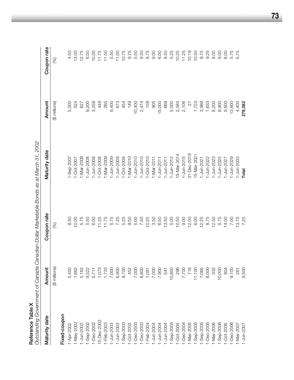| Reference Table X |               |             | Outstanding Government of Canada Canadian-Dollar Marketable Bonds as at March 31, 2002 |               |               |
|-------------------|---------------|-------------|----------------------------------------------------------------------------------------|---------------|---------------|
| Maturity date     | Amount        | Coupon rate | Maturity date                                                                          | Amount        | Coupon rate   |
|                   | (\$ millions) | $\circledS$ |                                                                                        | (\$ millions) | $\mathcal{E}$ |
| Fixed-coupon      |               |             |                                                                                        |               |               |
| 1-Apr-2002        | 5,450         | 8.50        | $1 -$ Sep-2007                                                                         | 5,000         | 4.50          |
| 1-May-2002        | 1,662         | 10.00       | 1-Oct-2007                                                                             | 524           | 13.00         |
| 1-Jun-2002        | 5,162         | 5.75        | 1-Mar-2008                                                                             | 627           | 12.75         |
| $-$ Sep $-2002$   | 9,522         | 5.50        | 1-Jun-2008                                                                             | 9,200         | 6.00          |
| 1-Dec-2002        | 5,711         | 6.00        | I-Jun-2008                                                                             | 3,258         | 10.00         |
| 15-Dec-2002       | 1,073         | 11.25       | $-0$ ct-2008                                                                           | 449           | 11.75         |
| I-Feb-2003        | 1,733         | 11.75       | $-Mar-2009$                                                                            | 265           | 11.50         |
| -Jun-2003         | 7,000         | 5.75        | $-$ Jun-2009                                                                           | 9,400         | 5.50          |
| 1-Jun-2003        | 6,900         | 7.25        | $-$ Jun $-2009$                                                                        | 673           | 11.00         |
| -Sep-2003         | 9,700         | 5.25        | $-Oct - 2009$                                                                          | 454           | 10.75         |
| $1 - Oct - 2003$  | 452           | 9.50        | $1 - \text{Mar} - 2010$                                                                | 149           | 9.75          |
| 1-Dec-2003        | 7,000         | 5.00        | $-$ Jun $-2010$                                                                        | 10,400        | 5.50          |
| 1-Dec-2003        | 8,800         | 7.50        | $-$ Jun $-2010$                                                                        | 2,474         | 9.50          |
| 1-Feb-2004        | 1,081         | 10.25       | $1 - Oct - 2010$                                                                       | 159           | 8.75          |
| 1-Jun-2004        | 7,000         | 3.50        | $1 - Max - 2011$                                                                       | 905           | 9.00          |
| 1-Jun-2004        | 7,900         | 6.50        | $-Jun-2011$                                                                            | 15,000        | 6.00          |
| 1-Jun-2004        | 541           | 13.50       | $-$ Jun $-2011$                                                                        | 669           | 8.50          |
| $1 -$ Sep-2004    | 10,850        | 5.00        | 1-Jun-2012                                                                             | 5,000         | 5.25          |
| $1 - Oct - 2004$  | 296           | 10.50       | 15-Mar-2014                                                                            | 2,584         | 10.25         |
| 1-Dec-2004        | 7,700         | 9.00        | $1 - Jun-2015$                                                                         | 2,106         | 11.25         |
| 1-Mar-2005        | 716           | 12.00       | 31-Dec-2019                                                                            | 22            | 10.19         |
| $-$ Sep $-2005$   | 11,100        | 6.00        | 15-Mar-202 <sup>-</sup>                                                                | 1,723         | 10.50         |
| $-$ Sep $-2005$   | 1,065         | 12.25       | -Jun-2021                                                                              | 3,989         | 9.75          |
| 1-Dec-2005        | 8,000         | 8.75        | -Jun-2022                                                                              | 1,633         | 9.25          |
| 1-Mar-2006        | 335           | 12.50       | $-Jun-2023$                                                                            | 8,200         | 8.00          |
| $-$ Sep-2006      | 10,000        | 5.75        | $-Jun-2025$                                                                            | 8,900         | 9.00          |
| 1-Oct-2006        | 804           | 14.00       | -Jun-2027                                                                              | 9,600         | 8.00          |
| 1-Dec-2006        | 9,100         | 7.00        | $-Jun-2029$                                                                            | 13,900        | 5.75          |
| $1 - Max - 2007$  | 261           | 13.75       | $-$ Jun $-2033$                                                                        | 4,400         | 5.75          |
| 1-Jun-2007        | 9,500         | 7.25        | Total                                                                                  | 278,082       |               |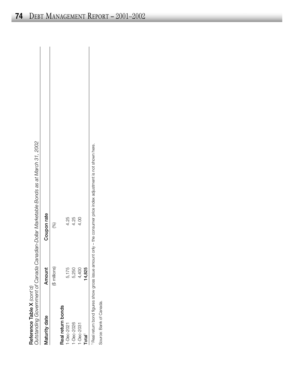| Ĺ,<br>j<br>ומר                                       | $\overline{\phantom{a}}$ |
|------------------------------------------------------|--------------------------|
| $\frac{1}{1}$<br>j                                   | ١                        |
| Š<br>:<br>5                                          |                          |
| į<br>֪֧֚֚֚֚֚֚֚֚֚֚֚֚֚֚֚֚֚֚֚֚֚֚֚֚֚֚֚֚֚֚֚֚֡֟֓֡֡֓֡֟֓֡֡֝֓ |                          |
| ċ<br>ſ                                               |                          |

| Reference Table X $\langle \text{cont'} \text{d} \rangle$ |               | Outstanding Government of Canada Canadian-Dollar Marketable Bonds as at March 31, 2002 |
|-----------------------------------------------------------|---------------|----------------------------------------------------------------------------------------|
| Maturity date                                             | ₫<br>Amou     | Coupon rate                                                                            |
|                                                           | (\$ millions) | (%)                                                                                    |
| Real return bonds                                         |               |                                                                                        |
| $-Dec-2021$                                               | 5,175         | 4.25                                                                                   |
| 1-Dec-2026                                                | 5,250         | 4.25                                                                                   |
| 1-Dec-2031                                                | 4,400         | 4.00                                                                                   |
| Total <sup>1</sup>                                        | 14,825        |                                                                                        |
| Real return bond figures show gross issu                  |               | ue amount only - the consumer price index adjustment is not shown here.                |
| Source: Bank of Canada.                                   |               |                                                                                        |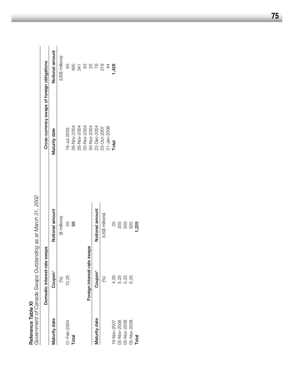|               |                        | Government of Canada Swaps Outstanding as at March 31, 2002 |                                             |                 |
|---------------|------------------------|-------------------------------------------------------------|---------------------------------------------|-----------------|
|               | Domestic interest-rate | swaps                                                       | Cross-currency swaps of foreign obligations |                 |
| Maturity date | Coupon <sup>1</sup>    | Notional amount                                             | Maturity date                               | Notional amount |
|               | $\circledast$          | (\$ millions)                                               |                                             | (US\$ millions) |
| 01-Feb-2004   | 10.25                  | 50                                                          | 16-Jul-2003                                 | 65              |
| Total         |                        | 8                                                           | 26-Nov-2004                                 | 495             |
|               |                        |                                                             | 26-Nov-2004                                 | 341             |
|               |                        |                                                             | 30-Nov-2004                                 | 8               |
|               | Foreign interest-rate  | swaps                                                       | 30-Nov-2004                                 | 25              |
| Maturity date | Coupon <sup>1</sup>    | Notional amount                                             | 22-Dec-2004                                 | 76              |
|               | $\mathcal{E}$          | (US\$ millions)                                             | 03-Oct-2007                                 | 319             |
|               |                        |                                                             | 31-Jan-2008                                 | $\ddot{4}$      |
| 19-Nov-2007   | 4.00                   | 25                                                          | <b>Total</b>                                | l,428           |
| 05-Nov-2008   | 5.25                   | 200                                                         |                                             |                 |
| 05-Nov-2008   | 5.25                   | 500                                                         |                                             |                 |
| 05-Nov-2008   | 5.25                   | 500                                                         |                                             |                 |
| Total         |                        | ,225                                                        |                                             |                 |
|               |                        |                                                             |                                             |                 |

Reference Table XI **Reference Table XI**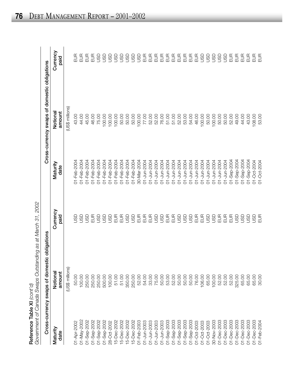| once Table XI ⊘ont (C<br>)<br>.<br><u>ט</u> | utstanding as at March ?<br>in limiano on chi<br>$\nu$ ans C<br>; epeue;) ;<br>Coupmant of |
|---------------------------------------------|--------------------------------------------------------------------------------------------|
| $\mathbf{r}$                                |                                                                                            |

1,2002 *Government of Canada Swaps Outstanding as at March 31, 2002*

|                  | Cross-currency swaps of domestic obligations |                  |                  | Cross-currency swaps of domestic obligations |                  |
|------------------|----------------------------------------------|------------------|------------------|----------------------------------------------|------------------|
| Maturity<br>date | amount<br>Notiona                            | Currency<br>paid | Maturity<br>date | amount<br>Notiona                            | Currency<br>paid |
|                  | (US\$ millions)                              |                  |                  | (US\$ millions)                              |                  |
| 01-Apr-2002      | 50.00                                        | 9S               | 01-Feb-2004      | 43.00                                        | $\frac{1}{2}$    |
| 01-May-2002      | 100.00                                       | asu              | 01-Feb-2004      | 44.00                                        | $\frac{1}{2}$    |
| 01-Sep-2002      | 250.00                                       | go               | 01-Feb-2004      | 45.00                                        | $\frac{1}{2}$    |
| 01-Sep-2002      | 250.00                                       | EUR<br>E         | 01-Feb-2004      | 46.00                                        | EUR              |
| 01-Sep-2002      | 250.00                                       | asu              | 01-Feb-2004      | 75.00                                        | GSU              |
| 01-Sep-2002      | 500.00                                       | asu              | 01-Feb-2004      | 100.00                                       | GSU              |
| 28-Oct-2002      | 100.00                                       | asu              | 01-Feb-2004      | 100.00                                       | GSU              |
| 15-Dec-2002      | 51.00                                        | EUR              | 01-Feb-2004      | 100.00                                       | GSU              |
| 15-Dec-2002      | 51.00                                        | EUR              | 01-Feb-2004      | 50.00                                        | GSU              |
| 15-Dec-2002      | 350.00                                       | asp              | 01-Feb-2004      | 50.00                                        | asu              |
| 15-Dec-2002      | 250.00                                       | asu              | 01-Feb-2004      | 50.00                                        | GSU              |
| 01-Feb-2003      | 52.00                                        | EUR              | 30-Mar-2004      | 100.00                                       | GSU              |
| 01-Jun-2003      | 54.00                                        | EUR              | 01-Jun-2004      | 77.00                                        | EUR              |
| 01-Jun-2003      | 33.00                                        | EUR              | 01-Jun-2004      | 52.00                                        | EUR              |
| 01-Jun-2003      | 75.00                                        | asp              | 01-Jun-2004      | 52.00                                        | EUR              |
| 01-Jun-2003      | 50.00                                        | go               | 01-Jun-2004      | 76.00                                        | EUR              |
| 01-Sep-2003      | 53.00                                        | EUR              | 01-Jun-2004      | 51.00                                        | EUR              |
| 01-Sep-2003      | 52.00                                        | EUR              | 01-Jun-2004      | 51.00                                        | EUR              |
| 01-Sep-2003      | 50.00                                        | asu              | 01-Jun-2004      | 52.00                                        | EUR              |
| 01-Sep-2003      | 50.00                                        | asp              | 01-Jun-2004      | 53.00                                        | EUR              |
| 01-Sep-2003      | 50.00                                        | asu              | 01-Jun-2004      | 54.00                                        | EUR              |
| 01-Oct-2003      | 76.00                                        | EUR              | 01-Jun-2004      | 46.00                                        | 5 <sub>0</sub>   |
| 01-Oct-2003      | 106.00                                       | EUR              | 01-Jun-2004      | 100.00                                       | GSU              |
| 01-Oct-2003      | 65.00                                        | asp              | 01-Jun-2004      | 50.00                                        | GSU              |
| 30-Nov-2003      | 100.00                                       | GSU              | 01-Jun-2004      | 100.00                                       | GSU              |
| 01-Dec-2003      | 52.00                                        | EUR              | 01-Jun-2004      | 50.00                                        | GSU              |
| 01-Dec-2003      | 52.00                                        | E                | 01-Jun-2004      | 50.00                                        | GSU              |
| 01-Dec-2003      | 52.00                                        | $rac{1}{2}$      | 01-Sep-2004      | 52.00                                        | $rac{1}{2}$      |
| 01-Dec-2003      | 325.00                                       | GSU              | 01-Sep-2004      | 49.00                                        | E                |
| 01-Dec-2003      | 65.00                                        | GSU              | 01-Sep-2004      | 44.00                                        | E                |
| 01-Dec-2003      | 65.00                                        | go               | 01-Sep-2004      | 43.00                                        | $rac{1}{2}$      |
| 01-Dec-2003      | 65.00                                        | asu              | 01-Oct-2004      | 108.00                                       | EUR              |
| 01-Feb-2004      | 30.00                                        | $E$ UR           | 01-Oct-2004      | 53.00                                        | EUR              |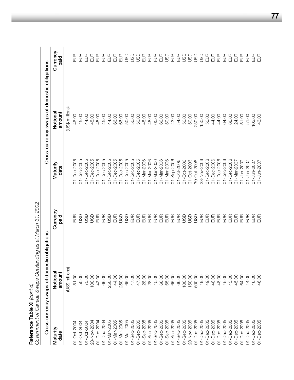| Reference Table XI (cont'd) | Government of Canada Swaps Outstar | nding as at March 31, 2002 |                  |                                              |                  |
|-----------------------------|------------------------------------|----------------------------|------------------|----------------------------------------------|------------------|
|                             | Cross-currency swaps of domest     | ic obligations             |                  | Cross-currency swaps of domestic obligations |                  |
| Maturity<br>date            | Notiona<br>amount                  | Currency<br>paid           | Maturity<br>date | amount<br>Notiona                            | Currency<br>paid |
|                             | (US\$ millions)                    |                            |                  | (US\$ millions)                              |                  |
| 01-Oct-2004                 | 51.00                              | 5<br>巴                     | 01-Dec-2005      | 46.00                                        | $\frac{1}{2}$    |
| 01-Oct-2004                 | 50.00                              | asp                        | 01-Dec-2005      | 45.00                                        | EUR              |
| 01-Oct-2004                 | 75.00                              | asu                        | 01-Dec-2005      | 44.00                                        | EUR              |
| 23-Nov-2004                 | 100.00                             | 9SL                        | 01-Dec-2005      | 45.00                                        | $\frac{1}{2}$    |
| 01-Dec-2004                 | 43.00                              | $\frac{1}{2}$              | 01-Dec-2005      | 45.00                                        | EUR              |
| 01-Dec-2004                 | 66.00                              | $E$ UR                     | 01-Dec-2005      | 45.00                                        | EUR              |
| 01-Mar-2005                 | 250.00                             | GSU                        | 01-Dec-2005      | 44.00                                        | EUR              |
| 01-Mar-2005                 | 44.00                              | EUR                        | 01-Dec-2005      | 66.00                                        | EUR              |
| 01-Mar-2005                 | 250.00                             | asp                        | 01-Dec-2005      | 66.00                                        | EUR              |
| 01-Mar-2005                 | 65.00                              | asp                        | 01-Dec-2005      | 50.00                                        | asu              |
| 01-Sep-2005                 | 47.00                              | $rac{1}{2}$                | 01-Dec-2005      | 50.00                                        | asp              |
| 01-Sep-2005                 | 47.00                              |                            | 01-Dec-2005      | 50.00                                        | asp              |
| 01-Sep-2005                 | 28.00                              | EUR                        | 01-Mar-2006      | 48.00                                        | EUR              |
| 01-Sep-2005                 | 28.00                              | EUR                        | 01-Mar-2006      | 48.00                                        | EUR              |
| 01-Sep-2005                 | 45.00                              | $\Xi$                      | 01-Mar-2006      | 65.00                                        | $E$ UR           |
| 01-Sep-2005                 | 66.00                              | 555                        | 01-Mar-2006      | 66.00                                        | EUR              |
| 01-Sep-2005                 | 65.00                              |                            | 01-Mar-2006      | 50.00                                        | asp              |
| 01-Sep-2005                 | 65.00                              |                            | 01-Sep-2006      | 43.00                                        | EUR              |
| 01-Sep-2005                 | 66.00                              | $E$ UR                     | 01-Oct-2006      | 54.00                                        | EUR              |
| 01-Sep-2005                 | 100.00                             | GSD                        | 01-Oct-2006      | 50.00                                        | go               |
| 23-Nov-2005                 | 150.00                             | asp                        | 01-Oct-2006      | 50.00                                        | asu              |
| 01-Dec-2005                 | 500.00                             | go                         | 30-Oct-2006      | 250.00                                       | asp              |
| 01-Dec-2005                 | 49.00                              | $rac{1}{2}$                | 23-Nov-2006      | 150.00                                       | asu              |
| 01-Dec-2005                 | 49.00                              |                            | 01-Dec-2006      | 50.00                                        | EUR              |
| 01-Dec-2005                 | 48.00                              | $E$ UR                     | 01-Dec-2006      | 44.00                                        | EUR              |
| 01-Dec-2005                 | 48.00                              | EUR                        | 01-Dec-2006      | 44.00                                        | EUR              |
| 01-Dec-2005                 | 45.00                              | E                          | 01-Dec-2006      | 64.00                                        | EUR              |
| 01-Dec-2005                 | 45.00                              | EUR                        | 01-Dec-2006      | 66.00                                        | EUR              |
| 01-Dec-2005                 | 45.00                              | EUR                        | 01-Mar-2007      | 24.00                                        | EUR              |
| 01-Dec-2005                 | 64.00                              | $rac{1}{2}$                | 01-Jun-2007      | 51.00                                        | EUR              |
| 01-Dec-2005                 | 44.00                              |                            | 01-Jun-2007      | 51.00                                        | E                |
| 01-Dec-2005                 | 46.00                              | EUR                        | 01-Jun-2007      | 103.00                                       | EUR              |
| 01-Dec-2005                 | 46.00                              | $\frac{1}{2}$              | 01-Jun-2007      | 43.00                                        | $\frac{1}{2}$    |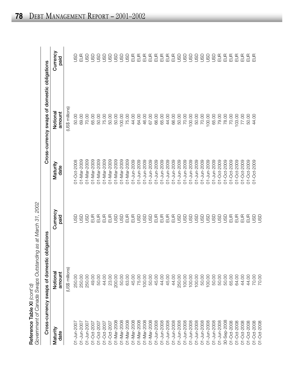|                                                           | $\sim$ h $\sim$ h $\sim$ h $\sim$ h $\sim$<br>Swaps Outstanding as at March<br>۔<br>ק |
|-----------------------------------------------------------|---------------------------------------------------------------------------------------|
| Reference Table XI $\langle \text{out'} \text{d} \rangle$ | Canada S                                                                              |

|                  | Cross-currency swaps of domestic obligations |                  |                  | Cross-currency swaps of domestic obligations |                  |
|------------------|----------------------------------------------|------------------|------------------|----------------------------------------------|------------------|
| Maturity<br>date | Notional<br>amount                           | Currency<br>paid | Maturity<br>date | Notional<br>amount                           | Currency<br>paid |
|                  | (US\$ millions)                              |                  |                  | (US\$ millions)                              |                  |
| 01-Jun-2007      | 250.00                                       | asu              | 01-Oct-2008      | 50.00                                        | g                |
| 01-Jun-2007      | 250.00                                       | asu              | 01-Mar-2009      | 69.00                                        | EUR              |
| 01-Jun-2007      | 250.00                                       | GSU              | 01-Mar-2009      | 70.00                                        | asu              |
| 01-Oct-2007      | 49.00                                        | EUR              | 01-Mar-2009      | 65.00                                        | asu              |
| 01-Oct-2007      | 50.00                                        | EUR              | 01-Mar-2009      | 50.00                                        | asu              |
| 01-Oct-2007      | 44.00                                        | EUR              | 01-Mar-2009      | 75.00                                        | asu              |
| 01-Oct-2007      | 23.00                                        | EUR              | 01-Mar-2009      | 50.00                                        | asu              |
| 01-Mar-2008      | 200.00                                       | asp              | 01-Mar-2009      | 50.00                                        | asu              |
| 01-Mar-2008      | 50.00                                        | asp              | 01-Mar-2009      | 100.00                                       | asu              |
| 01-Mar-2008      | 63.00                                        | EUR              | 01-Mar-2009      | 75.00                                        | asu              |
| 01-Mar-2008      | 45.00                                        | EUR              | 01-Jun-2009      | 44.00                                        | EUR              |
| 01-Mar-2008      | 75.00                                        | asp              | 01-Jun-2009      | 64.00                                        | EUR              |
| 01-Mar-2008      | 100.00                                       | asn              | 01-Jun-2009      | 46.00                                        | EUR              |
| 01-Mar-2008      | 50.00                                        | asp              | 01-Jun-2009      | 67.00                                        | EUR              |
| 01-Jun-2008      | 45.00                                        | EUR              | 01-Jun-2009      | 66.00                                        | $E$ UR           |
| 01-Jun-2008      | 44.00                                        | EUR              | 01-Jun-2009      | 65.00                                        | EUR              |
| 01-Jun-2008      | 45.00                                        | E                | 01-Jun-2009      | 44.00                                        | E                |
| 01-Jun-2008      | 44.00                                        | EUR              | 01-Jun-2009      | 66.00                                        | EUR              |
| 01-Jun-2008      | 250.00                                       | asp              | 01-Jun-2009      | 50.00                                        | asu              |
| 01-Jun-2008      | 100.00                                       | asp              | 01-Jun-2009      | 70.00                                        | asp              |
| 01-Jun-2008      | 100.00                                       | asp              | 01-Jun-2009      | 100.00                                       | asu              |
| 01-Jun-2008      | 100.00                                       | asu              | 01-Jun-2009      | 50.00                                        | asu              |
| 01-Jun-2008      | 50.00                                        | asp              | 01-Jun-2009      | 70.00                                        | asu              |
| 01-Jun-2008      | 100.00                                       | asp              | 01-Jun-2009      | 100.00                                       | asu              |
| 01-Jun-2008      | 50.00                                        | asu              | 01-Jun-2009      | 65.00                                        | asp              |
| 01-Jun-2008      | 50.00                                        | asp              | 01-Oct-2009      | 79.00                                        | EUR              |
| 30-Sep-2008      | 50.00                                        | GSU              | 01-Oct-2009      | 78.00                                        | EUR              |
| 01-Oct-2008      | 65.00                                        | EUR              | 01-Oct-2009      | 70.00                                        | EUR              |
| 01-Oct-2008      | 64.00                                        | $rac{1}{2}$      | 01-Oct-2009      | 103.00                                       | $\frac{1}{2}$    |
| 01-Oct-2008      | 44.00                                        | 巴<br>巴           | 01-Oct-2009      | 77.00                                        | $rac{1}{2}$      |
| 01-Oct-2008      | 44.00                                        | 巴<br>巴           | 01-Oct-2009      | 50.00                                        | $rac{1}{2}$      |
| 01-Oct-2008      | 70.00                                        | asu              | 01-Oct-2009      | 44.00                                        | E                |
| 01-Oct-2008      | 70.00                                        | g                |                  |                                              |                  |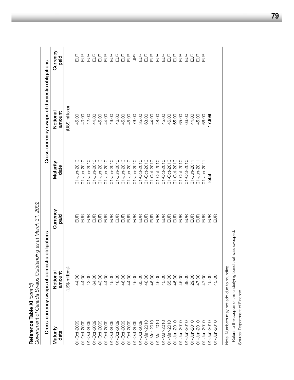|                          | Government of Canada Swaps Outstal | nding as at March 31, 2002 |                   |                                              |                      |
|--------------------------|------------------------------------|----------------------------|-------------------|----------------------------------------------|----------------------|
|                          | Cross-currency swaps of domest     | tic obligations            |                   | Cross-currency swaps of domestic obligations |                      |
| Maturity<br>date         | Notional<br>amount                 | Currency<br>paid           | Maturity<br>date  | Notional<br>amount                           | Currency<br>paid     |
|                          | (US\$ millions)                    |                            |                   | (US\$ millions)                              |                      |
| 01-Oct-2009              | 44.00                              |                            | 01-Jun-2010       | 45.00                                        | n<br>E               |
| 01-Oct-2009              | 44.00                              |                            | 01-Jun-2010       | 43.00                                        |                      |
| 01-Oct-2009              | 43.00                              |                            | $01 - Jun-2010$   | 42.00                                        |                      |
| 01-Oct-2009              | 64.00                              |                            | 01-Jun-2010       | 44.00                                        | 555                  |
| 01-Oct-2009              | 43.00                              |                            | 01-Jun-2010       | 45.00                                        |                      |
| 01-Oct-2009              | 44.00                              |                            | 01-Jun-2010       | 44.00                                        |                      |
| 01-Oct-2009              | 45.00                              |                            | 01-Jun-2010       | 46.00                                        |                      |
| 01-Oct-2009              | 46.00                              |                            | 01-Jun-2010       | 46.00                                        | $5555552$ $55555555$ |
| 01-Oct-2009              | 46.00                              |                            | $01 - Jun-2010$   | 45.00                                        |                      |
| 01-Oct-2009              | 44.00                              |                            | 01-Jun-2010       | 45.00                                        |                      |
| 01-Oct-2009              | 45.00                              |                            | 01-Jun-2010       | 76.00                                        |                      |
| 01-Oct-2009              | 65.00                              |                            | $01 - Oct - 2010$ | 35.00                                        |                      |
| 01-Mar-2010              | 48.00                              |                            | 01-Oct-2010       | 63.00                                        |                      |
| 01-Mar-2010              | 46.00                              |                            | 01-Oct-2010       | 44.00                                        |                      |
| $01 - \text{Mar} - 2010$ | 46.00                              |                            | $01 - Oct - 2010$ | 48.00                                        |                      |
| $01 - \text{Mar} - 2010$ | 45.00                              |                            | 01-Oct-2010       | 45.00                                        |                      |
| 01-Mar-2010              | 65.00                              |                            | $01 - Oct - 2010$ | 46.00                                        |                      |
| $01 - Jun-2010$          | 46.00                              |                            | 01-Oct-2010       | 65.00                                        |                      |
| 01-Jun-2010              | 45.00                              |                            | 011-Oct-2010      | 65.00                                        |                      |
| 01-Jun-2010              | 38.00                              |                            | 01-Oct-2010       | 66.00                                        |                      |
| 01-Jun-2010              | 29.00                              |                            | 01-Jun-2011       | 44.00                                        |                      |
| $01 - Jun-2010$          | 47.00                              |                            | 01-Jun-2011       | 45.00                                        | E                    |
| 01-Jun-2010              | 47.00                              |                            | 01-Jun-2011       | 66.00                                        | $\frac{1}{2}$        |
| $01 - Jun-2010$          | 45.00                              |                            | Total             | 17,899                                       |                      |
| $01 - Jun-2010$          | 45.00                              | 믌                          |                   |                                              |                      |

 $\ddot{\ddot{\xi}}$  $O$ utota Reference Table XI (cont'd) **Reference Table XI** *(cont'd)*

Note: Numbers may not add due to rounding. Note: Numbers may not add due to rounding.<br><sup>1</sup> Refers to the coupon of the underlying bond that was swapped.<br>Source: Department of Finance. Refers to the coupon of the underlying bond that was swapped.

Source: Department of Finance.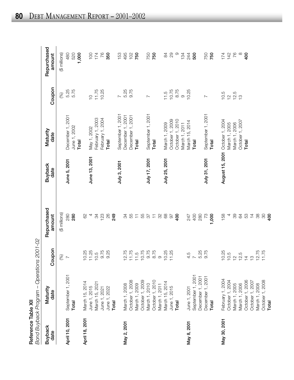**Reference Table XII**<br>Bond Buyback Program – Operations 2001-02 **Reference Table XII**

|                        | Bond Buyback Program - Operations | 2001-02                          |                               |                        |                   |                  |                       |
|------------------------|-----------------------------------|----------------------------------|-------------------------------|------------------------|-------------------|------------------|-----------------------|
| <b>Buyback</b><br>date | Maturity<br>date                  | Coupon                           | Repurchased<br>amount         | <b>Buyback</b><br>date | Maturity<br>date  | Coupon           | Repurchased<br>amount |
|                        |                                   | $\mathcal{S}_{0}$                | (\$ millions)                 |                        |                   | (%)              | (\$ millions)         |
| April 10, 2001         | September 1, 2001                 | $\overline{ }$                   | 280                           | June 5, 2001           | December 1, 2001  | 5.25             | 480                   |
|                        | Total                             |                                  | 280                           |                        | June 1, 2002      | 5.75             | 520                   |
|                        |                                   |                                  |                               |                        | Total             |                  | 1,000                 |
| April 18, 2001         | March 15, 2014                    |                                  | 82                            |                        |                   |                  |                       |
|                        | June 1, 2015                      | $10.25$<br>$11.25$               | 4                             | June 13, 2001          | May 1, 2002       | $\frac{1}{2}$    | 100                   |
|                        | March 15, 2021                    | 10.5                             | $\mathfrak{B}$                |                        | February 1, 2003  | 11.75            | 174                   |
|                        | June 1, 2021                      | 9.75                             | 123                           |                        | February 1, 2004  | 10.25            | 76                    |
|                        | June 1, 2022                      | 9.25                             | 26                            |                        | Total             |                  | 350                   |
|                        | Total                             |                                  | 249                           |                        |                   |                  |                       |
|                        |                                   |                                  |                               | July 3, 2001           | September 1, 2001 | $\sim$           | 153                   |
| May 2, 2001            | March 1, 2008                     | 12.75                            | 34                            |                        | December 1, 2001  | 5.25             | 495                   |
|                        | October 1, 2008                   | 11.75                            | 55                            |                        | December 1, 2001  | 9.75             | 102                   |
|                        | March 1, 2009                     | 11.5                             | $\overleftarrow{\phantom{a}}$ |                        | Total             |                  | 750                   |
|                        | October 1, 2009                   | 10.75                            | 55                            |                        |                   |                  |                       |
|                        | March 1, 2010                     | 9.75                             | 22                            | July 17, 2001          | September 1, 2001 | $\sim$           | 750                   |
|                        | October 1, 2010                   | 8.75                             | $\overleftarrow{\mathbf{t}}$  |                        | Total             |                  | 750                   |
|                        | March 1, 2011                     | $\circ$                          | 32                            |                        |                   |                  |                       |
|                        | March 15, 2014                    | 10.25                            | 89                            | July 25, 2001          | March 1, 2009     | 11.5             | 84                    |
|                        | June 1, 2015                      | 1.25<br>$\overline{\phantom{a}}$ | $\overline{6}$                |                        | October 1, 2009   | 10.75            | 29                    |
|                        | Total                             |                                  | 400                           |                        | October 1, 2010   | 8.75             | $\circ$               |
|                        |                                   |                                  |                               |                        | March 1, 2011     | $\circ$          | 134                   |
| May 8, 2001            | June 1, 2001                      |                                  | 247                           |                        | March 15, 2014    | 10.25            | 244                   |
|                        | September 1, 2001                 | 4.5                              | 400                           |                        | Total             |                  | 500                   |
|                        | December 1, 2001                  | 5.25                             | 280                           |                        |                   |                  |                       |
|                        | December 1, 2001                  | 9.75                             | 73                            | July 31, 2001          | September 1, 2001 | $\sim$           | 750                   |
|                        | Total                             |                                  | 1,000                         |                        | Total             |                  | 750                   |
| May 30, 2001           | February 1, 2004                  | 10.25                            | 158                           | August 15, 2001        | October 1, 2004   | 10.5             | 174                   |
|                        | October 1, 2004                   | 10.5                             | 4                             |                        | March 1, 2005     |                  | 142                   |
|                        | March 1, 2005                     |                                  | 89                            |                        | March 1, 2006     | $79.5$<br>$79.7$ | 76                    |
|                        | March 1, 2006                     |                                  | 84                            |                        | October 1, 2007   |                  | $\infty$              |
|                        | October 1, 2006                   | $725$<br>$725$<br>$725$<br>$725$ | 53                            |                        | Total             |                  | 400                   |
|                        | October 1, 2007                   |                                  | $\overline{4}$                |                        |                   |                  |                       |
|                        | March 1, 2008                     | 1.75                             | 88                            |                        |                   |                  |                       |
|                        | October 1, 2008                   |                                  | 80                            |                        |                   |                  |                       |
|                        | Total                             |                                  | 400                           |                        |                   |                  |                       |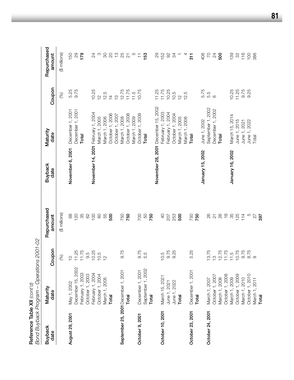| Reference Table XII $\langle cont' \sigma \rangle$ | Bond Buyback Program - Operations 2001-02 |               |                         |                        |                   |                |                                         |
|----------------------------------------------------|-------------------------------------------|---------------|-------------------------|------------------------|-------------------|----------------|-----------------------------------------|
| <b>Buyback</b><br>date                             | Maturity<br>date                          | Coupon        | Repurchased<br>amount   | <b>Buyback</b><br>date | Maturity<br>date  | Coupon         | Repurchased<br>amount                   |
|                                                    |                                           | (%)           | (\$ millions)           |                        |                   | (%)            | (\$ millions)                           |
| August 29, 2001                                    | May 1, 2002                               | $\frac{1}{2}$ | 89                      | November 6, 2001       | December 1, 2001  | 5.25           | 150                                     |
|                                                    | December 15, 2002                         | 11.25         | 120                     |                        | December 1, 2001  | 9.75           | $_{29}$                                 |
|                                                    | February 1, 2003                          | 11.75         | 85                      |                        | Total             |                | 179                                     |
|                                                    | October 1, 2003                           | 9.5           | 62                      |                        |                   |                |                                         |
|                                                    | February 1, 2004                          | 10.25         | 100                     | November 14, 2001      | February 1, 2004  | 10.25          | 24                                      |
|                                                    | October 1, 2004                           | 10.5          | $\odot$                 |                        | March 1, 2005     | $\frac{1}{2}$  | S                                       |
|                                                    | March 1, 2005                             | $\frac{1}{2}$ | 55                      |                        | March 1, 2006     | 12.5           | $\infty$                                |
|                                                    | Total                                     |               | 500                     |                        | October 1, 2006   | $\overline{4}$ | $\overline{c}$                          |
|                                                    |                                           |               |                         |                        | October 1, 2007   | $\frac{1}{2}$  |                                         |
|                                                    | September 25, 2001 December 1, 2001       | 9.75          | 750                     |                        | March 1, 2008     | 12.75          | $\begin{array}{c} 25 \\ 25 \end{array}$ |
|                                                    | Total                                     |               | 750                     |                        | October 1, 2008   | 11.75          | $\overline{\mathcal{C}}$                |
|                                                    |                                           |               |                         |                        | March 1, 2009     | 11.5           | $\mathcal{Q}$                           |
| October 9, 2001                                    | December 1, 2001                          | 9.75          | 700                     |                        | October 1, 2009   | 10.75          | $\overleftarrow{\mathbf{t}}$            |
|                                                    | September 1, 2002                         | 5.5           | SO                      |                        | Total             |                | 153                                     |
|                                                    | Total                                     |               | 750                     |                        |                   |                |                                         |
|                                                    |                                           |               |                         | November 28, 2001      | December 15, 2002 | 11.25          | $_{29}$                                 |
| October 10, 2001                                   | March 15, 2021                            | 10.5          | $\Theta$                |                        | February 1, 2003  | 11.75          | 152                                     |
|                                                    | June 1, 2021                              | 9.75          | 207                     |                        | February 1, 2004  | 10.25          | $\infty$                                |
|                                                    | June 1, 2022                              | 9.25          | 253                     |                        | October 1, 2004   | 10.5           | $\mathcal{L}$                           |
|                                                    | Total                                     |               | 500                     |                        | March 1, 2005     | $\frac{N}{1}$  |                                         |
|                                                    |                                           |               |                         |                        | March 1, 2006     | 12.5           |                                         |
| October 23, 2001                                   | December 1, 2001                          | 5.25          | 750                     |                        | Total             |                | $\frac{1}{3}$                           |
|                                                    | Total                                     |               | 750                     |                        |                   |                |                                         |
|                                                    |                                           |               |                         | January 15, 2002       | June 1, 2002      | 5.75           | 406                                     |
| October 24, 2001                                   | March 1, 2007                             | 13.75         | 80                      |                        | September 1, 2002 | 5.5<br>6       | $\overline{C}$                          |
|                                                    | October 1, 2007                           | $\frac{1}{2}$ | $\overline{\mathsf{N}}$ |                        | December 1, 2002  |                | $^{24}$                                 |
|                                                    | March 1, 2008                             | 12.75         | 26                      |                        | Total             |                | 500                                     |
|                                                    | October 1, 2008                           | 11.75         | $\frac{8}{10}$          |                        |                   |                |                                         |
|                                                    | March 1, 2009                             | 11.5          | 35                      | January 16, 2002       | March 15, 2014    | 10.25          | 139                                     |
|                                                    | October 1, 2009                           | 10.75         | 125                     |                        | June 1, 2015      | 11.25          | $\mathcal{S}^{\mathcal{S}}$             |
|                                                    | March 1, 2010                             | 9.75          | 114                     |                        | June 1, 2021      | 9.75           | 116                                     |
|                                                    | October 1, 2010                           | 8.75          | $\overline{c}$          |                        | June 1, 2022      | 9.25           | 100                                     |
|                                                    | March 1, 2011                             | $\circ$       | 27                      |                        | Total             |                | 386                                     |
|                                                    | Total                                     |               | 397                     |                        |                   |                |                                         |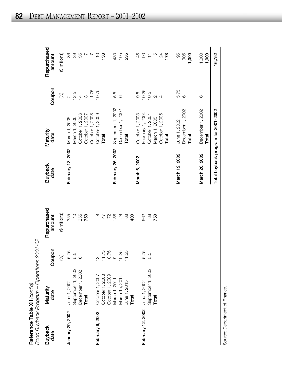**Reference Table XII** (cont'd)<br>Bond Buyback Program – Operations 2001-02 *Bond Buyback Program – Operations 2001-02* **Reference Table XII** *(cont'd)*

| רוונט בראט באטר באר האר |                                    | フプリュコフェリフ コンク      |                       |                   |                                     |                |                       |
|-------------------------|------------------------------------|--------------------|-----------------------|-------------------|-------------------------------------|----------------|-----------------------|
| <b>Buyback</b><br>date  | Maturity<br>date                   | noal<br><b>Cou</b> | Repurchased<br>amount | Buyback<br>date   | Maturity<br>date                    | Coupon         | Repurchased<br>amount |
|                         |                                    | (%)                | (\$ millions)         |                   |                                     | (%)            | (\$ millions)         |
| January 29, 2002        | June 1, 2002                       |                    | 355                   | February 13, 2002 | March 1, 2005                       | $\frac{1}{2}$  | 86                    |
|                         | September 1, 2002                  | 5.75<br>5.5<br>6   | $\overline{Q}$        |                   | March 1, 2006                       |                | 89                    |
|                         | December 1, 2002                   |                    | 355                   |                   | October 1, 2006                     | $12.5$<br>$14$ | 35                    |
|                         | Total                              |                    | 750                   |                   | October 1, 2007                     | $\frac{1}{2}$  |                       |
|                         |                                    |                    |                       |                   | October 1, 2008                     | 11.75          |                       |
| February 6, 2002        |                                    | $\frac{1}{2}$      | ∞                     |                   | October 1, 2009                     | 10.75          | $\overline{C}$        |
|                         | October 1, 2007<br>October 1, 2008 |                    | $\overline{4}$        |                   | Total                               |                | 133                   |
|                         |                                    | 11.75              | 72                    |                   |                                     |                |                       |
|                         | October 1, 2009<br>March 1, 2011   |                    | 158                   | February 26, 2002 | September 1, 2002                   |                | 430                   |
|                         | March 15, 2014                     | 10.25              | $28$                  |                   | December 1, 2002                    | 5.5<br>6       | 105                   |
|                         |                                    | 11.25              | $88$                  |                   | Total                               |                | 535                   |
|                         | June 1, 2015<br>Total              |                    | 400                   |                   |                                     |                |                       |
|                         |                                    |                    |                       | March 6, 2002     | October 1, 2003                     | 9.5            | 45                    |
| February 12, 2002       |                                    | 5.75<br>5.5        | 662                   |                   | February 1, 2004                    | 10.25          | $\infty$              |
|                         | June 1, 2002<br>September 1, 2002  |                    | $88$                  |                   | October 1, 2004                     | 10.5           | $\overline{4}$        |
|                         | Total                              |                    | 750                   |                   | March 1, 2005                       | $\frac{1}{2}$  | $\mathcal{D}$         |
|                         |                                    |                    |                       |                   | October 1, 2006                     | $\overline{4}$ | $^{24}$               |
|                         |                                    |                    |                       |                   | Total                               |                | 178                   |
|                         |                                    |                    |                       | March 12, 2002    | June 1, 2002                        | 5.75           | 95                    |
|                         |                                    |                    |                       |                   | December 1, 2002                    | $\circ$        | 905                   |
|                         |                                    |                    |                       |                   | Total                               |                | 1,000                 |
|                         |                                    |                    |                       | March 26, 2002    | December 1, 2002<br>Total           | $\circ$        | 1,000<br>1,000        |
|                         |                                    |                    |                       |                   | Total buyback program for 2001-2002 |                | 16,752                |

Source: Department of Finance. Source: Department of Finance. $\mathsf{l}$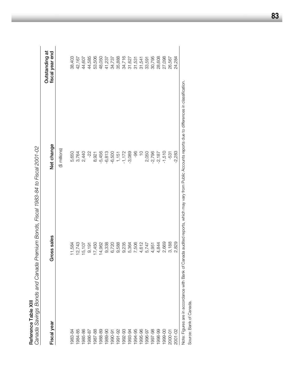| Canada Savings Bonds and Canada | Premium Bonds, Fiscal 1983-84 to Fiscal 2001-02 |                                                                                                                                                      |                                   |
|---------------------------------|-------------------------------------------------|------------------------------------------------------------------------------------------------------------------------------------------------------|-----------------------------------|
| Fiscal year                     | Gross sales                                     | Net change                                                                                                                                           | Outstanding at<br>fiscal year end |
|                                 |                                                 | (\$ millions)                                                                                                                                        |                                   |
| 983-84                          | 11,584                                          | 5,650                                                                                                                                                | 38,403                            |
| 1984-85                         | 12,743                                          | 3,764                                                                                                                                                | 42,167                            |
| 1985-86                         | 15,107                                          | 2,440                                                                                                                                                | 44,607                            |
| 1986-87                         | 9,191                                           | $-22 -$                                                                                                                                              | 44,585                            |
| 1987-88                         | 17,450                                          | 8,921                                                                                                                                                | 53,506                            |
| 1988-89                         | 14,962                                          | $-5,456$                                                                                                                                             | 48,050                            |
| 1989-90                         | 9,338                                           | $-6,813$                                                                                                                                             | 41,237                            |
| 1990-91                         | 6,720                                           | $-6,500$                                                                                                                                             | 34,737                            |
| 1991-92                         | 9,588                                           | 1,151                                                                                                                                                | 35,888                            |
| 1992-93                         | 9,235                                           | $-1,172$                                                                                                                                             | 34,716                            |
| 1993-94                         | 5,364                                           | $-3,089$                                                                                                                                             | 31,627                            |
| 1994-95                         | 7,506                                           | 96-                                                                                                                                                  | 31,531                            |
| 1995-96                         | 4,612                                           | $\frac{1}{2}$                                                                                                                                        | 31,541                            |
| 1996-97                         | 5,747                                           | 2,050                                                                                                                                                | 33,591                            |
| 1997-98                         | 4,951                                           | $-2,796$                                                                                                                                             | 30,795                            |
| 1998-99                         | 4,844                                           | $-2,187$                                                                                                                                             | 28,608                            |
| 1999-00                         | 2,669                                           | $-1,510$                                                                                                                                             | 27,098                            |
| 2000-01                         | 3,188                                           | $-531$                                                                                                                                               | 26,567                            |
| $2001 - 02$                     | 829<br>ΩÓ                                       | $-2,283$                                                                                                                                             | 24,284                            |
|                                 |                                                 | Note: Eigures are in accordance with Bank of Canada audited reports, which may yaw from Public Accounts reports due to differences in classification |                                   |

Reference Table XIII **Reference Table XIII**

Note: Figures are in accordance with Bank of Canada audited reports, which may vary from Public Accounts reports due to differences in classification. liny vari 5  $\overline{\mathsf{s}}$ ,  $\overline{\mathsf{s}}$ 5<br>D<br>D<br>D n<br>D auul gun nk or Car ਰ<br>0 Note: Figures are in accordance with I<br>Source: Bank of Canada. Source: Bank of Canada.